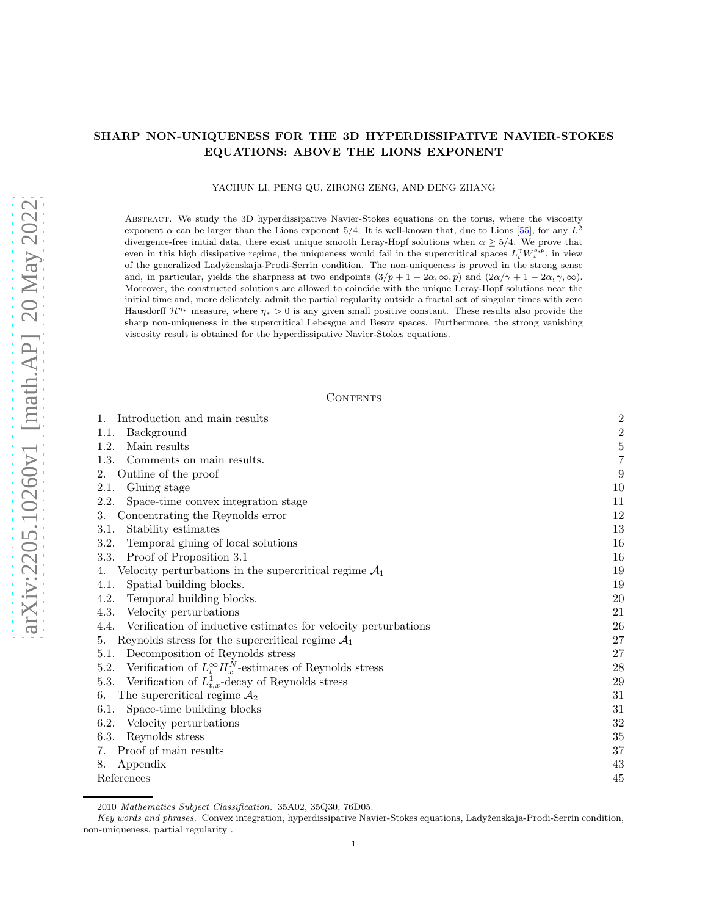# SHARP NON-UNIQUENESS FOR THE 3D HYPERDISSIPATIVE NAVIER-STOKES EQUATIONS: ABOVE THE LIONS EXPONENT

YACHUN LI, PENG QU, ZIRONG ZENG, AND DENG ZHANG

Abstract. We study the 3D hyperdissipative Navier-Stokes equations on the torus, where the viscosity exponent  $\alpha$  can be larger than the Lions exponent 5/4. It is well-known that, due to Lions [\[55\]](#page-46-0), for any  $L^2$ divergence-free initial data, there exist unique smooth Leray-Hopf solutions when  $\alpha \geq 5/4$ . We prove that even in this high dissipative regime, the uniqueness would fail in the supercritical spaces  $L_t^{\gamma}W_x^{s,p}$ , in view of the generalized Ladyženskaja-Prodi-Serrin condition. The non-uniqueness is proved in the strong sense and, in particular, yields the sharpness at two endpoints  $(3/p + 1 - 2\alpha, \infty, p)$  and  $(2\alpha/\gamma + 1 - 2\alpha, \gamma, \infty)$ . Moreover, the constructed solutions are allowed to coincide with the unique Leray-Hopf solutions near the initial time and, more delicately, admit the partial regularity outside a fractal set of singular times with zero Hausdorff  $\mathcal{H}^{\eta*}$  measure, where  $\eta* > 0$  is any given small positive constant. These results also provide the sharp non-uniqueness in the supercritical Lebesgue and Besov spaces. Furthermore, the strong vanishing viscosity result is obtained for the hyperdissipative Navier-Stokes equations.

#### **CONTENTS**

| Introduction and main results                                              | $\overline{2}$ |
|----------------------------------------------------------------------------|----------------|
| Background<br>1.1.                                                         | $\overline{c}$ |
| Main results<br>1.2.                                                       | $\overline{5}$ |
| 1.3.<br>Comments on main results.                                          | 7              |
| Outline of the proof<br>2.                                                 | 9              |
| 2.1.<br>Gluing stage                                                       | 10             |
| 2.2.<br>Space-time convex integration stage                                | 11             |
| Concentrating the Reynolds error<br>3.                                     | 12             |
| Stability estimates<br>3.1.                                                | 13             |
| Temporal gluing of local solutions<br>3.2.                                 | 16             |
| 3.3.<br>Proof of Proposition 3.1                                           | 16             |
| Velocity perturbations in the supercritical regime $A_1$<br>4.             | 19             |
| Spatial building blocks.<br>4.1.                                           | 19             |
| Temporal building blocks.<br>4.2.                                          | 20             |
| 4.3.<br>Velocity perturbations                                             | 21             |
| Verification of inductive estimates for velocity perturbations<br>4.4.     | 26             |
| Reynolds stress for the supercritical regime $A_1$<br>5.                   | 27             |
| Decomposition of Reynolds stress<br>5.1.                                   | 27             |
| Verification of $L_t^{\infty} H_x^N$ -estimates of Reynolds stress<br>5.2. | 28             |
| Verification of $L_{t,x}^1$ -decay of Reynolds stress<br>5.3.              | 29             |
| The supercritical regime $A_2$<br>6.                                       | 31             |
| Space-time building blocks<br>6.1.                                         | 31             |
| 6.2.<br>Velocity perturbations                                             | 32             |
| 6.3.<br>Reynolds stress                                                    | 35             |
| Proof of main results<br>7.                                                | 37             |
| Appendix<br>8.                                                             | 43             |
| References                                                                 | 45             |

<sup>2010</sup> Mathematics Subject Classification. 35A02, 35Q30, 76D05.

Key words and phrases. Convex integration, hyperdissipative Navier-Stokes equations, Ladyženskaja-Prodi-Serrin condition, non-uniqueness, partial regularity .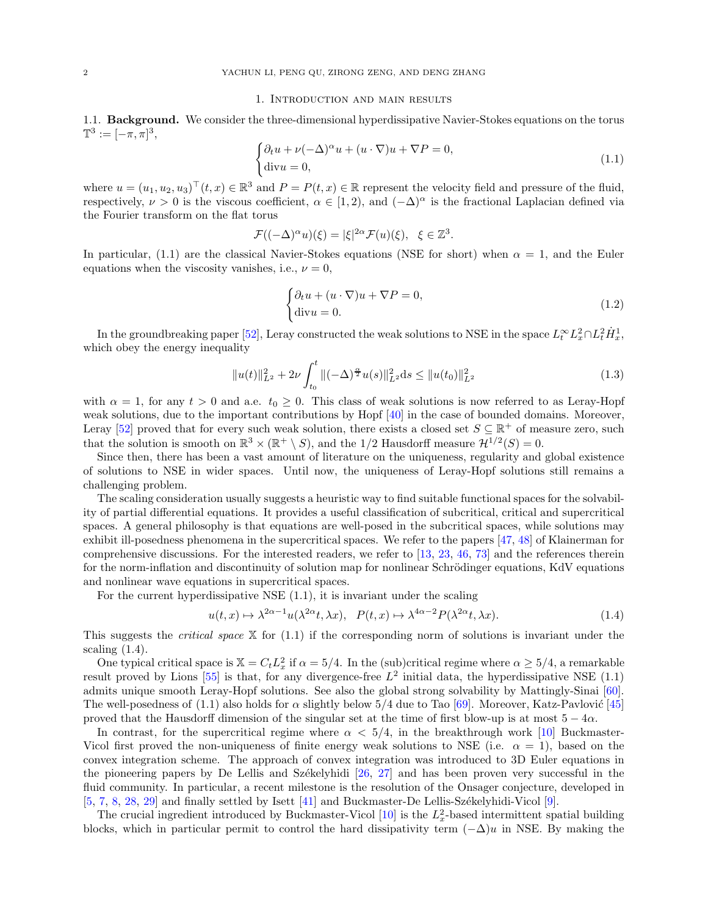#### 1. Introduction and main results

<span id="page-1-1"></span><span id="page-1-0"></span>1.1. Background. We consider the three-dimensional hyperdissipative Navier-Stokes equations on the torus  $\mathbb{T}^3 := [-\pi, \pi]^3,$ 

<span id="page-1-2"></span>
$$
\begin{cases} \partial_t u + \nu (-\Delta)^\alpha u + (u \cdot \nabla) u + \nabla P = 0, \\ \text{div} u = 0, \end{cases}
$$
 (1.1)

where  $u = (u_1, u_2, u_3)^\top (t, x) \in \mathbb{R}^3$  and  $P = P(t, x) \in \mathbb{R}$  represent the velocity field and pressure of the fluid, respectively,  $\nu > 0$  is the viscous coefficient,  $\alpha \in [1, 2)$ , and  $(-\Delta)^{\alpha}$  is the fractional Laplacian defined via the Fourier transform on the flat torus

$$
\mathcal{F}((-\Delta)^{\alpha}u)(\xi) = |\xi|^{2\alpha} \mathcal{F}(u)(\xi), \quad \xi \in \mathbb{Z}^{3}.
$$

In particular, [\(1.1\)](#page-1-2) are the classical Navier-Stokes equations (NSE for short) when  $\alpha = 1$ , and the Euler equations when the viscosity vanishes, i.e.,  $\nu = 0$ ,

<span id="page-1-4"></span>
$$
\begin{cases} \partial_t u + (u \cdot \nabla)u + \nabla P = 0, \\ \text{div}u = 0. \end{cases}
$$
 (1.2)

In the groundbreaking paper [\[52](#page-45-0)], Leray constructed the weak solutions to NSE in the space  $L_t^{\infty} L_x^2 \cap L_t^2 \dot{H}_x^1$ , which obey the energy inequality

$$
||u(t)||_{L^{2}}^{2} + 2\nu \int_{t_{0}}^{t} ||(-\Delta)^{\frac{\alpha}{2}}u(s)||_{L^{2}}^{2} ds \leq ||u(t_{0})||_{L^{2}}^{2}
$$
\n(1.3)

with  $\alpha = 1$ , for any  $t > 0$  and a.e.  $t_0 \geq 0$ . This class of weak solutions is now referred to as Leray-Hopf weak solutions, due to the important contributions by Hopf [\[40\]](#page-45-1) in the case of bounded domains. Moreover, Leray [\[52\]](#page-45-0) proved that for every such weak solution, there exists a closed set  $S \subseteq \mathbb{R}^+$  of measure zero, such that the solution is smooth on  $\mathbb{R}^3 \times (\mathbb{R}^+ \setminus S)$ , and the 1/2 Hausdorff measure  $\mathcal{H}^{1/2}(S) = 0$ .

Since then, there has been a vast amount of literature on the uniqueness, regularity and global existence of solutions to NSE in wider spaces. Until now, the uniqueness of Leray-Hopf solutions still remains a challenging problem.

The scaling consideration usually suggests a heuristic way to find suitable functional spaces for the solvability of partial differential equations. It provides a useful classification of subcritical, critical and supercritical spaces. A general philosophy is that equations are well-posed in the subcritical spaces, while solutions may exhibit ill-posedness phenomena in the supercritical spaces. We refer to the papers [\[47,](#page-45-2) [48](#page-45-3)] of Klainerman for comprehensive discussions. For the interested readers, we refer to [\[13](#page-44-1), [23](#page-44-2), [46](#page-45-4), [73](#page-46-1)] and the references therein for the norm-inflation and discontinuity of solution map for nonlinear Schrödinger equations, KdV equations and nonlinear wave equations in supercritical spaces.

For the current hyperdissipative NSE [\(1.1\)](#page-1-2), it is invariant under the scaling

<span id="page-1-3"></span>
$$
u(t,x) \mapsto \lambda^{2\alpha - 1} u(\lambda^{2\alpha} t, \lambda x), \quad P(t,x) \mapsto \lambda^{4\alpha - 2} P(\lambda^{2\alpha} t, \lambda x). \tag{1.4}
$$

This suggests the *critical space*  $X$  for [\(1.1\)](#page-1-2) if the corresponding norm of solutions is invariant under the scaling  $(1.4)$ .

One typical critical space is  $\mathbb{X} = C_t L_x^2$  if  $\alpha = 5/4$ . In the (sub)critical regime where  $\alpha \geq 5/4$ , a remarkable result proved by Lions [\[55\]](#page-46-0) is that, for any divergence-free  $L^2$  initial data, the hyperdissipative NSE [\(1.1\)](#page-1-2) admits unique smooth Leray-Hopf solutions. See also the global strong solvability by Mattingly-Sinai [\[60\]](#page-46-2). The well-posedness of [\(1.1\)](#page-1-2) also holds for  $\alpha$  slightly below 5/4 due to Tao [\[69\]](#page-46-3). Moreover, Katz-Pavlović [\[45](#page-45-5)] proved that the Hausdorff dimension of the singular set at the time of first blow-up is at most  $5 - 4\alpha$ .

In contrast, for the supercritical regime where  $\alpha < 5/4$ , in the breakthrough work [\[10\]](#page-44-3) Buckmaster-Vicol first proved the non-uniqueness of finite energy weak solutions to NSE (i.e.  $\alpha = 1$ ), based on the convex integration scheme. The approach of convex integration was introduced to 3D Euler equations in the pioneering papers by De Lellis and Székelyhidi  $[26, 27]$  $[26, 27]$  $[26, 27]$  and has been proven very successful in the fluid community. In particular, a recent milestone is the resolution of the Onsager conjecture, developed in [\[5,](#page-44-5) [7,](#page-44-6) [8,](#page-44-7) [28,](#page-45-7) [29](#page-45-8)] and finally settled by Isett [\[41](#page-45-9)] and Buckmaster-De Lellis-Székelyhidi-Vicol [\[9](#page-44-8)].

The crucial ingredient introduced by Buckmaster-Vicol  $[10]$  is the  $L<sub>x</sub><sup>2</sup>$ -based intermittent spatial building blocks, which in particular permit to control the hard dissipativity term  $(-\Delta)u$  in NSE. By making the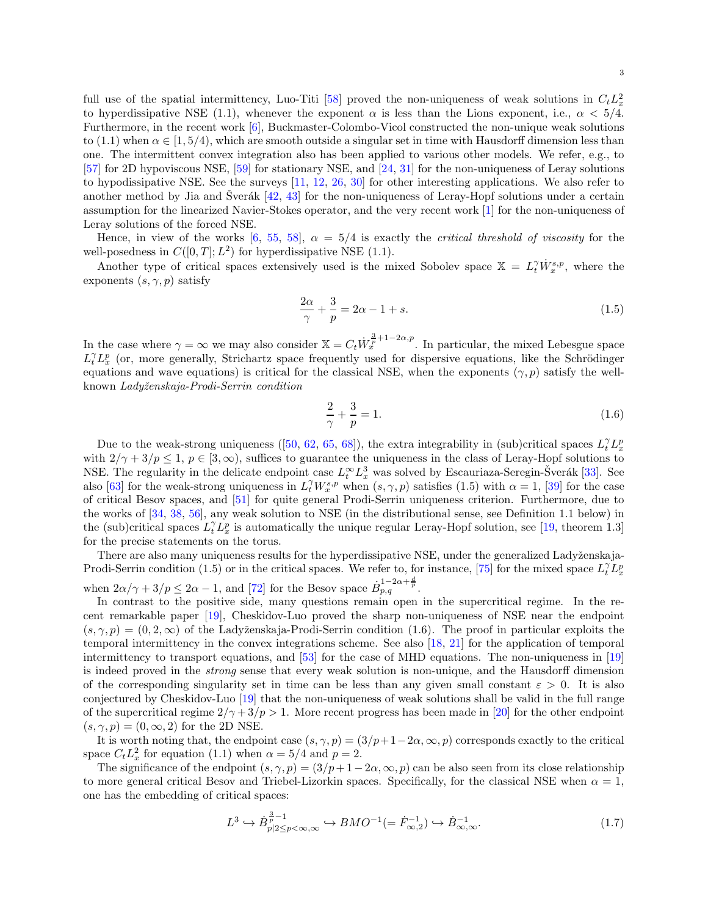full use of the spatial intermittency, Luo-Titi [\[58\]](#page-46-4) proved the non-uniqueness of weak solutions in  $C_t L_x^2$ to hyperdissipative NSE [\(1.1\)](#page-1-2), whenever the exponent  $\alpha$  is less than the Lions exponent, i.e.,  $\alpha < 5/4$ . Furthermore, in the recent work [\[6\]](#page-44-9), Buckmaster-Colombo-Vicol constructed the non-unique weak solutions to [\(1.1\)](#page-1-2) when  $\alpha \in [1, 5/4)$ , which are smooth outside a singular set in time with Hausdorff dimension less than one. The intermittent convex integration also has been applied to various other models. We refer, e.g., to [\[57\]](#page-46-5) for 2D hypoviscous NSE, [\[59\]](#page-46-6) for stationary NSE, and [\[24](#page-44-10), [31\]](#page-45-10) for the non-uniqueness of Leray solutions to hypodissipative NSE. See the surveys [\[11,](#page-44-11) [12,](#page-44-12) [26](#page-44-4), [30](#page-45-11)] for other interesting applications. We also refer to another method by Jia and Šverák  $\left[42, 43\right]$  $\left[42, 43\right]$  $\left[42, 43\right]$  for the non-uniqueness of Leray-Hopf solutions under a certain assumption for the linearized Navier-Stokes operator, and the very recent work [\[1](#page-44-13)] for the non-uniqueness of Leray solutions of the forced NSE.

Hence, in view of the works [\[6,](#page-44-9) [55,](#page-46-0) [58](#page-46-4)],  $\alpha = 5/4$  is exactly the *critical threshold of viscosity* for the well-posedness in  $C([0, T]; L^2)$  for hyperdissipative NSE [\(1.1\)](#page-1-2).

Another type of critical spaces extensively used is the mixed Sobolev space  $X = L_t^{\gamma} \dot{W}_x^{s,p}$ , where the exponents  $(s, \gamma, p)$  satisfy

$$
\frac{2\alpha}{\gamma} + \frac{3}{p} = 2\alpha - 1 + s. \tag{1.5}
$$

In the case where  $\gamma = \infty$  we may also consider  $\mathbb{X} = C_t \dot{W}_x^{\frac{3}{p} + 1 - 2\alpha, p}$ . In particular, the mixed Lebesgue space  $L_t^{\gamma} L_x^p$  (or, more generally, Strichartz space frequently used for dispersive equations, like the Schrödinger equations and wave equations) is critical for the classical NSE, when the exponents  $(\gamma, p)$  satisfy the wellknown Ladyženskaja-Prodi-Serrin condition

<span id="page-2-1"></span><span id="page-2-0"></span>
$$
\frac{2}{\gamma} + \frac{3}{p} = 1.
$$
 (1.6)

Due to the weak-strong uniqueness ([\[50](#page-45-14), [62](#page-46-7), [65](#page-46-8), [68\]](#page-46-9)), the extra integrability in (sub)critical spaces  $L_t^{\gamma} L_x^p$ with  $2/\gamma + 3/p \le 1$ ,  $p \in [3,\infty)$ , suffices to guarantee the uniqueness in the class of Leray-Hopf solutions to NSE. The regularity in the delicate endpoint case  $L_t^{\infty} L_x^3$  was solved by Escauriaza-Seregin-Šverák [[33\]](#page-45-15). See also [\[63\]](#page-46-10) for the weak-strong uniqueness in  $L_t^{\gamma} W_x^{s,p}$  when  $(s, \gamma, p)$  satisfies [\(1.5\)](#page-2-0) with  $\alpha = 1$ , [\[39\]](#page-45-16) for the case of critical Besov spaces, and [\[51\]](#page-45-17) for quite general Prodi-Serrin uniqueness criterion. Furthermore, due to the works of [\[34](#page-45-18), [38](#page-45-19), [56](#page-46-11)], any weak solution to NSE (in the distributional sense, see Definition [1.1](#page-4-1) below) in the (sub)critical spaces  $L_t^{\gamma} L_x^p$  is automatically the unique regular Leray-Hopf solution, see [\[19,](#page-44-14) theorem 1.3] for the precise statements on the torus.

There are also many uniqueness results for the hyperdissipative NSE, under the generalized Ladyženskaja-Prodi-Serrin condition [\(1.5\)](#page-2-0) or in the critical spaces. We refer to, for instance, [\[75\]](#page-46-12) for the mixed space  $L_t^{\gamma}L_x^p$ when  $2\alpha/\gamma + 3/p \leq 2\alpha - 1$ , and [\[72](#page-46-13)] for the Besov space  $\dot{B}_{p,q}^{1-2\alpha + \frac{d}{p}}$ .

In contrast to the positive side, many questions remain open in the supercritical regime. In the recent remarkable paper [\[19\]](#page-44-14), Cheskidov-Luo proved the sharp non-uniqueness of NSE near the endpoint  $(s, \gamma, p) = (0, 2, \infty)$  of the Ladyženskaja-Prodi-Serrin condition [\(1.6\)](#page-2-1). The proof in particular exploits the temporal intermittency in the convex integrations scheme. See also [\[18,](#page-44-15) [21\]](#page-44-16) for the application of temporal intermittency to transport equations, and [\[53\]](#page-45-20) for the case of MHD equations. The non-uniqueness in [\[19](#page-44-14)] is indeed proved in the strong sense that every weak solution is non-unique, and the Hausdorff dimension of the corresponding singularity set in time can be less than any given small constant  $\varepsilon > 0$ . It is also conjectured by Cheskidov-Luo [\[19](#page-44-14)] that the non-uniqueness of weak solutions shall be valid in the full range of the supercritical regime  $2/\gamma + 3/p > 1$ . More recent progress has been made in [\[20\]](#page-44-17) for the other endpoint  $(s, \gamma, p) = (0, \infty, 2)$  for the 2D NSE.

It is worth noting that, the endpoint case  $(s, \gamma, p) = (3/p + 1 - 2\alpha, \infty, p)$  corresponds exactly to the critical space  $C_t L_x^2$  for equation [\(1.1\)](#page-1-2) when  $\alpha = 5/4$  and  $p = 2$ .

The significance of the endpoint  $(s, \gamma, p) = (3/p + 1 - 2\alpha, \infty, p)$  can be also seen from its close relationship to more general critical Besov and Triebel-Lizorkin spaces. Specifically, for the classical NSE when  $\alpha = 1$ , one has the embedding of critical spaces:

$$
L^3 \hookrightarrow \dot{B}_{p|2 \le p < \infty, \infty}^{\frac{3}{p}-1} \hookrightarrow BMO^{-1}(=\dot{F}_{\infty,2}^{-1}) \hookrightarrow \dot{B}_{\infty, \infty}^{-1}.
$$
\n(1.7)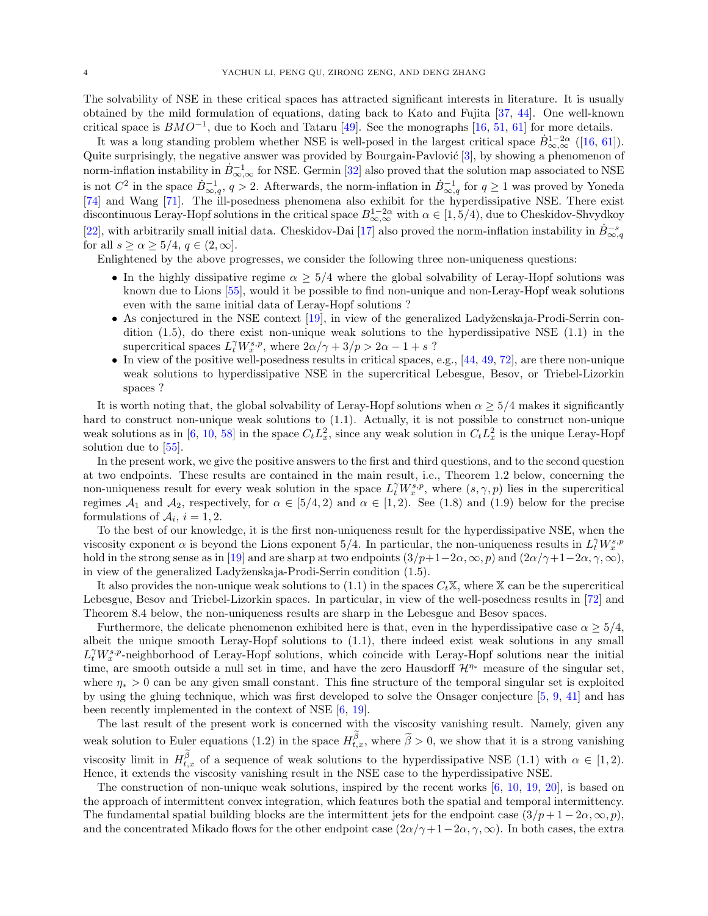The solvability of NSE in these critical spaces has attracted significant interests in literature. It is usually obtained by the mild formulation of equations, dating back to Kato and Fujita [\[37](#page-45-21), [44\]](#page-45-22). One well-known critical space is  $BMO^{-1}$ , due to Koch and Tataru [\[49\]](#page-45-23). See the monographs [\[16,](#page-44-18) [51](#page-45-17), [61](#page-46-14)] for more details.

It was a long standing problem whether NSE is well-posed in the largest critical space  $\dot{B}^{1-2\alpha}_{\infty,\infty}$  ([\[16](#page-44-18), [61\]](#page-46-14)). Quite surprisingly, the negative answer was provided by Bourgain-Pavlović [\[3\]](#page-44-19), by showing a phenomenon of norm-inflation instability in  $\dot{B}_{\infty,\infty}^{-1}$  for NSE. Germin [\[32](#page-45-24)] also proved that the solution map associated to NSE is not  $C^2$  in the space  $\dot{B}_{\infty,q}^{-1}$ ,  $q > 2$ . Afterwards, the norm-inflation in  $\dot{B}_{\infty,q}^{-1}$  for  $q \ge 1$  was proved by Yoneda [\[74\]](#page-46-15) and Wang [\[71\]](#page-46-16). The ill-posedness phenomena also exhibit for the hyperdissipative NSE. There exist discontinuous Leray-Hopf solutions in the critical space  $B_{\infty,\infty}^{1-2\alpha}$  with  $\alpha \in [1,5/4)$ , due to Cheskidov-Shvydkoy [\[22\]](#page-44-20), with arbitrarily small initial data. Cheskidov-Dai [\[17\]](#page-44-21) also proved the norm-inflation instability in  $\dot{B}^{-s}_{\infty,q}$ for all  $s \ge \alpha \ge 5/4$ ,  $q \in (2,\infty]$ .

Enlightened by the above progresses, we consider the following three non-uniqueness questions:

- In the highly dissipative regime  $\alpha \geq 5/4$  where the global solvability of Leray-Hopf solutions was known due to Lions [\[55](#page-46-0)], would it be possible to find non-unique and non-Leray-Hopf weak solutions even with the same initial data of Leray-Hopf solutions ?
- As conjectured in the NSE context  $[19]$ , in view of the generalized Ladyženskaja-Prodi-Serrin condition [\(1.5\)](#page-2-0), do there exist non-unique weak solutions to the hyperdissipative NSE [\(1.1\)](#page-1-2) in the supercritical spaces  $L_t^{\gamma} W_x^{s,p}$ , where  $2\alpha/\gamma + 3/p > 2\alpha - 1 + s$ ?
- In view of the positive well-posedness results in critical spaces, e.g.,  $[44, 49, 72]$  $[44, 49, 72]$  $[44, 49, 72]$  $[44, 49, 72]$  $[44, 49, 72]$  $[44, 49, 72]$ , are there non-unique weak solutions to hyperdissipative NSE in the supercritical Lebesgue, Besov, or Triebel-Lizorkin spaces ?

It is worth noting that, the global solvability of Leray-Hopf solutions when  $\alpha > 5/4$  makes it significantly hard to construct non-unique weak solutions to [\(1.1\)](#page-1-2). Actually, it is not possible to construct non-unique weak solutions as in [\[6](#page-44-9), [10](#page-44-3), [58](#page-46-4)] in the space  $C_t L_x^2$ , since any weak solution in  $C_t L_x^2$  is the unique Leray-Hopf solution due to [\[55](#page-46-0)].

In the present work, we give the positive answers to the first and third questions, and to the second question at two endpoints. These results are contained in the main result, i.e., Theorem [1.2](#page-5-0) below, concerning the non-uniqueness result for every weak solution in the space  $L_t^{\gamma} W_x^{s,p}$ , where  $(s, \gamma, p)$  lies in the supercritical regimes  $A_1$  and  $A_2$ , respectively, for  $\alpha \in [5/4, 2)$  and  $\alpha \in [1, 2)$ . See [\(1.8\)](#page-4-2) and [\(1.9\)](#page-4-3) below for the precise formulations of  $A_i$ ,  $i = 1, 2$ .

To the best of our knowledge, it is the first non-uniqueness result for the hyperdissipative NSE, when the viscosity exponent  $\alpha$  is beyond the Lions exponent 5/4. In particular, the non-uniqueness results in  $L_t^{\gamma} W_x^{s,p}$ hold in the strong sense as in [\[19](#page-44-14)] and are sharp at two endpoints  $(3/p+1-2\alpha, \infty, p)$  and  $(2\alpha/\gamma+1-2\alpha, \gamma, \infty)$ , in view of the generalized Ladyženskaja-Prodi-Serrin condition [\(1.5\)](#page-2-0).

It also provides the non-unique weak solutions to [\(1.1\)](#page-1-2) in the spaces  $C_t\mathbb{X}$ , where X can be the supercritical Lebesgue, Besov and Triebel-Lizorkin spaces. In particular, in view of the well-posedness results in [\[72](#page-46-13)] and Theorem [8.4](#page-42-1) below, the non-uniqueness results are sharp in the Lebesgue and Besov spaces.

Furthermore, the delicate phenomenon exhibited here is that, even in the hyperdissipative case  $\alpha \geq 5/4$ , albeit the unique smooth Leray-Hopf solutions to [\(1.1\)](#page-1-2), there indeed exist weak solutions in any small  $L_t^{\gamma}W_x^{s,p}$ -neighborhood of Leray-Hopf solutions, which coincide with Leray-Hopf solutions near the initial time, are smooth outside a null set in time, and have the zero Hausdorff  $\mathcal{H}^{\eta*}$  measure of the singular set, where  $\eta_* > 0$  can be any given small constant. This fine structure of the temporal singular set is exploited by using the gluing technique, which was first developed to solve the Onsager conjecture [\[5](#page-44-5), [9](#page-44-8), [41\]](#page-45-9) and has been recently implemented in the context of NSE [\[6,](#page-44-9) [19\]](#page-44-14).

The last result of the present work is concerned with the viscosity vanishing result. Namely, given any weak solution to Euler equations [\(1.2\)](#page-1-4) in the space  $H_{t,x}^{\beta}$ , where  $\tilde{\beta} > 0$ , we show that it is a strong vanishing viscosity limit in  $H_{t,x}^{\beta}$  of a sequence of weak solutions to the hyperdissipative NSE [\(1.1\)](#page-1-2) with  $\alpha \in [1,2)$ . Hence, it extends the viscosity vanishing result in the NSE case to the hyperdissipative NSE.

The construction of non-unique weak solutions, inspired by the recent works [\[6](#page-44-9), [10,](#page-44-3) [19](#page-44-14), [20\]](#page-44-17), is based on the approach of intermittent convex integration, which features both the spatial and temporal intermittency. The fundamental spatial building blocks are the intermittent jets for the endpoint case  $(3/p + 1 - 2\alpha, \infty, p)$ , and the concentrated Mikado flows for the other endpoint case  $(2\alpha/\gamma + 1 - 2\alpha, \gamma, \infty)$ . In both cases, the extra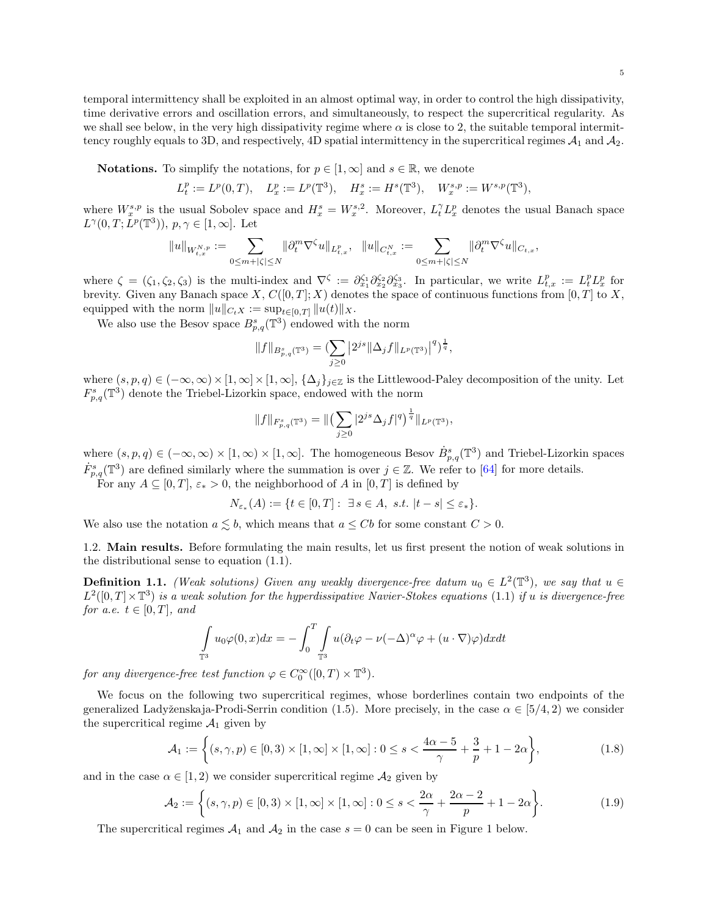temporal intermittency shall be exploited in an almost optimal way, in order to control the high dissipativity, time derivative errors and oscillation errors, and simultaneously, to respect the supercritical regularity. As we shall see below, in the very high dissipativity regime where  $\alpha$  is close to 2, the suitable temporal intermittency roughly equals to 3D, and respectively, 4D spatial intermittency in the supercritical regimes  $A_1$  and  $A_2$ .

**Notations.** To simplify the notations, for  $p \in [1,\infty]$  and  $s \in \mathbb{R}$ , we denote

$$
L^p_t:=L^p(0,T),\quad L^p_x:=L^p(\mathbb{T}^3),\quad H^s_x:=H^s(\mathbb{T}^3),\quad W^{s,p}_x:=W^{s,p}(\mathbb{T}^3),
$$

where  $W_x^{s,p}$  is the usual Sobolev space and  $H_x^s = W_x^{s,2}$ . Moreover,  $L_t^{\gamma} L_x^p$  denotes the usual Banach space  $L^{\gamma}(0,T;L^p(\mathbb{T}^3)), p, \gamma \in [1,\infty]$ . Let

$$
\|u\|_{W^{N,p}_{t,x}}:=\sum_{0\leq m+|\zeta|\leq N}\|\partial_t^m\nabla^\zeta u\|_{L^p_{t,x}},\ \ \|u\|_{C^N_{t,x}}:=\sum_{0\leq m+|\zeta|\leq N}\|\partial_t^m\nabla^\zeta u\|_{C_{t,x}},
$$

where  $\zeta = (\zeta_1, \zeta_2, \zeta_3)$  is the multi-index and  $\nabla^{\zeta} := \partial_{x_1}^{\zeta_1} \partial_{x_2}^{\zeta_2} \partial_{x_3}^{\zeta_3}$ . In particular, we write  $L^p_{t,x} := L^p_t L^p_x$  for brevity. Given any Banach space X,  $C([0,T];X)$  denotes the space of continuous functions from  $[0,T]$  to X, equipped with the norm  $||u||_{C_tX} := \sup_{t \in [0,T]} ||u(t)||_X.$ 

We also use the Besov space  $B_{p,q}^s(\mathbb{T}^3)$  endowed with the norm

$$
||f||_{B_{p,q}^s(\mathbb{T}^3)} = \left(\sum_{j\geq 0} |2^{js} ||\Delta_j f||_{L^p(\mathbb{T}^3)}\right)^q\right)^{\frac{1}{q}},
$$

where  $(s, p, q) \in (-\infty, \infty) \times [1, \infty] \times [1, \infty]$ ,  $\{\Delta_j\}_{j \in \mathbb{Z}}$  is the Littlewood-Paley decomposition of the unity. Let  $F_{p,q}^s(\mathbb{T}^3)$  denote the Triebel-Lizorkin space, endowed with the norm

$$
||f||_{F_{p,q}^s(\mathbb{T}^3)} = ||\left(\sum_{j\geq 0} |2^{js} \Delta_j f|^q\right)^{\frac{1}{q}}||_{L^p(\mathbb{T}^3)},
$$

where  $(s, p, q) \in (-\infty, \infty) \times [1, \infty) \times [1, \infty]$ . The homogeneous Besov  $\dot{B}_{p,q}^s(\mathbb{T}^3)$  and Triebel-Lizorkin spaces  $\dot{F}_{p,q}^s(\mathbb{T}^3)$  are defined similarly where the summation is over  $j \in \mathbb{Z}$ . We refer to [\[64\]](#page-46-17) for more details.

For any  $A \subseteq [0, T]$ ,  $\varepsilon_* > 0$ , the neighborhood of A in  $[0, T]$  is defined by

$$
N_{\varepsilon_*}(A) := \{ t \in [0,T] : \exists s \in A, \ s.t. \ |t - s| \le \varepsilon_* \}.
$$

<span id="page-4-0"></span>We also use the notation  $a \leq b$ , which means that  $a \leq Cb$  for some constant  $C > 0$ .

1.2. Main results. Before formulating the main results, let us first present the notion of weak solutions in the distributional sense to equation [\(1.1\)](#page-1-2).

<span id="page-4-1"></span>**Definition 1.1.** (Weak solutions) Given any weakly divergence-free datum  $u_0 \in L^2(\mathbb{T}^3)$ , we say that  $u \in$  $L^2([0,T]\times\mathbb{T}^3)$  is a weak solution for the hyperdissipative Navier-Stokes equations [\(1.1\)](#page-1-2) if u is divergence-free for a.e.  $t \in [0, T]$ , and

<span id="page-4-3"></span><span id="page-4-2"></span>
$$
\int_{\mathbb{T}^3} u_0 \varphi(0, x) dx = - \int_0^T \int_{\mathbb{T}^3} u (\partial_t \varphi - \nu (-\Delta)^\alpha \varphi + (u \cdot \nabla) \varphi) dx dt
$$

for any divergence-free test function  $\varphi \in C_0^{\infty}([0, T) \times \mathbb{T}^3)$ .

We focus on the following two supercritical regimes, whose borderlines contain two endpoints of the generalized Ladyženskaja-Prodi-Serrin condition [\(1.5\)](#page-2-0). More precisely, in the case  $\alpha \in [5/4, 2)$  we consider the supercritical regime  $A_1$  given by

$$
\mathcal{A}_1 := \left\{ (s, \gamma, p) \in [0, 3) \times [1, \infty] \times [1, \infty] : 0 \le s < \frac{4\alpha - 5}{\gamma} + \frac{3}{p} + 1 - 2\alpha \right\},\tag{1.8}
$$

and in the case  $\alpha \in [1,2)$  we consider supercritical regime  $\mathcal{A}_2$  given by

$$
\mathcal{A}_2 := \left\{ (s, \gamma, p) \in [0, 3) \times [1, \infty] \times [1, \infty] : 0 \le s < \frac{2\alpha}{\gamma} + \frac{2\alpha - 2}{p} + 1 - 2\alpha \right\}.
$$
\n(1.9)

The supercritical regimes  $A_1$  and  $A_2$  in the case  $s = 0$  can be seen in Figure 1 below.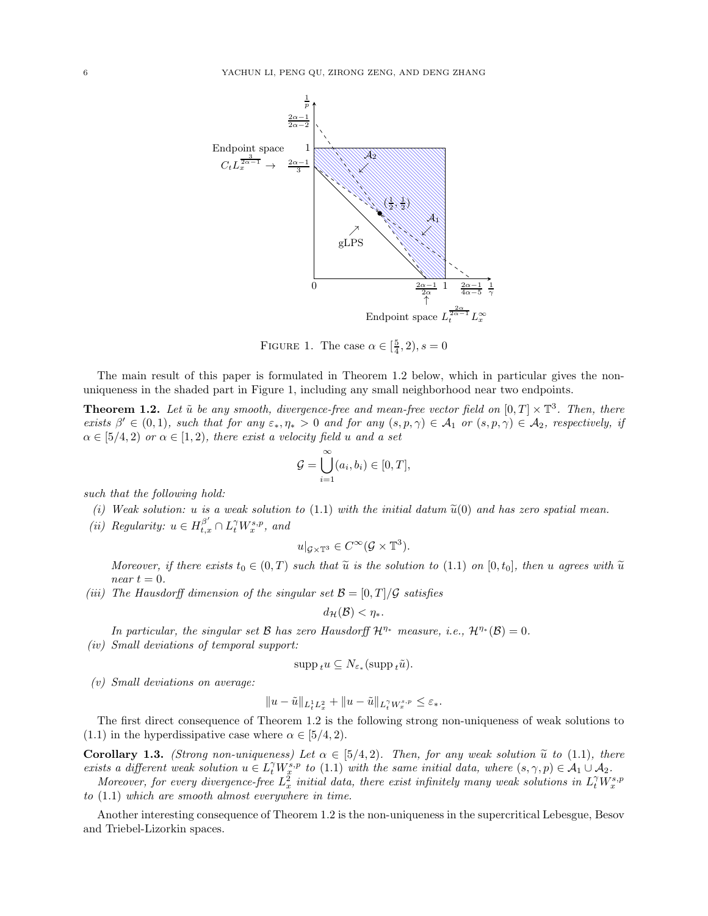

FIGURE 1. The case  $\alpha \in \left[\frac{5}{4}, 2\right), s = 0$ 

The main result of this paper is formulated in Theorem [1.2](#page-5-0) below, which in particular gives the nonuniqueness in the shaded part in Figure 1, including any small neighborhood near two endpoints.

<span id="page-5-0"></span>**Theorem 1.2.** Let  $\tilde{u}$  be any smooth, divergence-free and mean-free vector field on  $[0,T] \times \mathbb{T}^3$ . Then, there exists  $\beta' \in (0,1)$ , such that for any  $\varepsilon_*, \eta_* > 0$  and for any  $(s, p, \gamma) \in \mathcal{A}_1$  or  $(s, p, \gamma) \in \mathcal{A}_2$ , respectively, if  $\alpha \in [5/4, 2)$  or  $\alpha \in [1, 2)$ , there exist a velocity field u and a set

$$
\mathcal{G} = \bigcup_{i=1}^{\infty} (a_i, b_i) \in [0, T],
$$

such that the following hold:

- (i) Weak solution: u is a weak solution to [\(1.1\)](#page-1-2) with the initial datum  $\tilde{u}(0)$  and has zero spatial mean.
- (*ii*) Regularity:  $u \in H_{t,x}^{\beta'} \cap L_t^{\gamma} W_x^{s,p}$ , and

$$
u|_{\mathcal{G}\times\mathbb{T}^3}\in C^\infty(\mathcal{G}\times\mathbb{T}^3).
$$

Moreover, if there exists  $t_0 \in (0,T)$  such that  $\tilde{u}$  is the solution to [\(1.1\)](#page-1-2) on [0,  $t_0$ ], then u agrees with  $\tilde{u}$ near  $t = 0$ .

(iii) The Hausdorff dimension of the singular set  $\mathcal{B} = [0, T]/\mathcal{G}$  satisfies

$$
d_{\mathcal{H}}(\mathcal{B}) < \eta_*.
$$

In particular, the singular set B has zero Hausdorff  $\mathcal{H}^{\eta_*}$  measure, i.e.,  $\mathcal{H}^{\eta_*}(\mathcal{B})=0$ . (iv) Small deviations of temporal support:

$$
\operatorname{supp}_{t} u \subseteq N_{\varepsilon_{*}}(\operatorname{supp}_{t} \tilde{u}).
$$

(v) Small deviations on average:

$$
||u-\tilde{u}||_{L^1_tL^2_x}+||u-\tilde{u}||_{L^{\gamma}_tW^{s,p}_x}\leq \varepsilon_*.
$$

The first direct consequence of Theorem [1.2](#page-5-0) is the following strong non-uniqueness of weak solutions to  $(1.1)$  in the hyperdissipative case where  $\alpha \in [5/4, 2)$ .

<span id="page-5-1"></span>**Corollary 1.3.** (Strong non-uniqueness) Let  $\alpha \in [5/4, 2)$ . Then, for any weak solution  $\tilde{u}$  to [\(1.1\)](#page-1-2), there exists a different weak solution  $u \in L_t^{\gamma} W_x^{s,p}$  to [\(1.1\)](#page-1-2) with the same initial data, where  $(s, \gamma, p) \in \mathcal{A}_1 \cup \mathcal{A}_2$ .

Moreover, for every divergence-free  $L_x^2$  initial data, there exist infinitely many weak solutions in  $L_t^{\gamma}W_x^{s,p}$ to [\(1.1\)](#page-1-2) which are smooth almost everywhere in time.

Another interesting consequence of Theorem [1.2](#page-5-0) is the non-uniqueness in the supercritical Lebesgue, Besov and Triebel-Lizorkin spaces.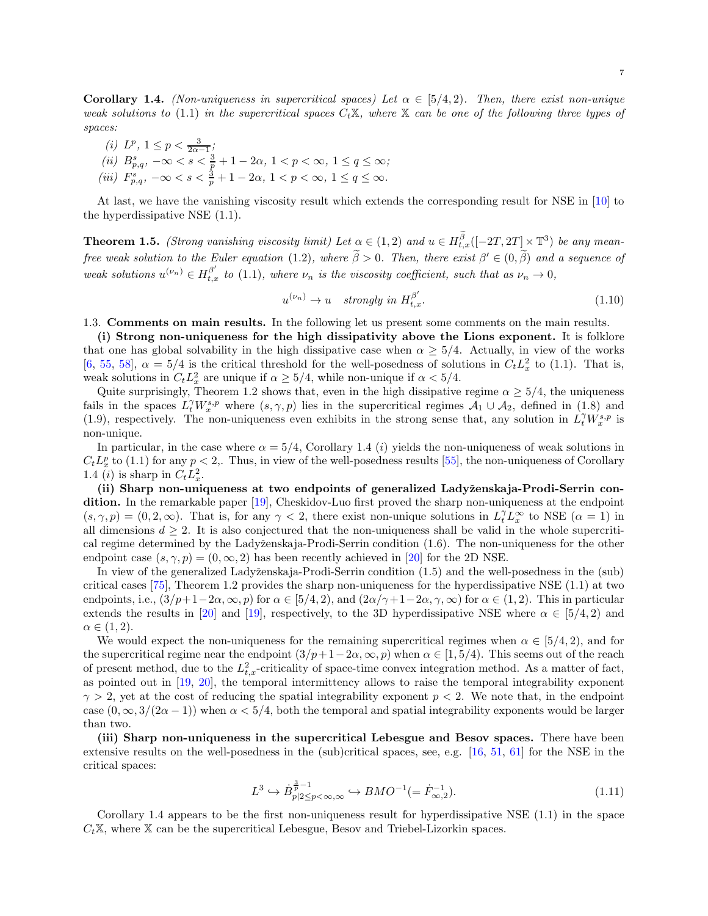<span id="page-6-1"></span>**Corollary 1.4.** (Non-uniqueness in supercritical spaces) Let  $\alpha \in [5/4, 2)$ . Then, there exist non-unique weak solutions to [\(1.1\)](#page-1-2) in the supercritical spaces  $C_t\mathbb{X}$ , where  $\mathbb{X}$  can be one of the following three types of spaces:

(*i*)  $L^p$ ,  $1 \le p < \frac{3}{2\alpha - 1}$ ; (ii)  $B_{p,q}^s, -\infty < s < \frac{3}{p} + 1 - 2\alpha, 1 < p < \infty, 1 \le q \le \infty;$ (iii)  $F_{p,q}^s, -\infty < s < \frac{3}{p} + 1 - 2\alpha, 1 < p < \infty, 1 \le q \le \infty.$ 

At last, we have the vanishing viscosity result which extends the corresponding result for NSE in [\[10](#page-44-3)] to the hyperdissipative NSE [\(1.1\)](#page-1-2).

<span id="page-6-2"></span>**Theorem 1.5.** (Strong vanishing viscosity limit) Let  $\alpha \in (1,2)$  and  $u \in H_{t,x}^{\beta}([-2T,2T] \times \mathbb{T}^3)$  be any mean-free weak solution to the Euler equation [\(1.2\)](#page-1-4), where  $\tilde{\beta} > 0$ . Then, there exist  $\beta' \in (0, \tilde{\beta})$  and a sequence of weak solutions  $u^{(\nu_n)} \in H^{\beta'}_{t,x}$  to [\(1.1\)](#page-1-2), where  $\nu_n$  is the viscosity coefficient, such that as  $\nu_n \to 0$ ,

<span id="page-6-3"></span>
$$
u^{(\nu_n)} \to u \quad strongly \ in \ H_{t,x}^{\beta'}.\tag{1.10}
$$

<span id="page-6-0"></span>1.3. Comments on main results. In the following let us present some comments on the main results.

(i) Strong non-uniqueness for the high dissipativity above the Lions exponent. It is folklore that one has global solvability in the high dissipative case when  $\alpha \geq 5/4$ . Actually, in view of the works [\[6,](#page-44-9) [55](#page-46-0), [58](#page-46-4)],  $\alpha = 5/4$  is the critical threshold for the well-posedness of solutions in  $C_t L_x^2$  to [\(1.1\)](#page-1-2). That is, weak solutions in  $C_t L_x^2$  are unique if  $\alpha \geq 5/4$ , while non-unique if  $\alpha < 5/4$ .

Quite surprisingly, Theorem [1.2](#page-5-0) shows that, even in the high dissipative regime  $\alpha \geq 5/4$ , the uniqueness fails in the spaces  $L_t^{\gamma} W_x^{s,p}$  where  $(s, \gamma, p)$  lies in the supercritical regimes  $\mathcal{A}_1 \cup \mathcal{A}_2$ , defined in [\(1.8\)](#page-4-2) and [\(1.9\)](#page-4-3), respectively. The non-uniqueness even exhibits in the strong sense that, any solution in  $\hat{L}_t^{\gamma}W_x^{s,p}$  is non-unique.

In particular, in the case where  $\alpha = 5/4$ , Corollary [1.4](#page-6-1) (i) yields the non-uniqueness of weak solutions in  $C_t L_x^p$  to [\(1.1\)](#page-1-2) for any  $p < 2$ . Thus, in view of the well-posedness results [\[55\]](#page-46-0), the non-uniqueness of Corollary [1.4](#page-6-1) (*i*) is sharp in  $C_t L_x^2$ .

(ii) Sharp non-uniqueness at two endpoints of generalized Ladyženskaja-Prodi-Serrin condition. In the remarkable paper [\[19\]](#page-44-14), Cheskidov-Luo first proved the sharp non-uniqueness at the endpoint  $(s, \gamma, p) = (0, 2, \infty)$ . That is, for any  $\gamma < 2$ , there exist non-unique solutions in  $L_t^{\gamma} L_x^{\infty}$  to NSE  $(\alpha = 1)$  in all dimensions  $d \geq 2$ . It is also conjectured that the non-uniqueness shall be valid in the whole supercriti-cal regime determined by the Ladyženskaja-Prodi-Serrin condition [\(1.6\)](#page-2-1). The non-uniqueness for the other endpoint case  $(s, \gamma, p) = (0, \infty, 2)$  has been recently achieved in [\[20](#page-44-17)] for the 2D NSE.

In view of the generalized Ladyženskaja-Prodi-Serrin condition [\(1.5\)](#page-2-0) and the well-posedness in the (sub) critical cases [\[75\]](#page-46-12), Theorem [1.2](#page-5-0) provides the sharp non-uniqueness for the hyperdissipative NSE [\(1.1\)](#page-1-2) at two endpoints, i.e.,  $(3/p+1-2\alpha, \infty, p)$  for  $\alpha \in [5/4, 2)$ , and  $(2\alpha/\gamma+1-2\alpha, \gamma, \infty)$  for  $\alpha \in (1, 2)$ . This in particular extends the results in [\[20\]](#page-44-17) and [\[19\]](#page-44-14), respectively, to the 3D hyperdissipative NSE where  $\alpha \in [5/4, 2)$  and  $\alpha \in (1,2).$ 

We would expect the non-uniqueness for the remaining supercritical regimes when  $\alpha \in [5/4, 2)$ , and for the supercritical regime near the endpoint  $(3/p+1-2\alpha,\infty,p)$  when  $\alpha \in [1,5/4)$ . This seems out of the reach of present method, due to the  $L^2_{t,x}$ -criticality of space-time convex integration method. As a matter of fact, as pointed out in [\[19](#page-44-14), [20\]](#page-44-17), the temporal intermittency allows to raise the temporal integrability exponent  $\gamma > 2$ , yet at the cost of reducing the spatial integrability exponent  $p < 2$ . We note that, in the endpoint case  $(0, \infty, 3/(2\alpha-1))$  when  $\alpha < 5/4$ , both the temporal and spatial integrability exponents would be larger than two.

(iii) Sharp non-uniqueness in the supercritical Lebesgue and Besov spaces. There have been extensive results on the well-posedness in the (sub)critical spaces, see, e.g. [\[16](#page-44-18), [51,](#page-45-17) [61\]](#page-46-14) for the NSE in the critical spaces:

$$
L^3 \hookrightarrow \dot{B}_{p|2 \le p < \infty, \infty}^{\frac{3}{p}-1} \hookrightarrow BMO^{-1}(=\dot{F}_{\infty,2}^{-1}).
$$
\n(1.11)

Corollary [1.4](#page-6-1) appears to be the first non-uniqueness result for hyperdissipative NSE  $(1.1)$  in the space  $C_t\mathbb{X}$ , where  $\mathbb{X}$  can be the supercritical Lebesgue, Besov and Triebel-Lizorkin spaces.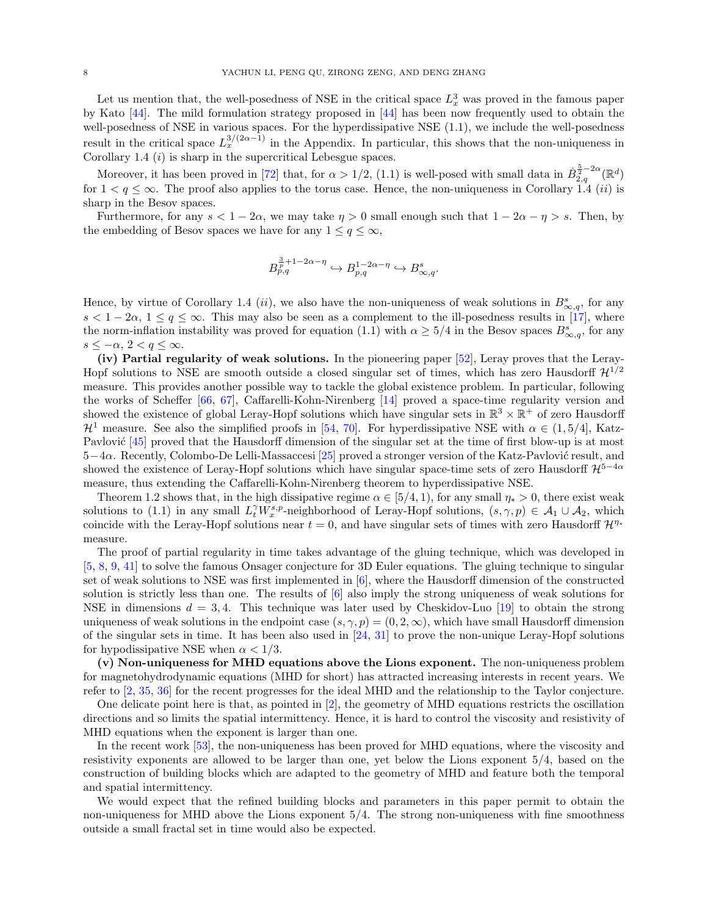Let us mention that, the well-posedness of NSE in the critical space  $L_x^3$  was proved in the famous paper by Kato [\[44\]](#page-45-22). The mild formulation strategy proposed in [\[44](#page-45-22)] has been now frequently used to obtain the well-posedness of NSE in various spaces. For the hyperdissipative NSE [\(1.1\)](#page-1-2), we include the well-posedness result in the critical space  $L_x^{3/(2\alpha-1)}$  in the Appendix. In particular, this shows that the non-uniqueness in Corollary [1.4](#page-6-1)  $(i)$  is sharp in the supercritical Lebesgue spaces.

Moreover, it has been proved in [\[72\]](#page-46-13) that, for  $\alpha > 1/2$ , [\(1.1\)](#page-1-2) is well-posed with small data in  $\dot{B}_{2,q}^{\frac{5}{2}-2\alpha}(\mathbb{R}^d)$ for  $1 < q \leq \infty$ . The proof also applies to the torus case. Hence, the non-uniqueness in Corollary [1.4](#page-6-1) *(ii)* is sharp in the Besov spaces.

Furthermore, for any  $s < 1 - 2\alpha$ , we may take  $\eta > 0$  small enough such that  $1 - 2\alpha - \eta > s$ . Then, by the embedding of Besov spaces we have for any  $1 \le q \le \infty$ ,

$$
B_{p,q}^{\frac{3}{p}+1-2\alpha-\eta} \hookrightarrow B_{p,q}^{1-2\alpha-\eta} \hookrightarrow B_{\infty,q}^s.
$$

Hence, by virtue of Corollary [1.4](#page-6-1) (ii), we also have the non-uniqueness of weak solutions in  $B_{\infty,q}^s$ , for any  $s < 1-2\alpha$ ,  $1 \le q \le \infty$ . This may also be seen as a complement to the ill-posedness results in [\[17](#page-44-21)], where the norm-inflation instability was proved for equation [\(1.1\)](#page-1-2) with  $\alpha \geq 5/4$  in the Besov spaces  $B_{\infty,q}^s$ , for any  $s \leq -\alpha$ ,  $2 < q \leq \infty$ .

(iv) Partial regularity of weak solutions. In the pioneering paper [\[52\]](#page-45-0), Leray proves that the Leray-Hopf solutions to NSE are smooth outside a closed singular set of times, which has zero Hausdorff  $\mathcal{H}^{1/2}$ measure. This provides another possible way to tackle the global existence problem. In particular, following the works of Scheffer [\[66,](#page-46-18) [67\]](#page-46-19), Caffarelli-Kohn-Nirenberg [\[14](#page-44-22)] proved a space-time regularity version and showed the existence of global Leray-Hopf solutions which have singular sets in  $\mathbb{R}^3 \times \mathbb{R}^+$  of zero Hausdorff  $\mathcal{H}^1$  measure. See also the simplified proofs in [\[54](#page-45-25), [70\]](#page-46-20). For hyperdissipative NSE with  $\alpha \in (1, 5/4]$ , Katz-Pavlović [\[45](#page-45-5)] proved that the Hausdorff dimension of the singular set at the time of first blow-up is at most 5−4α. Recently, Colombo-De Lelli-Massaccesi [\[25](#page-44-23)] proved a stronger version of the Katz-Pavlovi´c result, and showed the existence of Leray-Hopf solutions which have singular space-time sets of zero Hausdorff  $\mathcal{H}^{5-4\alpha}$ measure, thus extending the Caffarelli-Kohn-Nirenberg theorem to hyperdissipative NSE.

Theorem [1.2](#page-5-0) shows that, in the high dissipative regime  $\alpha \in [5/4, 1)$ , for any small  $\eta_* > 0$ , there exist weak solutions to [\(1.1\)](#page-1-2) in any small  $L_t^{\gamma} W_x^{s,p}$ -neighborhood of Leray-Hopf solutions,  $(s, \gamma, p) \in \mathcal{A}_1 \cup \mathcal{A}_2$ , which coincide with the Leray-Hopf solutions near  $t = 0$ , and have singular sets of times with zero Hausdorff  $\mathcal{H}^n$ <sup>\*</sup> measure.

The proof of partial regularity in time takes advantage of the gluing technique, which was developed in [\[5,](#page-44-5) [8](#page-44-7), [9](#page-44-8), [41\]](#page-45-9) to solve the famous Onsager conjecture for 3D Euler equations. The gluing technique to singular set of weak solutions to NSE was first implemented in [\[6\]](#page-44-9), where the Hausdorff dimension of the constructed solution is strictly less than one. The results of [\[6](#page-44-9)] also imply the strong uniqueness of weak solutions for NSE in dimensions  $d = 3, 4$ . This technique was later used by Cheskidov-Luo [\[19](#page-44-14)] to obtain the strong uniqueness of weak solutions in the endpoint case  $(s, \gamma, p) = (0, 2, \infty)$ , which have small Hausdorff dimension of the singular sets in time. It has been also used in [\[24](#page-44-10), [31](#page-45-10)] to prove the non-unique Leray-Hopf solutions for hypodissipative NSE when  $\alpha < 1/3$ .

(v) Non-uniqueness for MHD equations above the Lions exponent. The non-uniqueness problem for magnetohydrodynamic equations (MHD for short) has attracted increasing interests in recent years. We refer to [\[2](#page-44-24), [35](#page-45-26), [36](#page-45-27)] for the recent progresses for the ideal MHD and the relationship to the Taylor conjecture.

One delicate point here is that, as pointed in [\[2](#page-44-24)], the geometry of MHD equations restricts the oscillation directions and so limits the spatial intermittency. Hence, it is hard to control the viscosity and resistivity of MHD equations when the exponent is larger than one.

In the recent work [\[53\]](#page-45-20), the non-uniqueness has been proved for MHD equations, where the viscosity and resistivity exponents are allowed to be larger than one, yet below the Lions exponent 5/4, based on the construction of building blocks which are adapted to the geometry of MHD and feature both the temporal and spatial intermittency.

We would expect that the refined building blocks and parameters in this paper permit to obtain the non-uniqueness for MHD above the Lions exponent 5/4. The strong non-uniqueness with fine smoothness outside a small fractal set in time would also be expected.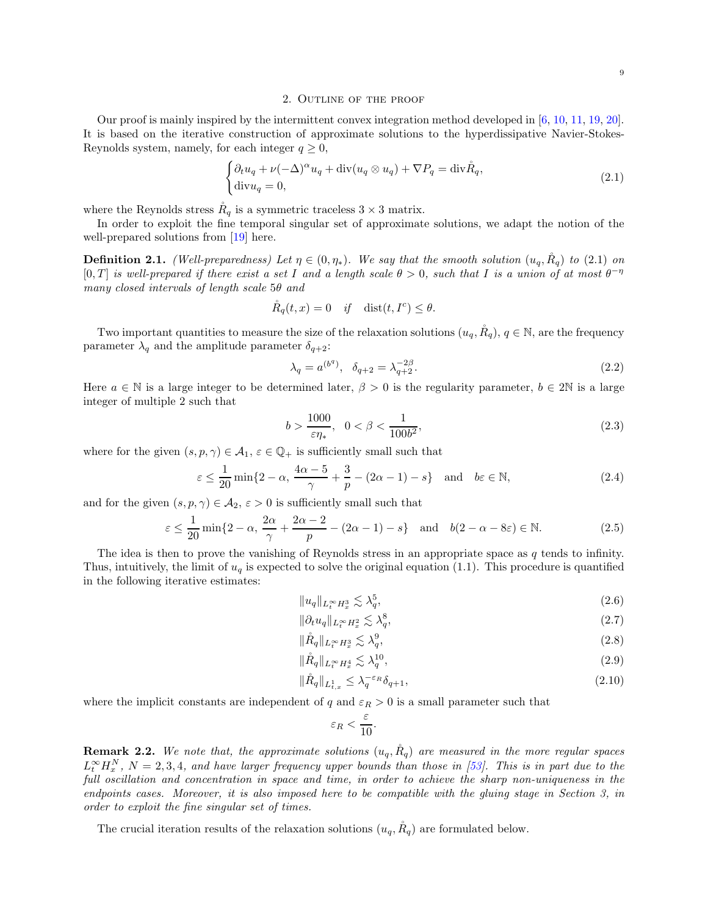#### 2. Outline of the proof

<span id="page-8-0"></span>Our proof is mainly inspired by the intermittent convex integration method developed in [\[6](#page-44-9), [10,](#page-44-3) [11,](#page-44-11) [19](#page-44-14), [20\]](#page-44-17). It is based on the iterative construction of approximate solutions to the hyperdissipative Navier-Stokes-Reynolds system, namely, for each integer  $q \geq 0$ ,

<span id="page-8-1"></span>
$$
\begin{cases} \partial_t u_q + \nu (-\Delta)^\alpha u_q + \operatorname{div}(u_q \otimes u_q) + \nabla P_q = \operatorname{div} \mathring{R}_q, \\ \operatorname{div} u_q = 0, \end{cases} \tag{2.1}
$$

where the Reynolds stress  $R_q$  is a symmetric traceless  $3 \times 3$  matrix.

In order to exploit the fine temporal singular set of approximate solutions, we adapt the notion of the well-prepared solutions from [\[19\]](#page-44-14) here.

**Definition 2.1.** (Well-preparedness) Let  $\eta \in (0, \eta_*)$ . We say that the smooth solution  $(u_q, \mathring{R}_q)$  to [\(2.1\)](#page-8-1) on [0, T] is well-prepared if there exist a set I and a length scale  $\theta > 0$ , such that I is a union of at most  $\theta^{-\eta}$ many closed intervals of length scale 5θ and

$$
\mathring{R}_q(t,x) = 0 \quad \text{if} \quad \text{dist}(t,I^c) \le \theta.
$$

Two important quantities to measure the size of the relaxation solutions  $(u_q, \mathring{R}_q)$ ,  $q \in \mathbb{N}$ , are the frequency parameter  $\lambda_q$  and the amplitude parameter  $\delta_{q+2}$ :

<span id="page-8-9"></span>
$$
\lambda_q = a^{(b^q)}, \quad \delta_{q+2} = \lambda_{q+2}^{-2\beta}.
$$
\n(2.2)

Here  $a \in \mathbb{N}$  is a large integer to be determined later,  $\beta > 0$  is the regularity parameter,  $b \in 2\mathbb{N}$  is a large integer of multiple 2 such that

<span id="page-8-8"></span>
$$
b > \frac{1000}{\varepsilon \eta_*}, \ \ 0 < \beta < \frac{1}{100b^2},\tag{2.3}
$$

where for the given  $(s, p, \gamma) \in \mathcal{A}_1$ ,  $\varepsilon \in \mathbb{Q}_+$  is sufficiently small such that

<span id="page-8-4"></span>
$$
\varepsilon \le \frac{1}{20} \min\{2 - \alpha, \frac{4\alpha - 5}{\gamma} + \frac{3}{p} - (2\alpha - 1) - s\} \quad \text{and} \quad b\varepsilon \in \mathbb{N},\tag{2.4}
$$

and for the given  $(s, p, \gamma) \in \mathcal{A}_2$ ,  $\varepsilon > 0$  is sufficiently small such that

<span id="page-8-5"></span>
$$
\varepsilon \le \frac{1}{20} \min\{2 - \alpha, \frac{2\alpha}{\gamma} + \frac{2\alpha - 2}{p} - (2\alpha - 1) - s\} \quad \text{and} \quad b(2 - \alpha - 8\varepsilon) \in \mathbb{N}.
$$
 (2.5)

The idea is then to prove the vanishing of Reynolds stress in an appropriate space as  $q$  tends to infinity. Thus, intuitively, the limit of  $u_q$  is expected to solve the original equation [\(1.1\)](#page-1-2). This procedure is quantified in the following iterative estimates:

$$
||u_q||_{L_t^{\infty}H_x^3} \lesssim \lambda_q^5, \tag{2.6}
$$

$$
\|\partial_t u_q\|_{L_t^\infty H_x^2} \lesssim \lambda_q^8,\tag{2.7}
$$

$$
\|\mathring{R}_q\|_{L_t^\infty H_x^3} \lesssim \lambda_q^9,\tag{2.8}
$$

$$
\|\mathring{R}_q\|_{L_t^{\infty}H_x^4} \lesssim \lambda_q^{10},\tag{2.9}
$$

$$
\|\mathring{R}_q\|_{L^1_{t,x}} \le \lambda_q^{-\varepsilon_R} \delta_{q+1},\tag{2.10}
$$

where the implicit constants are independent of q and  $\varepsilon_R > 0$  is a small parameter such that

<span id="page-8-10"></span><span id="page-8-7"></span><span id="page-8-6"></span><span id="page-8-3"></span><span id="page-8-2"></span>
$$
\varepsilon_R < \frac{\varepsilon}{10}.
$$

**Remark 2.2.** We note that, the approximate solutions  $(u_q, \tilde{R}_q)$  are measured in the more regular spaces  $L_t^{\infty}H_x^N$ ,  $N=2,3,4$ , and have larger frequency upper bounds than those in [\[53](#page-45-20)]. This is in part due to the full oscillation and concentration in space and time, in order to achieve the sharp non-uniqueness in the endpoints cases. Moreover, it is also imposed here to be compatible with the gluing stage in Section [3,](#page-11-0) in order to exploit the fine singular set of times.

The crucial iteration results of the relaxation solutions  $(u_q, R_q)$  are formulated below.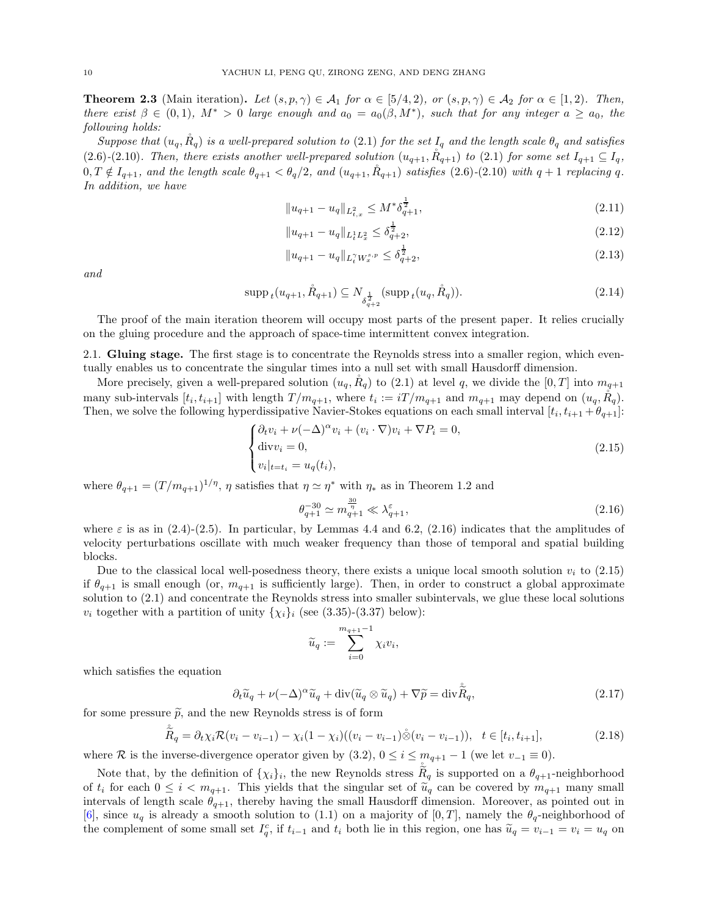<span id="page-9-5"></span>**Theorem 2.3** (Main iteration). Let  $(s, p, \gamma) \in A_1$  for  $\alpha \in [5/4, 2)$ , or  $(s, p, \gamma) \in A_2$  for  $\alpha \in [1, 2)$ . Then, there exist  $\beta \in (0,1)$ ,  $M^* > 0$  large enough and  $a_0 = a_0(\beta, M^*)$ , such that for any integer  $a \ge a_0$ , the following holds:

Suppose that  $(u_q, \mathring{R}_q)$  is a well-prepared solution to [\(2.1\)](#page-8-1) for the set  $I_q$  and the length scale  $\theta_q$  and satisfies [\(2.6\)](#page-8-2)-[\(2.10\)](#page-8-3). Then, there exists another well-prepared solution  $(u_{q+1}, R_{q+1})$  to [\(2.1\)](#page-8-1) for some set  $I_{q+1} \subseteq I_q$ ,  $0, T \notin I_{q+1}$ , and the length scale  $\theta_{q+1} < \theta_q/2$ , and  $(u_{q+1}, R_{q+1})$  satisfies [\(2.6\)](#page-8-2)-[\(2.10\)](#page-8-3) with  $q+1$  replacing q. In addition, we have

<span id="page-9-3"></span>
$$
||u_{q+1} - u_q||_{L^2_{t,x}} \le M^* \delta_{q+1}^{\frac{1}{2}},
$$
\n(2.11)

$$
||u_{q+1} - u_q||_{L^1_t L^2_x} \le \delta_{q+2}^{\frac{1}{2}},\tag{2.12}
$$

<span id="page-9-6"></span><span id="page-9-4"></span>
$$
||u_{q+1} - u_q||_{L_t^{\gamma} W_x^{s,p}} \le \delta_{q+2}^{\frac{1}{2}},
$$
\n(2.13)

and

$$
\operatorname{supp}_{t}(u_{q+1}, \mathring{R}_{q+1}) \subseteq N_{\delta_{q+2}^{\frac{1}{2}}}(\operatorname{supp}_{t}(u_{q}, \mathring{R}_{q})).
$$
\n(2.14)

The proof of the main iteration theorem will occupy most parts of the present paper. It relies crucially on the gluing procedure and the approach of space-time intermittent convex integration.

<span id="page-9-0"></span>2.1. Gluing stage. The first stage is to concentrate the Reynolds stress into a smaller region, which eventually enables us to concentrate the singular times into a null set with small Hausdorff dimension.

More precisely, given a well-prepared solution  $(u_q, R_q)$  to [\(2.1\)](#page-8-1) at level q, we divide the [0, T] into  $m_{q+1}$ many sub-intervals  $[t_i, t_{i+1}]$  with length  $T/m_{q+1}$ , where  $t_i := iT/m_{q+1}$  and  $m_{q+1}$  may depend on  $(u_q, \mathring{R}_q)$ . Then, we solve the following hyperdissipative Navier-Stokes equations on each small interval  $[t_i, t_{i+1} + \theta_{q+1}]$ :

<span id="page-9-2"></span>
$$
\begin{cases} \partial_t v_i + \nu (-\Delta)^\alpha v_i + (v_i \cdot \nabla) v_i + \nabla P_i = 0, \\ \text{div} v_i = 0, \\ v_i|_{t=t_i} = u_q(t_i), \end{cases}
$$
\n(2.15)

where  $\theta_{q+1} = (T/m_{q+1})^{1/\eta}$ ,  $\eta$  satisfies that  $\eta \simeq \eta^*$  with  $\eta_*$  as in Theorem [1.2](#page-5-0) and

<span id="page-9-1"></span>
$$
\theta_{q+1}^{-30} \simeq m_{q+1}^{\frac{30}{\eta}} \ll \lambda_{q+1}^{\varepsilon},\tag{2.16}
$$

where  $\varepsilon$  is as in [\(2.4\)](#page-8-4)-[\(2.5\)](#page-8-5). In particular, by Lemmas [4.4](#page-21-0) and [6.2,](#page-31-1) [\(2.16\)](#page-9-1) indicates that the amplitudes of velocity perturbations oscillate with much weaker frequency than those of temporal and spatial building blocks.

Due to the classical local well-posedness theory, there exists a unique local smooth solution  $v_i$  to [\(2.15\)](#page-9-2) if  $\theta_{q+1}$  is small enough (or,  $m_{q+1}$  is sufficiently large). Then, in order to construct a global approximate solution to [\(2.1\)](#page-8-1) and concentrate the Reynolds stress into smaller subintervals, we glue these local solutions  $v_i$  together with a partition of unity  $\{\chi_i\}_i$  (see [\(3.35\)](#page-15-2)-[\(3.37\)](#page-15-3) below):

$$
\widetilde{u}_q := \sum_{i=0}^{m_{q+1}-1} \chi_i v_i,
$$

which satisfies the equation

$$
\partial_t \widetilde{u}_q + \nu(-\Delta)^\alpha \widetilde{u}_q + \operatorname{div}(\widetilde{u}_q \otimes \widetilde{u}_q) + \nabla \widetilde{p} = \operatorname{div} \widetilde{R}_q,\tag{2.17}
$$

for some pressure  $\tilde{p}$ , and the new Reynolds stress is of form

$$
\tilde{\tilde{R}}_q = \partial_t \chi_i \mathcal{R}(v_i - v_{i-1}) - \chi_i (1 - \chi_i) ((v_i - v_{i-1}) \overset{\circ}{\otimes} (v_i - v_{i-1})), \quad t \in [t_i, t_{i+1}], \tag{2.18}
$$

where R is the inverse-divergence operator given by  $(3.2)$ ,  $0 \le i \le m_{q+1} - 1$  (we let  $v_{-1} \equiv 0$ ).

Note that, by the definition of  $\{\chi_i\}_i$ , the new Reynolds stress  $\tilde{\tilde{R}}_q$  is supported on a  $\theta_{q+1}$ -neighborhood of  $t_i$  for each  $0 \leq i < m_{q+1}$ . This yields that the singular set of  $\tilde{u}_q$  can be covered by  $m_{q+1}$  many small intervals of length scale  $\theta_{q+1}$ , thereby having the small Hausdorff dimension. Moreover, as pointed out in [\[6\]](#page-44-9), since  $u_q$  is already a smooth solution to [\(1.1\)](#page-1-2) on a majority of [0, T], namely the  $\theta_q$ -neighborhood of the complement of some small set  $I_q^c$ , if  $t_{i-1}$  and  $t_i$  both lie in this region, one has  $\widetilde{u}_q = v_{i-1} = v_i = u_q$  on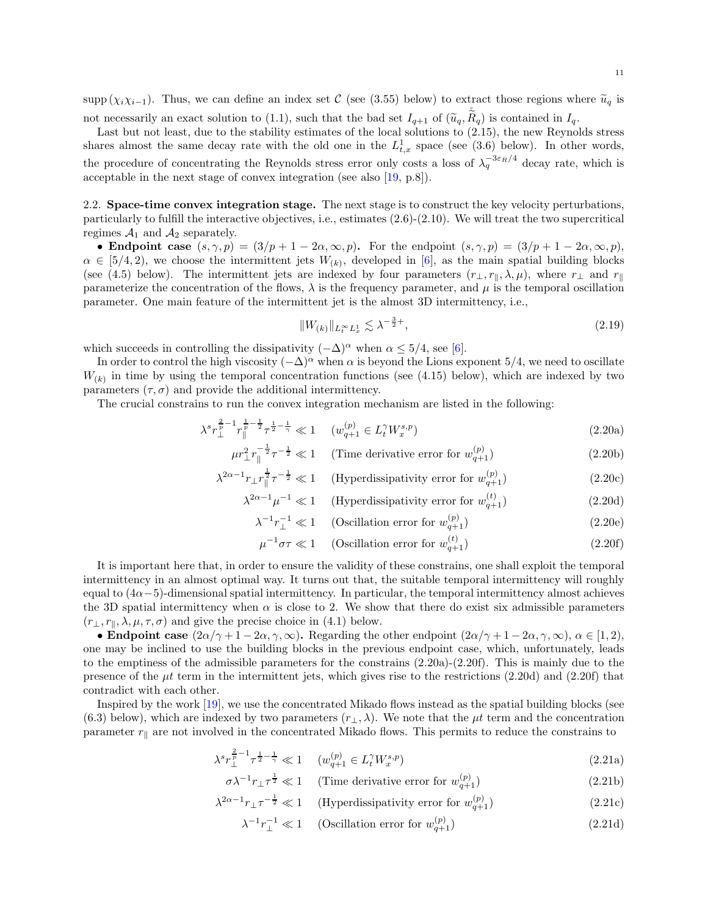supp  $(\chi_i\chi_{i-1})$ . Thus, we can define an index set C (see [\(3.55\)](#page-17-0) below) to extract those regions where  $\tilde{u}_q$  is not necessarily an exact solution to [\(1.1\)](#page-1-2), such that the bad set  $I_{q+1}$  of  $(\tilde{u}_q, \tilde{R}_q)$  is contained in  $I_q$ .

Last but not least, due to the stability estimates of the local solutions to [\(2.15\)](#page-9-2), the new Reynolds stress shares almost the same decay rate with the old one in the  $L_{t,x}^1$  space (see [\(3.6\)](#page-11-3) below). In other words, the procedure of concentrating the Reynolds stress error only costs a loss of  $\lambda_q^{-3\varepsilon_R/4}$  decay rate, which is acceptable in the next stage of convex integration (see also [\[19,](#page-44-14) p.8]).

<span id="page-10-0"></span>2.2. Space-time convex integration stage. The next stage is to construct the key velocity perturbations, particularly to fulfill the interactive objectives, i.e., estimates [\(2.6\)](#page-8-2)-[\(2.10\)](#page-8-3). We will treat the two supercritical regimes  $A_1$  and  $A_2$  separately.

• Endpoint case  $(s, \gamma, p) = (3/p + 1 - 2\alpha, \infty, p)$ . For the endpoint  $(s, \gamma, p) = (3/p + 1 - 2\alpha, \infty, p)$ ,  $\alpha \in [5/4, 2)$ , we choose the intermittent jets  $W_{(k)}$ , developed in [\[6](#page-44-9)], as the main spatial building blocks (see [\(4.5\)](#page-19-1) below). The intermittent jets are indexed by four parameters  $(r_{\perp}, r_{\parallel}, \lambda, \mu)$ , where  $r_{\perp}$  and  $r_{\parallel}$ parameterize the concentration of the flows,  $\lambda$  is the frequency parameter, and  $\mu$  is the temporal oscillation parameter. One main feature of the intermittent jet is the almost 3D intermittency, i.e.,

<span id="page-10-1"></span>
$$
||W_{(k)}||_{L_t^{\infty}L_x^1} \lesssim \lambda^{-\frac{3}{2}+},\tag{2.19}
$$

which succeeds in controlling the dissipativity  $(-\Delta)^{\alpha}$  when  $\alpha \leq 5/4$ , see [\[6\]](#page-44-9).

In order to control the high viscosity  $(-\Delta)^\alpha$  when  $\alpha$  is beyond the Lions exponent 5/4, we need to oscillate  $W_{(k)}$  in time by using the temporal concentration functions (see [\(4.15\)](#page-20-1) below), which are indexed by two parameters  $(\tau, \sigma)$  and provide the additional intermittency.

The crucial constrains to run the convex integration mechanism are listed in the following:

$$
\lambda^s r_{\perp}^{\frac{2}{p}-1} r_{\parallel}^{\frac{1}{p}-\frac{1}{2}} \tau^{\frac{1}{2}-\frac{1}{\gamma}} \ll 1 \quad (w_{q+1}^{(p)} \in L_t^{\gamma} W_x^{s,p}) \tag{2.20a}
$$

$$
\mu r_{\perp}^2 r_{\parallel}^{-\frac{1}{2}} \tau^{-\frac{1}{2}} \ll 1 \qquad \text{(Time derivative error for } w_{q+1}^{(p)}\text{)}\tag{2.20b}
$$

$$
\lambda^{2\alpha - 1} r_{\perp} r_{\parallel}^{\frac{1}{2}} \tau^{-\frac{1}{2}} \ll 1 \quad \text{(Hyperdissipativity error for } w_{q+1}^{(p)} \text{)} \tag{2.20c}
$$

$$
\lambda^{2\alpha - 1} \mu^{-1} \ll 1 \quad \text{(Hyperdissipativity error for } w_{q+1}^{(t)} \text{)} \tag{2.20d}
$$

<span id="page-10-3"></span>
$$
\lambda^{-1} r_{\perp}^{-1} \ll 1 \quad \text{(Oscillation error for } w_{q+1}^{(p)} \text{)} \tag{2.20e}
$$

<span id="page-10-2"></span>
$$
\mu^{-1}\sigma\tau \ll 1 \quad \text{(Oscillation error for } w_{q+1}^{(t)})\tag{2.20f}
$$

It is important here that, in order to ensure the validity of these constrains, one shall exploit the temporal intermittency in an almost optimal way. It turns out that, the suitable temporal intermittency will roughly equal to  $(4\alpha - 5)$ -dimensional spatial intermittency. In particular, the temporal intermittency almost achieves the 3D spatial intermittency when  $\alpha$  is close to 2. We show that there do exist six admissible parameters  $(r_{\perp}, r_{\parallel}, \lambda, \mu, \tau, \sigma)$  and give the precise choice in [\(4.1\)](#page-18-2) below.

• Endpoint case  $(2\alpha/\gamma + 1 - 2\alpha, \gamma, \infty)$ . Regarding the other endpoint  $(2\alpha/\gamma + 1 - 2\alpha, \gamma, \infty)$ ,  $\alpha \in [1, 2)$ , one may be inclined to use the building blocks in the previous endpoint case, which, unfortunately, leads to the emptiness of the admissible parameters for the constrains [\(2.20a\)](#page-10-1)-[\(2.20f\)](#page-10-2). This is mainly due to the presence of the  $\mu t$  term in the intermittent jets, which gives rise to the restrictions [\(2.20d\)](#page-10-3) and [\(2.20f\)](#page-10-2) that contradict with each other.

Inspired by the work [\[19\]](#page-44-14), we use the concentrated Mikado flows instead as the spatial building blocks (see [\(6.3\)](#page-31-2) below), which are indexed by two parameters  $(r_{\perp}, \lambda)$ . We note that the  $\mu t$  term and the concentration parameter  $r_{\parallel}$  are not involved in the concentrated Mikado flows. This permits to reduce the constrains to

$$
\lambda^s r_{\perp}^{\frac{2}{p}-1} \tau^{\frac{1}{2}-\frac{1}{\gamma}} \ll 1 \qquad (w_{q+1}^{(p)} \in L_t^{\gamma} W_x^{s,p}) \tag{2.21a}
$$

$$
\sigma \lambda^{-1} r_{\perp} \tau^{\frac{1}{2}} \ll 1 \quad \text{(Time derivative error for } w_{q+1}^{(p)} \text{)} \tag{2.21b}
$$

$$
\lambda^{2\alpha - 1} r_\perp \tau^{-\frac{1}{2}} \ll 1 \quad \text{(Hyperdissipativity error for } w_{q+1}^{(p)} \text{)} \tag{2.21c}
$$

<span id="page-10-5"></span><span id="page-10-4"></span>
$$
\lambda^{-1} r_{\perp}^{-1} \ll 1 \quad \text{(Oscillation error for } w_{q+1}^{(p)} \text{)} \tag{2.21d}
$$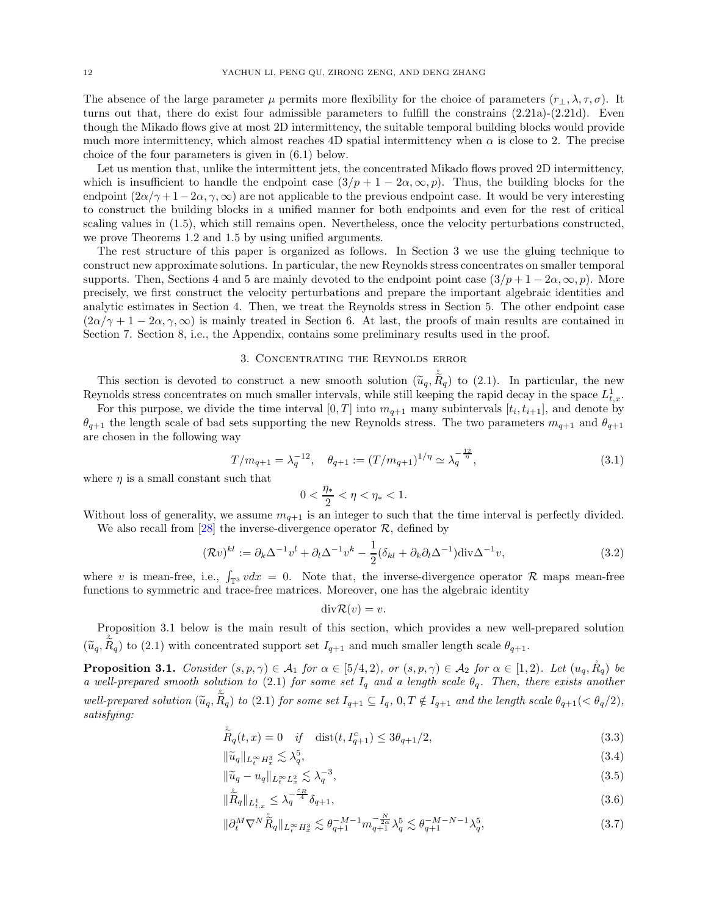The absence of the large parameter  $\mu$  permits more flexibility for the choice of parameters  $(r_{\perp}, \lambda, \tau, \sigma)$ . It turns out that, there do exist four admissible parameters to fulfill the constrains [\(2.21a\)](#page-10-4)-[\(2.21d\)](#page-10-5). Even though the Mikado flows give at most 2D intermittency, the suitable temporal building blocks would provide much more intermittency, which almost reaches 4D spatial intermittency when  $\alpha$  is close to 2. The precise choice of the four parameters is given in [\(6.1\)](#page-30-2) below.

Let us mention that, unlike the intermittent jets, the concentrated Mikado flows proved 2D intermittency, which is insufficient to handle the endpoint case  $(3/p + 1 - 2\alpha, \infty, p)$ . Thus, the building blocks for the endpoint  $(2\alpha/\gamma + 1 - 2\alpha, \gamma, \infty)$  are not applicable to the previous endpoint case. It would be very interesting to construct the building blocks in a unified manner for both endpoints and even for the rest of critical scaling values in [\(1.5\)](#page-2-0), which still remains open. Nevertheless, once the velocity perturbations constructed, we prove Theorems [1.2](#page-5-0) and [1.5](#page-6-2) by using unified arguments.

The rest structure of this paper is organized as follows. In Section [3](#page-11-0) we use the gluing technique to construct new approximate solutions. In particular, the new Reynolds stress concentrates on smaller temporal supports. Then, Sections [4](#page-18-0) and [5](#page-26-0) are mainly devoted to the endpoint point case  $(3/p + 1 - 2\alpha, \infty, p)$ . More precisely, we first construct the velocity perturbations and prepare the important algebraic identities and analytic estimates in Section [4.](#page-18-0) Then, we treat the Reynolds stress in Section [5.](#page-26-0) The other endpoint case  $(2\alpha/\gamma + 1 - 2\alpha, \gamma, \infty)$  is mainly treated in Section [6.](#page-30-0) At last, the proofs of main results are contained in Section [7.](#page-36-0) Section [8,](#page-42-0) i.e., the Appendix, contains some preliminary results used in the proof.

### 3. Concentrating the Reynolds error

<span id="page-11-0"></span>This section is devoted to construct a new smooth solution  $(\tilde{u}_q, \tilde{\tilde{R}}_q)$  to [\(2.1\)](#page-8-1). In particular, the new  $\tilde{v}_q$ Reynolds stress concentrates on much smaller intervals, while still keeping the rapid decay in the space  $L_{t,x}^1$ .

For this purpose, we divide the time interval  $[0,T]$  into  $m_{q+1}$  many subintervals  $[t_i, t_{i+1}]$ , and denote by  $\theta_{q+1}$  the length scale of bad sets supporting the new Reynolds stress. The two parameters  $m_{q+1}$  and  $\theta_{q+1}$ are chosen in the following way

$$
T/m_{q+1} = \lambda_q^{-12}, \quad \theta_{q+1} := (T/m_{q+1})^{1/\eta} \simeq \lambda_q^{-\frac{12}{\eta}}, \tag{3.1}
$$

where  $\eta$  is a small constant such that

<span id="page-11-4"></span>
$$
0 < \frac{\eta_*}{2} < \eta < \eta_* < 1.
$$

Without loss of generality, we assume  $m_{q+1}$  is an integer to such that the time interval is perfectly divided. We also recall from [\[28\]](#page-45-7) the inverse-divergence operator  $\mathcal{R}$ , defined by

$$
(\mathcal{R}v)^{kl} := \partial_k \Delta^{-1} v^l + \partial_l \Delta^{-1} v^k - \frac{1}{2} (\delta_{kl} + \partial_k \partial_l \Delta^{-1}) \operatorname{div} \Delta^{-1} v, \tag{3.2}
$$

where v is mean-free, i.e.,  $\int_{\mathbb{T}^3} v dx = 0$ . Note that, the inverse-divergence operator R maps mean-free functions to symmetric and trace-free matrices. Moreover, one has the algebraic identity

<span id="page-11-8"></span><span id="page-11-7"></span><span id="page-11-6"></span><span id="page-11-5"></span><span id="page-11-3"></span><span id="page-11-2"></span>
$$
\mathrm{div}\mathcal{R}(v)=v.
$$

Proposition [3.1](#page-11-1) below is the main result of this section, which provides a new well-prepared solution  $(\tilde{u}_q, \tilde{R}_q)$  to [\(2.1\)](#page-8-1) with concentrated support set  $I_{q+1}$  and much smaller length scale  $\theta_{q+1}$ .

<span id="page-11-1"></span>**Proposition 3.1.** Consider  $(s, p, \gamma) \in A_1$  for  $\alpha \in [5/4, 2)$ , or  $(s, p, \gamma) \in A_2$  for  $\alpha \in [1, 2)$ . Let  $(u_q, R_q)$  be a well-prepared smooth solution to [\(2.1\)](#page-8-1) for some set  $I_q$  and a length scale  $\theta_q$ . Then, there exists another well-prepared solution  $(\tilde{u}_q, \tilde{\tilde{R}}_q)$  to [\(2.1\)](#page-8-1) for some set  $I_{q+1} \subseteq I_q$ ,  $0, T \notin I_{q+1}$  and the length scale  $\theta_{q+1}$  (<  $\theta_q$ /2), satisfying:

$$
\tilde{\tilde{R}}_q(t,x) = 0 \quad \text{if} \quad \text{dist}(t, I_{q+1}^c) \le 3\theta_{q+1}/2,\tag{3.3}
$$

$$
\|\widetilde{u}_q\|_{L_t^\infty H_x^3} \lesssim \lambda_q^5,\tag{3.4}
$$

$$
\|\tilde{u}_q - u_q\|_{L_t^{\infty} L_x^2} \lesssim \lambda_q^{-3},\tag{3.5}
$$

$$
\|\tilde{\tilde{R}}_{q}\|_{L^{1}_{t,x}} \leq \lambda_{q}^{-\frac{\varepsilon_{R}}{4}} \delta_{q+1},\tag{3.6}
$$

$$
\|\partial_t^M \nabla^N \tilde{\tilde{R}}_q\|_{L_t^\infty H_x^3} \lesssim \theta_{q+1}^{-M-1} m_{q+1}^{-\frac{N}{2\alpha}} \lambda_q^5 \lesssim \theta_{q+1}^{-M-N-1} \lambda_q^5,\tag{3.7}
$$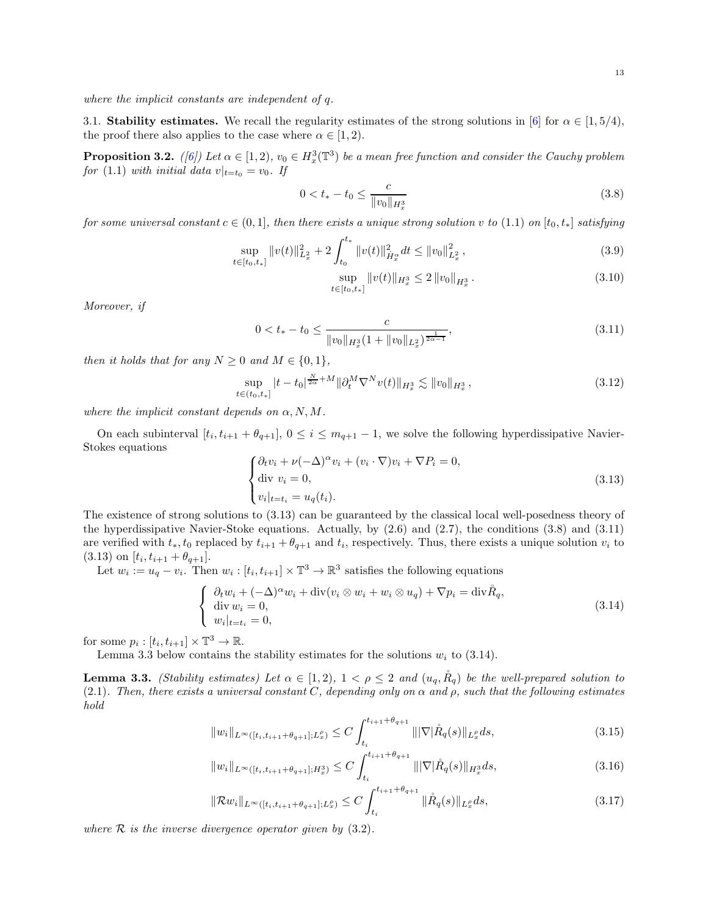<span id="page-12-0"></span>where the implicit constants are independent of q.

3.1. Stability estimates. We recall the regularity estimates of the strong solutions in [\[6\]](#page-44-9) for  $\alpha \in [1, 5/4)$ , the proof there also applies to the case where  $\alpha \in [1, 2)$ .

<span id="page-12-11"></span>**Proposition 3.2.** ([\[6](#page-44-9)]) Let  $\alpha \in [1,2)$ ,  $v_0 \in H_x^3(\mathbb{T}^3)$  be a mean free function and consider the Cauchy problem for [\(1.1\)](#page-1-2) with initial data  $v|_{t=t_0} = v_0$ . If

$$
0 < t_* - t_0 \le \frac{c}{\|v_0\|_{H_x^3}}\tag{3.8}
$$

for some universal constant  $c \in (0,1]$ , then there exists a unique strong solution v to  $(1.1)$  on  $[t_0, t_*]$  satisfying

$$
\sup_{t \in [t_0, t_*]} \|v(t)\|_{L_x^2}^2 + 2 \int_{t_0}^{t_*} \|v(t)\|_{\dot{H}_x^{\alpha}}^2 dt \le \|v_0\|_{L_x^2}^2 ,\tag{3.9}
$$

<span id="page-12-10"></span><span id="page-12-7"></span><span id="page-12-3"></span><span id="page-12-2"></span>
$$
\sup_{t \in [t_0, t_*]} \|v(t)\|_{H_x^3} \le 2 \|v_0\|_{H_x^3}.
$$
\n(3.10)

Moreover, if

$$
0 < t_* - t_0 \le \frac{c}{\|v_0\|_{H_x^3} (1 + \|v_0\|_{L_x^2})^{\frac{1}{2\alpha - 1}}},\tag{3.11}
$$

then it holds that for any  $N \geq 0$  and  $M \in \{0, 1\}$ ,

$$
\sup_{t \in (t_0, t_*]} |t - t_0|^{\frac{N}{2\alpha} + M} \|\partial_t^M \nabla^N v(t)\|_{H^3_x} \lesssim \|v_0\|_{H^3_x},
$$
\n(3.12)

where the implicit constant depends on  $\alpha, N, M$ .

On each subinterval  $[t_i, t_{i+1} + \theta_{q+1}], 0 \leq i \leq m_{q+1} - 1$ , we solve the following hyperdissipative Navier-Stokes equations

<span id="page-12-1"></span>
$$
\begin{cases} \partial_t v_i + \nu (-\Delta)^\alpha v_i + (v_i \cdot \nabla) v_i + \nabla P_i = 0, \\ \text{div } v_i = 0, \\ v_i|_{t=t_i} = u_q(t_i). \end{cases}
$$
\n(3.13)

The existence of strong solutions to [\(3.13\)](#page-12-1) can be guaranteed by the classical local well-posedness theory of the hyperdissipative Navier-Stoke equations. Actually, by [\(2.6\)](#page-8-2) and [\(2.7\)](#page-8-6), the conditions [\(3.8\)](#page-12-2) and [\(3.11\)](#page-12-3) are verified with  $t_*, t_0$  replaced by  $t_{i+1} + \theta_{q+1}$  and  $t_i$ , respectively. Thus, there exists a unique solution  $v_i$  to  $(3.13)$  on  $[t_i, t_{i+1} + \theta_{q+1}].$ 

Let  $w_i := u_q - v_i$ . Then  $w_i : [t_i, t_{i+1}] \times \mathbb{T}^3 \to \mathbb{R}^3$  satisfies the following equations

<span id="page-12-5"></span>
$$
\begin{cases}\n\partial_t w_i + (-\Delta)^\alpha w_i + \operatorname{div}(v_i \otimes w_i + w_i \otimes u_q) + \nabla p_i = \operatorname{div} \mathring{R}_q, \\
\operatorname{div} w_i = 0, \\
w_i|_{t=t_i} = 0,\n\end{cases}
$$
\n(3.14)

for some  $p_i : [t_i, t_{i+1}] \times \mathbb{T}^3 \to \mathbb{R}$ .

Lemma [3.3](#page-12-4) below contains the stability estimates for the solutions  $w_i$  to [\(3.14\)](#page-12-5).

<span id="page-12-4"></span>**Lemma 3.3.** (Stability estimates) Let  $\alpha \in [1,2)$ ,  $1 < \rho \leq 2$  and  $(u_q, R_q)$  be the well-prepared solution to [\(2.1\)](#page-8-1). Then, there exists a universal constant C, depending only on  $\alpha$  and  $\rho$ , such that the following estimates hold

$$
||w_i||_{L^{\infty}([t_i, t_{i+1} + \theta_{q+1}]; L^{\rho}_x)} \le C \int_{t_i}^{t_{i+1} + \theta_{q+1}} |||\nabla |\mathring{R}_q(s)||_{L^{\rho}_x} ds,
$$
\n(3.15)

<span id="page-12-8"></span><span id="page-12-6"></span>
$$
||w_i||_{L^{\infty}([t_i, t_{i+1} + \theta_{q+1}]; H^3_x)} \le C \int_{t_i}^{t_{i+1} + \theta_{q+1}} |||\nabla |\mathring{R}_q(s)||_{H^3_x} ds,
$$
\n(3.16)

<span id="page-12-9"></span>
$$
\|\mathcal{R}w_i\|_{L^{\infty}([t_i,t_{i+1}+\theta_{q+1}];L^{\rho}_x)} \leq C \int_{t_i}^{t_{i+1}+\theta_{q+1}} \|\mathring{R}_q(s)\|_{L^{\rho}_x} ds,
$$
\n(3.17)

where  $R$  is the inverse divergence operator given by  $(3.2)$ .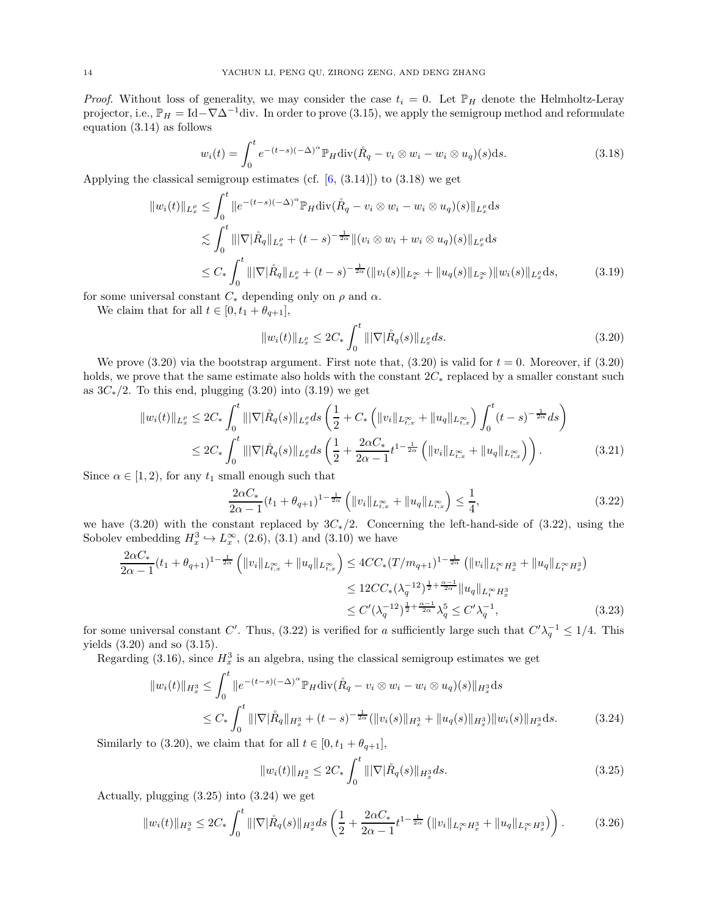*Proof.* Without loss of generality, we may consider the case  $t_i = 0$ . Let  $\mathbb{P}_H$  denote the Helmholtz-Leray projector, i.e.,  $\mathbb{P}_H = \text{Id} - \nabla \Delta^{-1}$ div. In order to prove [\(3.15\)](#page-12-6), we apply the semigroup method and reformulate equation [\(3.14\)](#page-12-5) as follows

$$
w_i(t) = \int_0^t e^{-(t-s)(-\Delta)^{\alpha}} \mathbb{P}_H \text{div}(\mathring{R}_q - v_i \otimes w_i - w_i \otimes u_q)(s) \, ds. \tag{3.18}
$$

Applying the classical semigroup estimates (cf.  $[6, (3.14)]$ ) to  $(3.18)$  we get

$$
||w_i(t)||_{L_x^{\rho}} \leq \int_0^t ||e^{-(t-s)(-\Delta)^{\alpha}} \mathbb{P}_H \text{div}(\mathring{R}_q - v_i \otimes w_i - w_i \otimes u_q)(s)||_{L_x^{\rho}} ds
$$
  
\n
$$
\lesssim \int_0^t |||\nabla |\mathring{R}_q||_{L_x^{\rho}} + (t-s)^{-\frac{1}{2\alpha}} ||(v_i \otimes w_i + w_i \otimes u_q)(s)||_{L_x^{\rho}} ds
$$
  
\n
$$
\leq C_* \int_0^t |||\nabla |\mathring{R}_q||_{L_x^{\rho}} + (t-s)^{-\frac{1}{2\alpha}} (||v_i(s)||_{L_x^{\infty}} + ||u_q(s)||_{L_x^{\infty}}) ||w_i(s)||_{L_x^{\rho}} ds,
$$
\n(3.19)

for some universal constant  $C_*$  depending only on  $\rho$  and  $\alpha$ .

We claim that for all  $t \in [0, t_1 + \theta_{q+1}],$ 

<span id="page-13-2"></span><span id="page-13-1"></span><span id="page-13-0"></span>
$$
||w_i(t)||_{L^{\rho}_x} \le 2C_* \int_0^t |||\nabla|\mathring{R}_q(s)||_{L^{\rho}_x} ds.
$$
\n(3.20)

We prove  $(3.20)$  via the bootstrap argument. First note that,  $(3.20)$  is valid for  $t = 0$ . Moreover, if  $(3.20)$ holds, we prove that the same estimate also holds with the constant  $2C_*$  replaced by a smaller constant such as  $3C_*/2$ . To this end, plugging [\(3.20\)](#page-13-1) into [\(3.19\)](#page-13-2) we get

$$
\|w_i(t)\|_{L_x^{\rho}} \le 2C_* \int_0^t \|\nabla |\mathring{R}_q(s)\|_{L_x^{\rho}} ds \left(\frac{1}{2} + C_* \left(\|v_i\|_{L_{t,x}^{\infty}} + \|u_q\|_{L_{t,x}^{\infty}}\right) \int_0^t (t-s)^{-\frac{1}{2\alpha}} ds\right)
$$
  

$$
\le 2C_* \int_0^t \|\nabla |\mathring{R}_q(s)\|_{L_x^{\rho}} ds \left(\frac{1}{2} + \frac{2\alpha C_*}{2\alpha - 1} t^{1 - \frac{1}{2\alpha}} \left(\|v_i\|_{L_{t,x}^{\infty}} + \|u_q\|_{L_{t,x}^{\infty}}\right)\right).
$$
 (3.21)

Since  $\alpha \in [1, 2)$ , for any  $t_1$  small enough such that

<span id="page-13-3"></span>
$$
\frac{2\alpha C_*}{2\alpha - 1}(t_1 + \theta_{q+1})^{1 - \frac{1}{2\alpha}} \left( \|v_i\|_{L^{\infty}_{t,x}} + \|u_q\|_{L^{\infty}_{t,x}} \right) \le \frac{1}{4},\tag{3.22}
$$

we have [\(3.20\)](#page-13-1) with the constant replaced by  $3C_*/2$ . Concerning the left-hand-side of [\(3.22\)](#page-13-3), using the Sobolev embedding  $H_x^3 \hookrightarrow L_x^{\infty}$ , [\(2.6\)](#page-8-2), [\(3.1\)](#page-11-4) and [\(3.10\)](#page-12-7) we have

$$
\frac{2\alpha C_{*}}{2\alpha - 1}(t_{1} + \theta_{q+1})^{1 - \frac{1}{2\alpha}} \left( \|v_{i}\|_{L_{t,x}^{\infty}} + \|u_{q}\|_{L_{t,x}^{\infty}} \right) \leq 4CC_{*}(T/m_{q+1})^{1 - \frac{1}{2\alpha}} \left( \|v_{i}\|_{L_{t}^{\infty} H_{x}^{3}} + \|u_{q}\|_{L_{t}^{\infty} H_{x}^{3}} \right)
$$
  
\n
$$
\leq 12CC_{*}(\lambda_{q}^{-12})^{\frac{1}{2} + \frac{\alpha - 1}{2\alpha}} \|u_{q}\|_{L_{t}^{\infty} H_{x}^{3}}
$$
  
\n
$$
\leq C'(\lambda_{q}^{-12})^{\frac{1}{2} + \frac{\alpha - 1}{2\alpha}} \lambda_{q}^{5} \leq C' \lambda_{q}^{-1},
$$
\n(3.23)

for some universal constant C'. Thus, [\(3.22\)](#page-13-3) is verified for a sufficiently large such that  $C'\lambda_q^{-1} \leq 1/4$ . This yields [\(3.20\)](#page-13-1) and so [\(3.15\)](#page-12-6).

Regarding [\(3.16\)](#page-12-8), since  $H_x^3$  is an algebra, using the classical semigroup estimates we get

$$
||w_i(t)||_{H_x^3} \le \int_0^t ||e^{-(t-s)(-\Delta)^\alpha} \mathbb{P}_H \text{div}(\mathring{R}_q - v_i \otimes w_i - w_i \otimes u_q)(s)||_{H_x^3} ds
$$
  
\n
$$
\le C_* \int_0^t |||\nabla|\mathring{R}_q||_{H_x^3} + (t-s)^{-\frac{1}{2\alpha}} (||v_i(s)||_{H_x^3} + ||u_q(s)||_{H_x^3}) ||w_i(s)||_{H_x^3} ds.
$$
 (3.24)

Similarly to [\(3.20\)](#page-13-1), we claim that for all  $t \in [0, t_1 + \theta_{q+1}],$ 

<span id="page-13-5"></span><span id="page-13-4"></span>
$$
||w_i(t)||_{H_x^3} \le 2C_* \int_0^t |||\nabla|\mathring{R}_q(s)||_{H_x^3} ds. \tag{3.25}
$$

Actually, plugging [\(3.25\)](#page-13-4) into [\(3.24\)](#page-13-5) we get

$$
||w_i(t)||_{H_x^3} \le 2C_* \int_0^t |||\nabla|\mathring{R}_q(s)||_{H_x^3} ds \left(\frac{1}{2} + \frac{2\alpha C_*}{2\alpha - 1} t^{1 - \frac{1}{2\alpha}} \left(||v_i||_{L_t^\infty H_x^3} + ||u_q||_{L_t^\infty H_x^3}\right)\right). \tag{3.26}
$$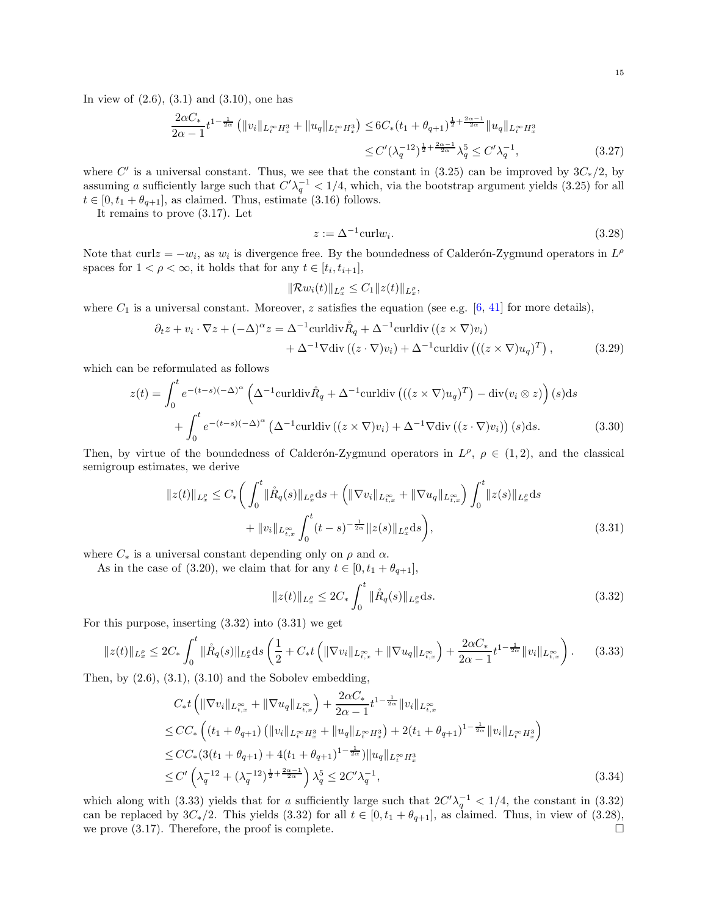In view of  $(2.6)$ ,  $(3.1)$  and  $(3.10)$ , one has

$$
\frac{2\alpha C_{*}}{2\alpha - 1} t^{1 - \frac{1}{2\alpha}} \left( \|v_{i}\|_{L_{t}^{\infty} H_{x}^{3}} + \|u_{q}\|_{L_{t}^{\infty} H_{x}^{3}} \right) \leq 6C_{*} (t_{1} + \theta_{q+1})^{\frac{1}{2} + \frac{2\alpha - 1}{2\alpha}} \|u_{q}\|_{L_{t}^{\infty} H_{x}^{3}} \leq C' (\lambda_{q}^{-12})^{\frac{1}{2} + \frac{2\alpha - 1}{2\alpha}} \lambda_{q}^{5} \leq C' \lambda_{q}^{-1},
$$
\n(3.27)

where C' is a universal constant. Thus, we see that the constant in  $(3.25)$  can be improved by  $3C_*/2$ , by assuming a sufficiently large such that  $C'\lambda_q^{-1} < 1/4$ , which, via the bootstrap argument yields [\(3.25\)](#page-13-4) for all  $t \in [0, t_1 + \theta_{q+1}]$ , as claimed. Thus, estimate [\(3.16\)](#page-12-8) follows.

It remains to prove [\(3.17\)](#page-12-9). Let

<span id="page-14-3"></span>
$$
z := \Delta^{-1} \operatorname{curl} w_i. \tag{3.28}
$$

Note that curl $z = -w_i$ , as  $w_i$  is divergence free. By the boundedness of Calderón-Zygmund operators in  $L^{\rho}$ spaces for  $1 < \rho < \infty$ , it holds that for any  $t \in [t_i, t_{i+1}],$ 

$$
\|\mathcal{R}w_i(t)\|_{L^{\rho}_x} \leq C_1 \|z(t)\|_{L^{\rho}_x},
$$

where  $C_1$  is a universal constant. Moreover, z satisfies the equation (see e.g. [\[6,](#page-44-9) [41\]](#page-45-9) for more details),

$$
\partial_t z + v_i \cdot \nabla z + (-\Delta)^\alpha z = \Delta^{-1} \operatorname{curl} \operatorname{div} \mathring{R}_q + \Delta^{-1} \operatorname{curl} \operatorname{div} \left( (z \times \nabla) v_i \right) + \Delta^{-1} \nabla \operatorname{div} \left( (z \cdot \nabla) v_i \right) + \Delta^{-1} \operatorname{curl} \operatorname{div} \left( ((z \times \nabla) u_q)^T \right),
$$
(3.29)

which can be reformulated as follows

$$
z(t) = \int_0^t e^{-(t-s)(-\Delta)^{\alpha}} \left( \Delta^{-1} \operatorname{curl} \operatorname{div} \mathring{R}_q + \Delta^{-1} \operatorname{curl} \operatorname{div} \left( ((z \times \nabla)u_q)^T \right) - \operatorname{div}(v_i \otimes z) \right) (s) ds + \int_0^t e^{-(t-s)(-\Delta)^{\alpha}} \left( \Delta^{-1} \operatorname{curl} \operatorname{div} \left( (z \times \nabla) v_i \right) + \Delta^{-1} \nabla \operatorname{div} \left( (z \cdot \nabla) v_i \right) \right) (s) ds.
$$
 (3.30)

Then, by virtue of the boundedness of Calderón-Zygmund operators in  $L^{\rho}$ ,  $\rho \in (1,2)$ , and the classical semigroup estimates, we derive

$$
||z(t)||_{L_x^{\rho}} \le C_* \bigg( \int_0^t ||\mathring{R}_q(s)||_{L_x^{\rho}} ds + \bigg( \|\nabla v_i\|_{L_{t,x}^{\infty}} + \|\nabla u_q\|_{L_{t,x}^{\infty}} \bigg) \int_0^t ||z(s)||_{L_x^{\rho}} ds + ||v_i||_{L_{t,x}^{\infty}} \int_0^t (t-s)^{-\frac{1}{2\alpha}} ||z(s)||_{L_x^{\rho}} ds \bigg),
$$
\n(3.31)

where  $C_*$  is a universal constant depending only on  $\rho$  and  $\alpha$ .

As in the case of [\(3.20\)](#page-13-1), we claim that for any  $t \in [0, t_1 + \theta_{q+1}],$ 

<span id="page-14-2"></span><span id="page-14-1"></span><span id="page-14-0"></span>
$$
||z(t)||_{L_x^{\rho}} \le 2C_* \int_0^t ||\mathring{R}_q(s)||_{L_x^{\rho}} ds. \tag{3.32}
$$

For this purpose, inserting [\(3.32\)](#page-14-0) into [\(3.31\)](#page-14-1) we get

$$
||z(t)||_{L_x^{\rho}} \le 2C_* \int_0^t ||\mathring{R}_q(s)||_{L_x^{\rho}} ds \left(\frac{1}{2} + C_* t\left(||\nabla v_i||_{L_{t,x}^{\infty}} + ||\nabla u_q||_{L_{t,x}^{\infty}}\right) + \frac{2\alpha C_*}{2\alpha - 1} t^{1 - \frac{1}{2\alpha}} ||v_i||_{L_{t,x}^{\infty}}\right).
$$
 (3.33)

Then, by  $(2.6)$ ,  $(3.1)$ ,  $(3.10)$  and the Sobolev embedding,

$$
C_{*}t\left(\|\nabla v_{i}\|_{L_{t,x}^{\infty}}+\|\nabla u_{q}\|_{L_{t,x}^{\infty}}\right)+\frac{2\alpha C_{*}}{2\alpha-1}t^{1-\frac{1}{2\alpha}}\|v_{i}\|_{L_{t,x}^{\infty}}\leq CC_{*}\left((t_{1}+\theta_{q+1})\left(\|v_{i}\|_{L_{t}^{\infty}}H_{x}^{3}+\|u_{q}\|_{L_{t}^{\infty}}H_{x}^{3}\right)+2(t_{1}+\theta_{q+1})^{1-\frac{1}{2\alpha}}\|v_{i}\|_{L_{t}^{\infty}}H_{x}^{3}\right)\leq CC_{*}(3(t_{1}+\theta_{q+1})+4(t_{1}+\theta_{q+1})^{1-\frac{1}{2\alpha}})\|u_{q}\|_{L_{t}^{\infty}}H_{x}^{3}\leq C'\left(\lambda_{q}^{-12}+(\lambda_{q}^{-12})^{\frac{1}{2}+\frac{2\alpha-1}{2\alpha}}\right)\lambda_{q}^{5}\leq 2C'\lambda_{q}^{-1},
$$
\n(3.34)

which along with [\(3.33\)](#page-14-2) yields that for a sufficiently large such that  $2C'\lambda_q^{-1} < 1/4$ , the constant in [\(3.32\)](#page-14-0) can be replaced by  $3C_*/2$ . This yields [\(3.32\)](#page-14-0) for all  $t \in [0, t_1 + \theta_{q+1}]$ , as claimed. Thus, in view of [\(3.28\)](#page-14-3), we prove  $(3.17)$ . Therefore, the proof is complete.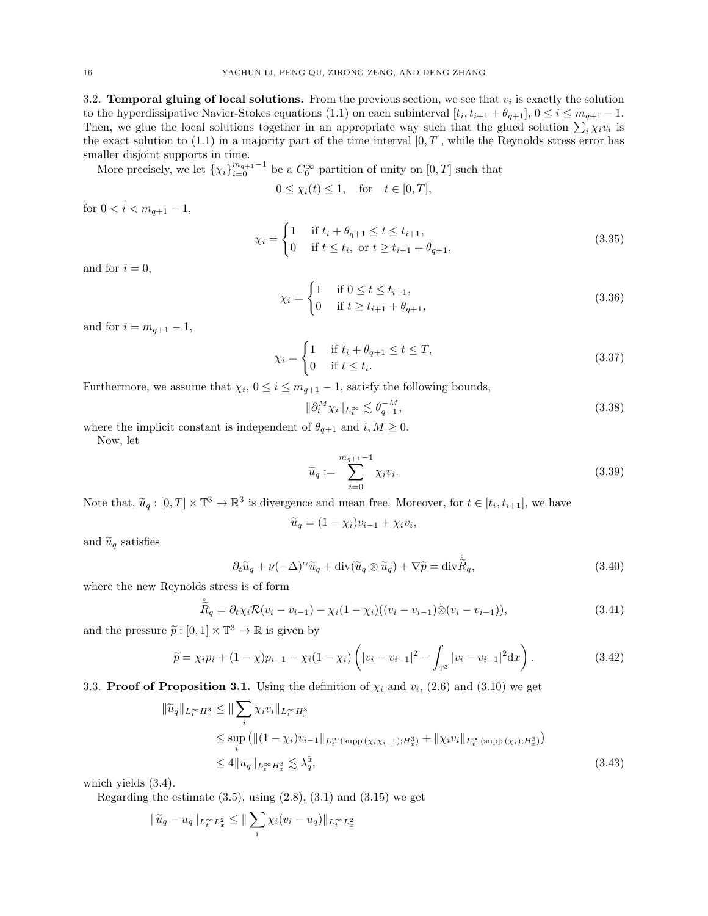<span id="page-15-0"></span>3.2. **Temporal gluing of local solutions.** From the previous section, we see that  $v_i$  is exactly the solution to the hyperdissipative Navier-Stokes equations [\(1.1\)](#page-1-2) on each subinterval  $[t_i, t_{i+1} + \theta_{q+1}], 0 \le i \le m_{q+1} - 1$ . Then, we glue the local solutions together in an appropriate way such that the glued solution  $\sum_i \chi_i v_i$  is the exact solution to  $(1.1)$  in a majority part of the time interval  $[0, T]$ , while the Reynolds stress error has smaller disjoint supports in time.

More precisely, we let  $\{\chi_i\}_{i=0}^{m_{q+1}-1}$  be a  $C_0^{\infty}$  partition of unity on  $[0,T]$  such that

$$
0 \le \chi_i(t) \le 1, \quad \text{for} \quad t \in [0, T],
$$

for  $0 < i < m_{q+1} - 1$ ,

$$
\chi_i = \begin{cases} 1 & \text{if } t_i + \theta_{q+1} \le t \le t_{i+1}, \\ 0 & \text{if } t \le t_i, \text{ or } t \ge t_{i+1} + \theta_{q+1}, \end{cases}
$$
(3.35)

and for  $i = 0$ ,

<span id="page-15-2"></span>
$$
\chi_i = \begin{cases} 1 & \text{if } 0 \le t \le t_{i+1}, \\ 0 & \text{if } t \ge t_{i+1} + \theta_{q+1}, \end{cases}
$$
 (3.36)

and for  $i = m_{q+1} - 1$ ,

$$
\chi_i = \begin{cases} 1 & \text{if } t_i + \theta_{q+1} \le t \le T, \\ 0 & \text{if } t \le t_i. \end{cases} \tag{3.37}
$$

Furthermore, we assume that  $\chi_i$ ,  $0 \leq i \leq m_{q+1} - 1$ , satisfy the following bounds,

<span id="page-15-3"></span>
$$
\|\partial_t^M \chi_i\|_{L_t^\infty} \lesssim \theta_{q+1}^{-M},\tag{3.38}
$$

where the implicit constant is independent of  $\theta_{q+1}$  and  $i, M \geq 0$ .

Now, let

<span id="page-15-5"></span>
$$
\widetilde{u}_q := \sum_{i=0}^{m_{q+1}-1} \chi_i v_i.
$$
\n(3.39)

Note that,  $\tilde{u}_q : [0, T] \times \mathbb{T}^3 \to \mathbb{R}^3$  is divergence and mean free. Moreover, for  $t \in [t_i, t_{i+1}]$ , we have

<span id="page-15-4"></span>
$$
\widetilde{u}_q = (1 - \chi_i)v_{i-1} + \chi_i v_i,
$$

and  $\widetilde{u}_q$  satisfies

$$
\partial_t \widetilde{u}_q + \nu(-\Delta)^\alpha \widetilde{u}_q + \operatorname{div}(\widetilde{u}_q \otimes \widetilde{u}_q) + \nabla \widetilde{p} = \operatorname{div} \widetilde{R}_q,\tag{3.40}
$$

where the new Reynolds stress is of form

$$
\tilde{\tilde{R}}_q = \partial_t \chi_i \mathcal{R}(v_i - v_{i-1}) - \chi_i (1 - \chi_i)((v_i - v_{i-1}) \hat{\otimes} (v_i - v_{i-1})),
$$
\n(3.41)

and the pressure  $\tilde{p} : [0,1] \times \mathbb{T}^3 \to \mathbb{R}$  is given by

$$
\widetilde{p} = \chi_i p_i + (1 - \chi) p_{i-1} - \chi_i (1 - \chi_i) \left( |v_i - v_{i-1}|^2 - \int_{\mathbb{T}^3} |v_i - v_{i-1}|^2 dx \right).
$$
 (3.42)

<span id="page-15-1"></span>3.3. Proof of Proposition [3.1.](#page-11-1) Using the definition of  $\chi_i$  and  $v_i$ , [\(2.6\)](#page-8-2) and [\(3.10\)](#page-12-7) we get

$$
\|\tilde{u}_q\|_{L_t^{\infty} H_x^3} \le \| \sum_i \chi_i v_i \|_{L_t^{\infty} H_x^3}
$$
  
\n
$$
\le \sup_i \left( \| (1 - \chi_i) v_{i-1} \|_{L_t^{\infty} (\text{supp} (\chi_i \chi_{i-1}); H_x^3)} + \| \chi_i v_i \|_{L_t^{\infty} (\text{supp} (\chi_i); H_x^3)} \right)
$$
  
\n
$$
\le 4 \| u_q \|_{L_t^{\infty} H_x^3} \lesssim \lambda_q^5,
$$
\n(3.43)

which yields [\(3.4\)](#page-11-5).

Regarding the estimate  $(3.5)$ , using  $(2.8)$ ,  $(3.1)$  and  $(3.15)$  we get

$$
\|\widetilde{u}_q - u_q\|_{L_t^{\infty} L_x^2} \le \|\sum_i \chi_i (v_i - u_q)\|_{L_t^{\infty} L_x^2}
$$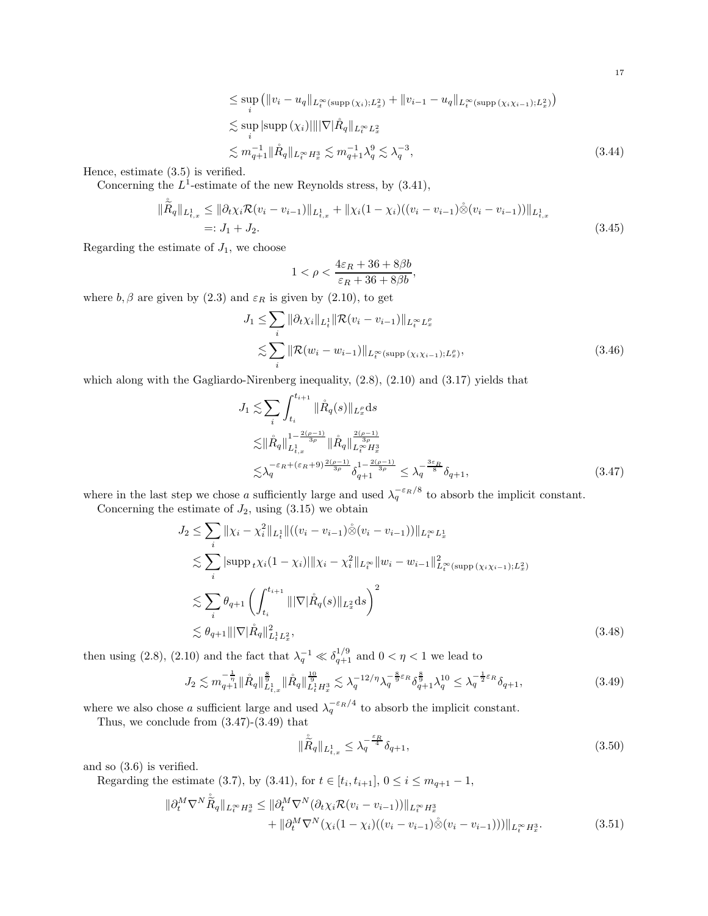$$
\leq \sup_{i} (||v_{i} - u_{q}||_{L_{t}^{\infty}(\text{supp}(\chi_{i});L_{x}^{2})} + ||v_{i-1} - u_{q}||_{L_{t}^{\infty}(\text{supp}(\chi_{i}\chi_{i-1});L_{x}^{2})})
$$
  
\n
$$
\lesssim \sup_{i} |\text{supp}(\chi_{i})| |||\nabla |\mathring{R}_{q}||_{L_{t}^{\infty}L_{x}^{2}}
$$
  
\n
$$
\lesssim m_{q+1}^{-1} ||\mathring{R}_{q}||_{L_{t}^{\infty}H_{x}^{3}} \lesssim m_{q+1}^{-1} \lambda_{q}^{9} \lesssim \lambda_{q}^{-3},
$$
\n(3.44)

Hence, estimate [\(3.5\)](#page-11-6) is verified.

Concerning the  $L^1$ -estimate of the new Reynolds stress, by  $(3.41)$ ,

$$
\|\dot{\tilde{R}}_{q}\|_{L_{t,x}^{1}} \leq \|\partial_{t}\chi_{i}\mathcal{R}(v_{i}-v_{i-1})\|_{L_{t,x}^{1}} + \|\chi_{i}(1-\chi_{i})((v_{i}-v_{i-1})\dot{\otimes}(v_{i}-v_{i-1}))\|_{L_{t,x}^{1}} =: J_{1} + J_{2}.
$$
\n(3.45)

Regarding the estimate of  $J_1$ , we choose

$$
1<\rho<\frac{4\varepsilon_R+36+8\beta b}{\varepsilon_R+36+8\beta b},
$$

where  $b, \beta$  are given by [\(2.3\)](#page-8-8) and  $\varepsilon_R$  is given by [\(2.10\)](#page-8-3), to get

$$
J_1 \leq \sum_{i} \|\partial_t \chi_i\|_{L^1_t} \|\mathcal{R}(v_i - v_{i-1})\|_{L^\infty_t L^p_x}
$$
  

$$
\lesssim \sum_{i} \|\mathcal{R}(w_i - w_{i-1})\|_{L^\infty_t (\text{supp}(\chi_i \chi_{i-1}); L^p_x)},
$$
 (3.46)

which along with the Gagliardo-Nirenberg inequality, [\(2.8\)](#page-8-7), [\(2.10\)](#page-8-3) and [\(3.17\)](#page-12-9) yields that

<span id="page-16-0"></span>
$$
J_1 \lesssim \sum_{i} \int_{t_i}^{t_{i+1}} ||\mathring{R}_q(s)||_{L_x^{\rho}} ds
$$
  
\n
$$
\lesssim ||\mathring{R}_q||_{L_{t,x}^1}^{1 - \frac{2(\rho - 1)}{3\rho}} ||\mathring{R}_q||_{L_t^{\infty} H_x^3}^{2(\rho - 1)}
$$
  
\n
$$
\lesssim \lambda_q^{-\varepsilon_R + (\varepsilon_R + 9) \frac{2(\rho - 1)}{3\rho}} \delta_{q+1}^{1 - \frac{2(\rho - 1)}{3\rho}} \le \lambda_q^{-\frac{3\varepsilon_R}{8}} \delta_{q+1},
$$
\n(3.47)

where in the last step we chose a sufficiently large and used  $\lambda_q^{-\epsilon_R/8}$  to absorb the implicit constant.

Concerning the estimate of  $J_2$ , using  $(3.15)$  we obtain

$$
J_2 \leq \sum_{i} ||\chi_i - \chi_i^2||_{L_t^1} ||((v_i - v_{i-1}) \stackrel{\circ}{\otimes} (v_i - v_{i-1}))||_{L_t^\infty L_x^1}
$$
  
\n
$$
\lesssim \sum_{i} |\text{supp}_{t} \chi_i(1 - \chi_i)|| \chi_i - \chi_i^2 ||_{L_t^\infty} ||w_i - w_{i-1}||_{L_t^\infty(\text{supp}(\chi_i \chi_{i-1}); L_x^2)}^2
$$
  
\n
$$
\lesssim \sum_{i} \theta_{q+1} \left( \int_{t_i}^{t_{i+1}} ||\nabla |\mathring{R}_q(s)||_{L_x^2} ds \right)^2
$$
  
\n
$$
\lesssim \theta_{q+1} ||\nabla |\mathring{R}_q||_{L_t^1 L_x^2}^2,
$$
\n(3.48)

then using [\(2.8\)](#page-8-7), [\(2.10\)](#page-8-3) and the fact that  $\lambda_q^{-1} \ll \delta_{q+1}^{1/9}$  and  $0 < \eta < 1$  we lead to

$$
J_2 \lesssim m_{q+1}^{-\frac{1}{\eta}} \|\mathring{R}_q\|_{L^1_{t,x}}^{\frac{8}{9}} \|\mathring{R}_q\|_{L^1_t H^3_x}^{\frac{10}{9}} \lesssim \lambda_q^{-12/\eta} \lambda_q^{-\frac{8}{9}\varepsilon_R} \delta_{q+1}^{\frac{8}{9}} \lambda_q^{10} \leq \lambda_q^{-\frac{1}{2}\varepsilon_R} \delta_{q+1},\tag{3.49}
$$

where we also chose a sufficient large and used  $\lambda_q^{-\varepsilon_R/4}$  to absorb the implicit constant.

Thus, we conclude from [\(3.47\)](#page-16-0)-[\(3.49\)](#page-16-1) that

<span id="page-16-2"></span><span id="page-16-1"></span>
$$
\|\tilde{\tilde{R}}_{q}\|_{L^{1}_{t,x}} \leq \lambda_{q}^{-\frac{\varepsilon_{R}}{4}} \delta_{q+1},\tag{3.50}
$$

and so [\(3.6\)](#page-11-3) is verified.

Regarding the estimate [\(3.7\)](#page-11-7), by [\(3.41\)](#page-15-4), for  $t \in [t_i, t_{i+1}], 0 \le i \le m_{q+1} - 1$ ,

$$
\|\partial_t^M \nabla^N \dot{\tilde{R}}_q\|_{L_t^\infty H_x^3} \leq \|\partial_t^M \nabla^N (\partial_t \chi_i \mathcal{R}(v_i - v_{i-1}))\|_{L_t^\infty H_x^3} + \|\partial_t^M \nabla^N (\chi_i (1 - \chi_i)((v_i - v_{i-1}) \dot{\otimes} (v_i - v_{i-1})))\|_{L_t^\infty H_x^3}.
$$
(3.51)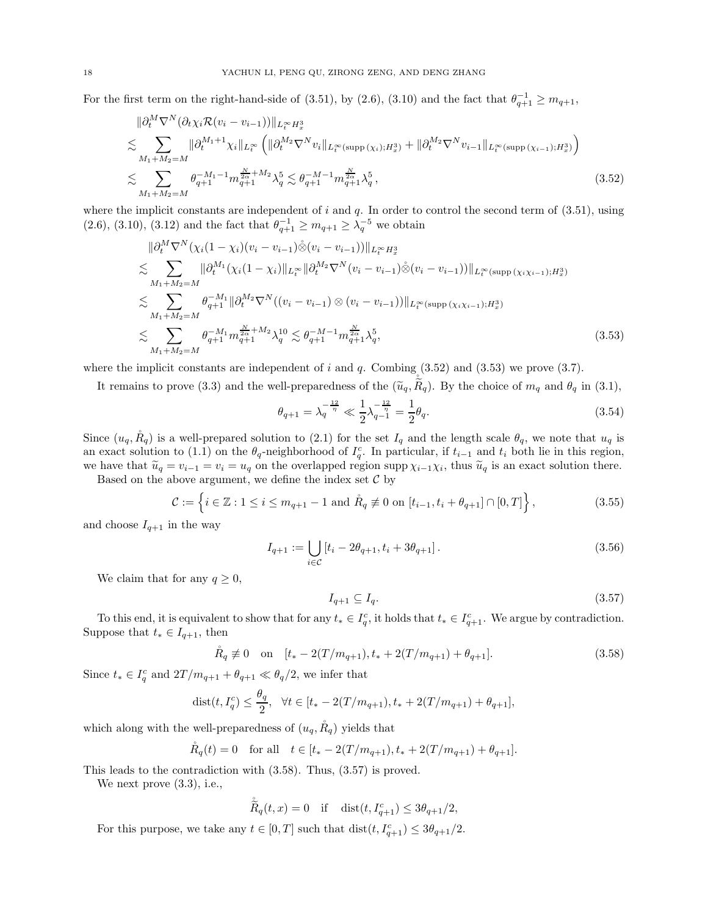For the first term on the right-hand-side of [\(3.51\)](#page-16-2), by [\(2.6\)](#page-8-2), [\(3.10\)](#page-12-7) and the fact that  $\theta_{q+1}^{-1} \ge m_{q+1}$ ,

$$
\|\partial_t^M \nabla^N (\partial_t \chi_i \mathcal{R}(v_i - v_{i-1}))\|_{L_t^\infty H_x^3} \n\lesssim \sum_{M_1 + M_2 = M} \|\partial_t^{M_1 + 1} \chi_i\|_{L_t^\infty} \left( \|\partial_t^{M_2} \nabla^N v_i\|_{L_t^\infty(\text{supp}(\chi_i); H_x^3)} + \|\partial_t^{M_2} \nabla^N v_{i-1}\|_{L_t^\infty(\text{supp}(\chi_{i-1}); H_x^3)} \right) \n\lesssim \sum_{M_1 + M_2 = M} \theta_{q+1}^{-M_1 - 1} m_{q+1}^{\frac{N}{2\alpha} + M_2} \lambda_q^5 \lesssim \theta_{q+1}^{-M_1 - 1} m_{q+1}^{\frac{N}{2\alpha}} \lambda_q^5,
$$
\n(3.52)

where the implicit constants are independent of i and  $q$ . In order to control the second term of  $(3.51)$ , using  $(2.6), (3.10), (3.12)$  $(2.6), (3.10), (3.12)$  $(2.6), (3.10), (3.12)$  $(2.6), (3.10), (3.12)$  $(2.6), (3.10), (3.12)$  and the fact that  $\theta_{q+1}^{-1} \ge m_{q+1} \ge \lambda_q^{-5}$  we obtain

$$
\|\partial_t^M \nabla^N (\chi_i (1 - \chi_i)(v_i - v_{i-1}) \hat{\otimes} (v_i - v_{i-1}))\|_{L_t^\infty H_x^3} \n\lesssim \sum_{M_1 + M_2 = M} \|\partial_t^{M_1} (\chi_i (1 - \chi_i)\|_{L_t^\infty} \|\partial_t^{M_2} \nabla^N (v_i - v_{i-1}) \hat{\otimes} (v_i - v_{i-1}))\|_{L_t^\infty(\text{supp}(\chi_i \chi_{i-1}); H_x^3)} \n\lesssim \sum_{M_1 + M_2 = M} \theta_{q+1}^{-M_1} \|\partial_t^{M_2} \nabla^N ((v_i - v_{i-1}) \otimes (v_i - v_{i-1}))\|_{L_t^\infty(\text{supp}(\chi_i \chi_{i-1}); H_x^3)} \n\lesssim \sum_{M_1 + M_2 = M} \theta_{q+1}^{-M_1} m_{q+1}^{\frac{N}{2\alpha} + M_2} \lambda_q^{10} \lesssim \theta_{q+1}^{-M_1 - 1} m_{q+1}^{\frac{N}{2\alpha}} \lambda_q^5,
$$
\n(3.53)

where the implicit constants are independent of i and  $q$ . Combing [\(3.52\)](#page-17-1) and [\(3.53\)](#page-17-2) we prove [\(3.7\)](#page-11-7).

It remains to prove [\(3.3\)](#page-11-8) and the well-preparedness of the  $(\tilde{u}_q, \tilde{\tilde{R}}_q)$ . By the choice of  $m_q$  and  $\theta_q$  in [\(3.1\)](#page-11-4),

<span id="page-17-2"></span><span id="page-17-1"></span>
$$
\theta_{q+1} = \lambda_q^{-\frac{12}{\eta}} \ll \frac{1}{2} \lambda_{q-1}^{-\frac{12}{\eta}} = \frac{1}{2} \theta_q.
$$
\n(3.54)

Since  $(u_q, \mathring{R}_q)$  is a well-prepared solution to [\(2.1\)](#page-8-1) for the set  $I_q$  and the length scale  $\theta_q$ , we note that  $u_q$  is an exact solution to [\(1.1\)](#page-1-2) on the  $\theta_q$ -neighborhood of  $I_q^c$ . In particular, if  $t_{i-1}$  and  $t_i$  both lie in this region, we have that  $\widetilde{u}_q = v_{i-1} = v_i = u_q$  on the overlapped region supp  $\chi_{i-1}\chi_i$ , thus  $\widetilde{u}_q$  is an exact solution there.

Based on the above argument, we define the index set  $\mathcal C$  by

$$
\mathcal{C} := \left\{ i \in \mathbb{Z} : 1 \le i \le m_{q+1} - 1 \text{ and } \mathring{R}_q \not\equiv 0 \text{ on } [t_{i-1}, t_i + \theta_{q+1}] \cap [0, T] \right\},\tag{3.55}
$$

and choose  $I_{q+1}$  in the way

$$
I_{q+1} := \bigcup_{i \in C} \left[ t_i - 2\theta_{q+1}, t_i + 3\theta_{q+1} \right]. \tag{3.56}
$$

We claim that for any  $q \geq 0$ ,

<span id="page-17-5"></span><span id="page-17-4"></span><span id="page-17-3"></span><span id="page-17-0"></span>
$$
I_{q+1} \subseteq I_q. \tag{3.57}
$$

To this end, it is equivalent to show that for any  $t_* \in I_q^c$ , it holds that  $t_* \in I_{q+1}^c$ . We argue by contradiction. Suppose that  $t_* \in I_{q+1}$ , then

$$
\mathring{R}_q \neq 0
$$
 on  $[t_* - 2(T/m_{q+1}), t_* + 2(T/m_{q+1}) + \theta_{q+1}].$  (3.58)

Since  $t_* \in I_q^c$  and  $2T/m_{q+1} + \theta_{q+1} \ll \theta_q/2$ , we infer that

dist
$$
(t, I_q^c) \le \frac{\theta_q}{2}
$$
,  $\forall t \in [t_* - 2(T/m_{q+1}), t_* + 2(T/m_{q+1}) + \theta_{q+1}],$ 

which along with the well-preparedness of  $(u_q, \tilde{R}_q)$  yields that

$$
\mathring{R}_q(t) = 0
$$
 for all  $t \in [t_* - 2(T/m_{q+1}), t_* + 2(T/m_{q+1}) + \theta_{q+1}].$ 

This leads to the contradiction with [\(3.58\)](#page-17-3). Thus, [\(3.57\)](#page-17-4) is proved.

We next prove  $(3.3)$ , i.e.,

$$
\mathring{\tilde{R}}_q(t,x) = 0 \quad \text{if} \quad \text{dist}(t, I_{q+1}^c) \le 3\theta_{q+1}/2,
$$

For this purpose, we take any  $t \in [0, T]$  such that  $dist(t, I_{q+1}^c) \leq 3\theta_{q+1}/2$ .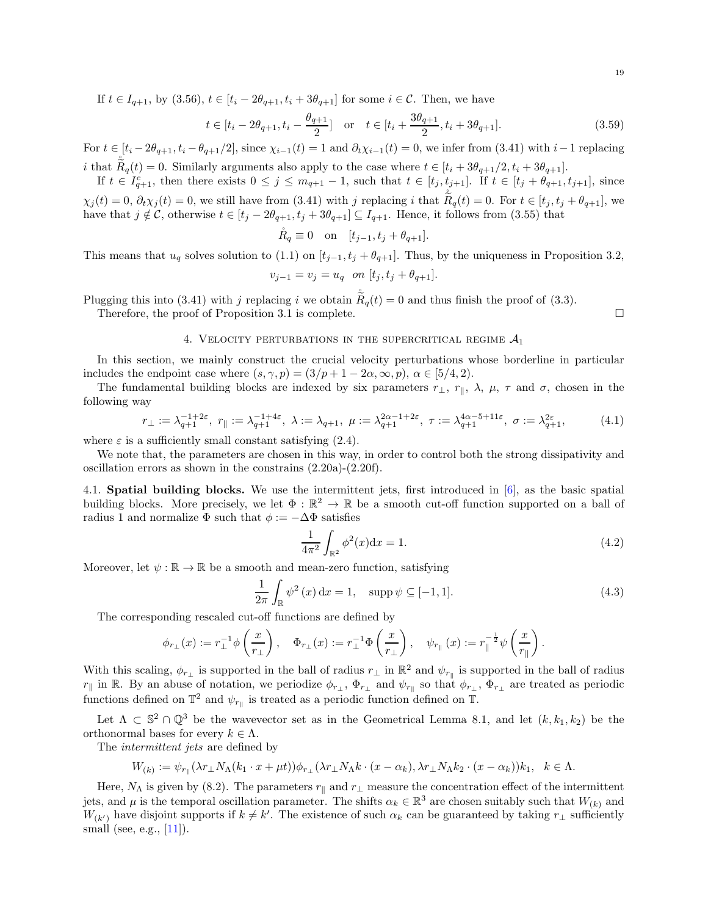If  $t \in I_{q+1}$ , by  $(3.56)$ ,  $t \in [t_i - 2\theta_{q+1}, t_i + 3\theta_{q+1}]$  for some  $i \in \mathcal{C}$ . Then, we have

$$
t \in [t_i - 2\theta_{q+1}, t_i - \frac{\theta_{q+1}}{2}] \text{ or } t \in [t_i + \frac{3\theta_{q+1}}{2}, t_i + 3\theta_{q+1}].
$$
 (3.59)

For  $t \in [t_i - 2\theta_{q+1}, t_i - \theta_{q+1}/2]$ , since  $\chi_{i-1}(t) = 1$  and  $\partial_t \chi_{i-1}(t) = 0$ , we infer from [\(3.41\)](#page-15-4) with  $i-1$  replacing *i* that  $\tilde{R}_q(t) = 0$ . Similarly arguments also apply to the case where  $t \in [t_i + 3\theta_{q+1}/2, t_i + 3\theta_{q+1}]$ .

If  $t \in I_{q+1}^c$ , then there exists  $0 \leq j \leq m_{q+1}-1$ , such that  $t \in [t_j, t_{j+1}]$ . If  $t \in [t_j + \theta_{q+1}, t_{j+1}]$ , since

 $\chi_j(t) = 0, \, \partial_t \chi_j(t) = 0$ , we still have from [\(3.41\)](#page-15-4) with j replacing i that  $\tilde{R}_q(t) = 0$ . For  $t \in [t_j, t_j + \theta_{q+1}]$ , we have that  $j \notin \mathcal{C}$ , otherwise  $t \in [t_j - 2\theta_{q+1}, t_j + 3\theta_{q+1}] \subseteq I_{q+1}$ . Hence, it follows from [\(3.55\)](#page-17-0) that

$$
\mathring{R}_q \equiv 0 \quad \text{on} \quad [t_{j-1}, t_j + \theta_{q+1}].
$$

This means that  $u_q$  solves solution to [\(1.1\)](#page-1-2) on  $[t_{j-1}, t_j + \theta_{q+1}]$ . Thus, by the uniqueness in Proposition [3.2,](#page-12-11)

$$
v_{j-1} = v_j = u_q \quad on \ [t_j, t_j + \theta_{q+1}].
$$

Plugging this into [\(3.41\)](#page-15-4) with j replacing i we obtain  $\tilde{\tilde{R}}_q(t) = 0$  and thus finish the proof of [\(3.3\)](#page-11-8). Therefore, the proof of Proposition [3.1](#page-11-1) is complete.  $\Box$ 

<span id="page-18-0"></span>

### 4. VELOCITY PERTURBATIONS IN THE SUPERCRITICAL REGIME  $A_1$

In this section, we mainly construct the crucial velocity perturbations whose borderline in particular includes the endpoint case where  $(s, \gamma, p) = (3/p + 1 - 2\alpha, \infty, p), \alpha \in [5/4, 2)$ .

The fundamental building blocks are indexed by six parameters  $r_{\perp}$ ,  $r_{\parallel}$ ,  $\lambda$ ,  $\mu$ ,  $\tau$  and  $\sigma$ , chosen in the following way

<span id="page-18-2"></span>
$$
r_{\perp} := \lambda_{q+1}^{-1+2\varepsilon}, \ r_{\parallel} := \lambda_{q+1}^{-1+4\varepsilon}, \ \lambda := \lambda_{q+1}, \ \mu := \lambda_{q+1}^{2\alpha-1+2\varepsilon}, \ \tau := \lambda_{q+1}^{4\alpha-5+11\varepsilon}, \ \sigma := \lambda_{q+1}^{2\varepsilon}, \tag{4.1}
$$

where  $\varepsilon$  is a sufficiently small constant satisfying [\(2.4\)](#page-8-4).

We note that, the parameters are chosen in this way, in order to control both the strong dissipativity and oscillation errors as shown in the constrains [\(2.20a\)](#page-10-1)-[\(2.20f\)](#page-10-2).

<span id="page-18-1"></span>4.1. Spatial building blocks. We use the intermittent jets, first introduced in [\[6\]](#page-44-9), as the basic spatial building blocks. More precisely, we let  $\Phi : \mathbb{R}^2 \to \mathbb{R}$  be a smooth cut-off function supported on a ball of radius 1 and normalize  $\Phi$  such that  $\phi := -\Delta \Phi$  satisfies

$$
\frac{1}{4\pi^2} \int_{\mathbb{R}^2} \phi^2(x) dx = 1.
$$
 (4.2)

Moreover, let  $\psi : \mathbb{R} \to \mathbb{R}$  be a smooth and mean-zero function, satisfying

$$
\frac{1}{2\pi} \int_{\mathbb{R}} \psi^2(x) dx = 1, \quad \text{supp}\,\psi \subseteq [-1, 1].
$$
 (4.3)

The corresponding rescaled cut-off functions are defined by

$$
\phi_{r_{\perp}}(x) := r_{\perp}^{-1} \phi\left(\frac{x}{r_{\perp}}\right), \quad \Phi_{r_{\perp}}(x) := r_{\perp}^{-1} \Phi\left(\frac{x}{r_{\perp}}\right), \quad \psi_{r_{\parallel}}(x) := r_{\parallel}^{-\frac{1}{2}} \psi\left(\frac{x}{r_{\parallel}}\right).
$$

With this scaling,  $\phi_{r_{\perp}}$  is supported in the ball of radius  $r_{\perp}$  in  $\mathbb{R}^2$  and  $\psi_{r_{\parallel}}$  is supported in the ball of radius  $r_{\parallel}$  in R. By an abuse of notation, we periodize  $\phi_{r_\perp}$ ,  $\Phi_{r_\perp}$  and  $\psi_{r_{\parallel}}$  so that  $\phi_{r_\perp}$ ,  $\Phi_{r_\perp}$  are treated as periodic functions defined on  $\mathbb{T}^2$  and  $\psi_{r_{\parallel}}$  is treated as a periodic function defined on  $\mathbb{T}$ .

Let  $\Lambda \subset \mathbb{S}^2 \cap \mathbb{Q}^3$  be the wavevector set as in the Geometrical Lemma [8.1,](#page-42-2) and let  $(k, k_1, k_2)$  be the orthonormal bases for every  $k \in \Lambda$ .

The *intermittent jets* are defined by

$$
W_{(k)} := \psi_{r_{\parallel}}(\lambda r_{\perp} N_{\Lambda}(k_1 \cdot x + \mu t)) \phi_{r_{\perp}}(\lambda r_{\perp} N_{\Lambda} k \cdot (x - \alpha_k), \lambda r_{\perp} N_{\Lambda} k_2 \cdot (x - \alpha_k)) k_1, \quad k \in \Lambda.
$$

Here,  $N_{\Lambda}$  is given by [\(8.2\)](#page-42-3). The parameters  $r_{\parallel}$  and  $r_{\perp}$  measure the concentration effect of the intermittent jets, and  $\mu$  is the temporal oscillation parameter. The shifts  $\alpha_k \in \mathbb{R}^3$  are chosen suitably such that  $W_{(k)}$  and  $W_{(k')}$  have disjoint supports if  $k \neq k'$ . The existence of such  $\alpha_k$  can be guaranteed by taking  $r_{\perp}$  sufficiently small (see, e.g., [\[11\]](#page-44-11)).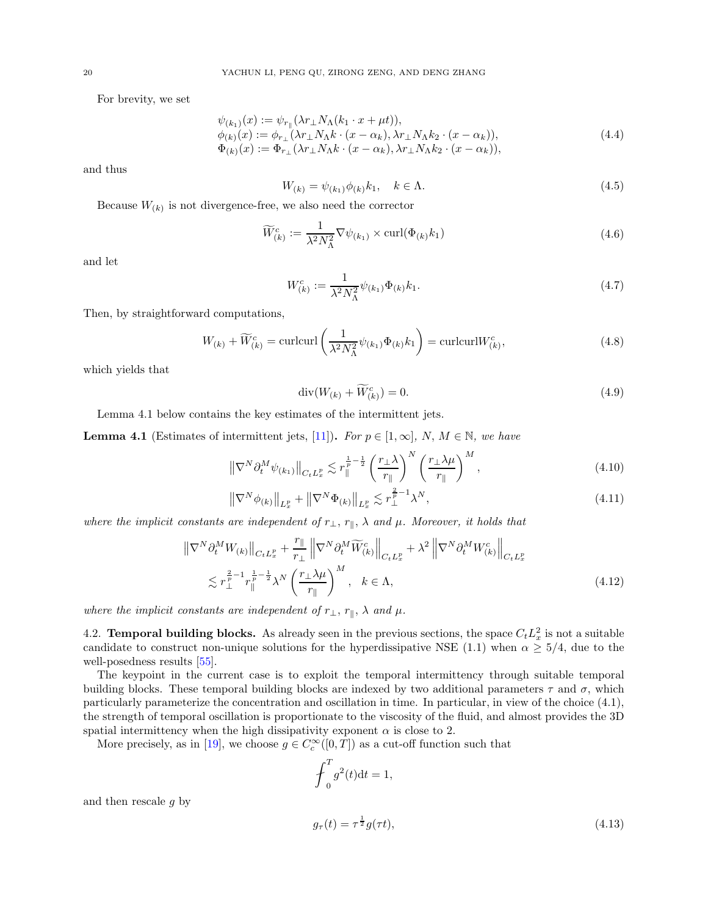For brevity, we set

$$
\psi_{(k_1)}(x) := \psi_{r_{\parallel}}(\lambda r_{\perp} N_{\Lambda}(k_1 \cdot x + \mu t)), \n\phi_{(k)}(x) := \phi_{r_{\perp}}(\lambda r_{\perp} N_{\Lambda} k \cdot (x - \alpha_k), \lambda r_{\perp} N_{\Lambda} k_2 \cdot (x - \alpha_k)), \n\Phi_{(k)}(x) := \Phi_{r_{\perp}}(\lambda r_{\perp} N_{\Lambda} k \cdot (x - \alpha_k), \lambda r_{\perp} N_{\Lambda} k_2 \cdot (x - \alpha_k)),
$$
\n(4.4)

and thus

<span id="page-19-1"></span>
$$
W_{(k)} = \psi_{(k_1)} \phi_{(k)} k_1, \quad k \in \Lambda.
$$
\n(4.5)

Because  $W_{(k)}$  is not divergence-free, we also need the corrector

<span id="page-19-4"></span>
$$
\widetilde{W}_{(k)}^c := \frac{1}{\lambda^2 N_{\Lambda}^2} \nabla \psi_{(k_1)} \times \text{curl}(\Phi_{(k)} k_1)
$$
\n(4.6)

and let

<span id="page-19-3"></span>
$$
W_{(k)}^c := \frac{1}{\lambda^2 N_{\Lambda}^2} \psi_{(k_1)} \Phi_{(k)} k_1.
$$
\n(4.7)

Then, by straightforward computations,

$$
W_{(k)} + \widetilde{W}_{(k)}^c = \text{curl} \text{curl} \left( \frac{1}{\lambda^2 N_{\Lambda}^2} \psi_{(k_1)} \Phi_{(k)} k_1 \right) = \text{curl} \text{curl} W_{(k)}^c,
$$
\n(4.8)

which yields that

$$
\operatorname{div}(W_{(k)} + \widetilde{W}_{(k)}^c) = 0. \tag{4.9}
$$

Lemma [4.1](#page-19-2) below contains the key estimates of the intermittent jets.

<span id="page-19-2"></span>**Lemma 4.1** (Estimates of intermittent jets, [\[11\]](#page-44-11)). For  $p \in [1,\infty]$ , N,  $M \in \mathbb{N}$ , we have

$$
\left\|\nabla^{N}\partial_{t}^{M}\psi_{(k_{1})}\right\|_{C_{t}L_{x}^{p}} \lesssim r_{\parallel}^{\frac{1}{p}-\frac{1}{2}}\left(\frac{r_{\perp}\lambda}{r_{\parallel}}\right)^{N}\left(\frac{r_{\perp}\lambda\mu}{r_{\parallel}}\right)^{M},\tag{4.10}
$$

$$
\left\| \nabla^N \phi_{(k)} \right\|_{L^p_x} + \left\| \nabla^N \Phi_{(k)} \right\|_{L^p_x} \lesssim r^{\frac{2}{p}-1}_{\perp} \lambda^N,
$$
\n(4.11)

where the implicit constants are independent of  $r_{\perp}, r_{\parallel}, \lambda$  and  $\mu$ . Moreover, it holds that

$$
\|\nabla^{N}\partial_{t}^{M}W_{(k)}\|_{C_{t}L_{x}^{p}} + \frac{r_{\parallel}}{r_{\perp}}\left\|\nabla^{N}\partial_{t}^{M}\widetilde{W}_{(k)}^{c}\right\|_{C_{t}L_{x}^{p}} + \lambda^{2}\left\|\nabla^{N}\partial_{t}^{M}W_{(k)}^{c}\right\|_{C_{t}L_{x}^{p}}
$$

$$
\lesssim r_{\perp}^{\frac{2}{p}-1}r_{\parallel}^{\frac{1}{p}-\frac{1}{2}}\lambda^{N}\left(\frac{r_{\perp}\lambda\mu}{r_{\parallel}}\right)^{M}, \quad k \in \Lambda,
$$
(4.12)

where the implicit constants are independent of  $r_{\perp}, r_{\parallel}, \lambda$  and  $\mu$ .

<span id="page-19-0"></span>4.2. **Temporal building blocks.** As already seen in the previous sections, the space  $C_t L_x^2$  is not a suitable candidate to construct non-unique solutions for the hyperdissipative NSE [\(1.1\)](#page-1-2) when  $\alpha \geq 5/4$ , due to the well-posedness results [\[55\]](#page-46-0).

The keypoint in the current case is to exploit the temporal intermittency through suitable temporal building blocks. These temporal building blocks are indexed by two additional parameters  $\tau$  and  $\sigma$ , which particularly parameterize the concentration and oscillation in time. In particular, in view of the choice [\(4.1\)](#page-18-2), the strength of temporal oscillation is proportionate to the viscosity of the fluid, and almost provides the 3D spatial intermittency when the high dissipativity exponent  $\alpha$  is close to 2.

More precisely, as in [\[19](#page-44-14)], we choose  $g \in C_c^{\infty}([0, T])$  as a cut-off function such that

<span id="page-19-5"></span>
$$
\operatorname{\int}_{0}^{T} g^{2}(t)dt = 1,
$$

and then rescale g by

$$
g_{\tau}(t) = \tau^{\frac{1}{2}} g(\tau t),\tag{4.13}
$$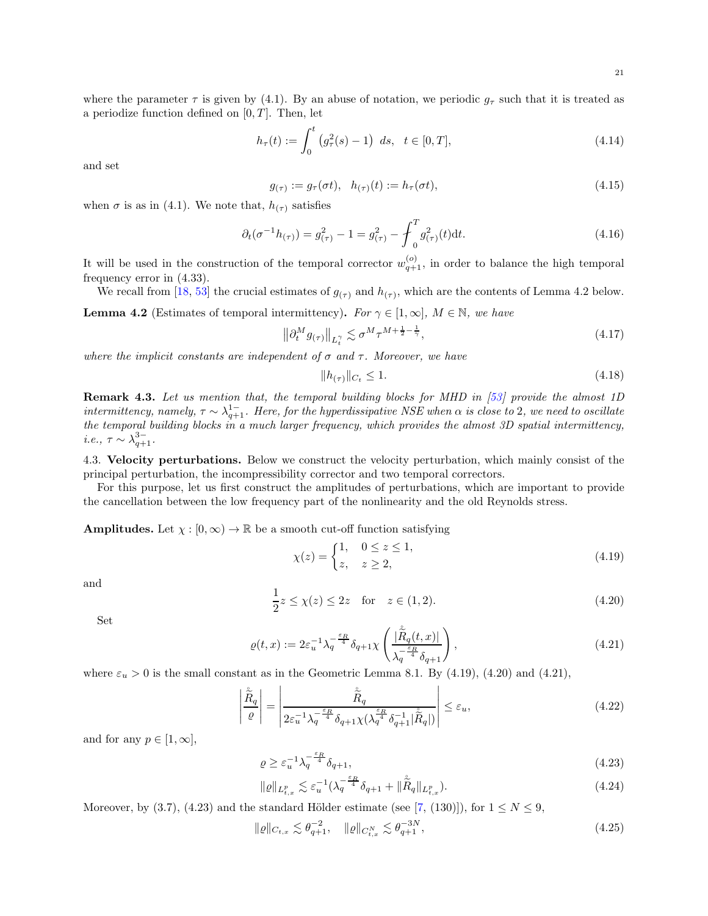where the parameter  $\tau$  is given by [\(4.1\)](#page-18-2). By an abuse of notation, we periodic  $g_{\tau}$  such that it is treated as a periodize function defined on  $[0, T]$ . Then, let

$$
h_{\tau}(t) := \int_0^t \left(g_{\tau}^2(s) - 1\right) \ ds, \ \ t \in [0, T], \tag{4.14}
$$

and set

<span id="page-20-7"></span><span id="page-20-1"></span>
$$
g_{(\tau)} := g_{\tau}(\sigma t), \quad h_{(\tau)}(t) := h_{\tau}(\sigma t), \tag{4.15}
$$

when  $\sigma$  is as in [\(4.1\)](#page-18-2). We note that,  $h_{(\tau)}$  satisfies

$$
\partial_t(\sigma^{-1}h_{(\tau)}) = g_{(\tau)}^2 - 1 = g_{(\tau)}^2 - \int_0^T g_{(\tau)}^2(t)dt.
$$
\n(4.16)

It will be used in the construction of the temporal corrector  $w_{q+1}^{(o)}$ , in order to balance the high temporal frequency error in [\(4.33\)](#page-21-1).

We recall from [\[18](#page-44-15), [53](#page-45-20)] the crucial estimates of  $g_{(\tau)}$  and  $h_{(\tau)}$ , which are the contents of Lemma [4.2](#page-20-2) below.

<span id="page-20-2"></span>**Lemma 4.2** (Estimates of temporal intermittency). For  $\gamma \in [1,\infty]$ ,  $M \in \mathbb{N}$ , we have

$$
\left\|\partial_t^M g_{(\tau)}\right\|_{L_t^{\gamma}} \lesssim \sigma^M \tau^{M + \frac{1}{2} - \frac{1}{\gamma}},\tag{4.17}
$$

where the implicit constants are independent of  $\sigma$  and  $\tau$ . Moreover, we have

<span id="page-20-10"></span><span id="page-20-9"></span><span id="page-20-8"></span>
$$
||h_{(\tau)}||_{C_t} \le 1. \tag{4.18}
$$

Remark 4.3. Let us mention that, the temporal building blocks for MHD in [\[53](#page-45-20)] provide the almost 1D intermittency, namely,  $\tau \sim \lambda_{q+1}^{1-}$ . Here, for the hyperdissipative NSE when  $\alpha$  is close to 2, we need to oscillate the temporal building blocks in a much larger frequency, which provides the almost 3D spatial intermittency, *i.e.*,  $\tau \sim \lambda_{q+1}^{3-}$ .

<span id="page-20-0"></span>4.3. Velocity perturbations. Below we construct the velocity perturbation, which mainly consist of the principal perturbation, the incompressibility corrector and two temporal correctors.

For this purpose, let us first construct the amplitudes of perturbations, which are important to provide the cancellation between the low frequency part of the nonlinearity and the old Reynolds stress.

**Amplitudes.** Let  $\chi : [0, \infty) \to \mathbb{R}$  be a smooth cut-off function satisfying

<span id="page-20-3"></span>
$$
\chi(z) = \begin{cases} 1, & 0 \le z \le 1, \\ z, & z \ge 2, \end{cases} \tag{4.19}
$$

and

<span id="page-20-4"></span>
$$
\frac{1}{2}z \le \chi(z) \le 2z \quad \text{for} \quad z \in (1, 2). \tag{4.20}
$$

Set

<span id="page-20-5"></span>
$$
\varrho(t,x) := 2\varepsilon_u^{-1} \lambda_q^{-\frac{\varepsilon_R}{4}} \delta_{q+1} \chi \left( \frac{|\overset{\circ}{R}_q(t,x)|}{\lambda_q^{-\frac{\varepsilon_R}{4}} \delta_{q+1}} \right), \tag{4.21}
$$

where  $\varepsilon_u > 0$  is the small constant as in the Geometric Lemma [8.1.](#page-42-2) By [\(4.19\)](#page-20-3), [\(4.20\)](#page-20-4) and [\(4.21\)](#page-20-5),

$$
\left| \frac{\hat{\tilde{R}}_{q}}{\varrho} \right| = \left| \frac{\hat{\tilde{R}}_{q}}{2\varepsilon_{u}^{-1} \lambda_{q}^{-\frac{\varepsilon_{R}}{4}} \delta_{q+1} \chi(\lambda_{q}^{\frac{\varepsilon_{R}}{4}} \delta_{q+1}^{-1} |\hat{\tilde{R}}_{q}|)} \right| \leq \varepsilon_{u}, \tag{4.22}
$$

and for any  $p \in [1, \infty]$ ,

<span id="page-20-6"></span>
$$
\varrho \ge \varepsilon_u^{-1} \lambda_q^{-\frac{\varepsilon_R}{4}} \delta_{q+1},\tag{4.23}
$$

$$
\|\varrho\|_{L^p_{t,x}} \lesssim \varepsilon_u^{-1} (\lambda_q^{-\frac{\varepsilon_R}{4}} \delta_{q+1} + \|\overset{\circ}{R}_q\|_{L^p_{t,x}}). \tag{4.24}
$$

Moreover, by [\(3.7\)](#page-11-7), [\(4.23\)](#page-20-6) and the standard Hölder estimate (see [\[7](#page-44-6), (130)]), for  $1 \leq N \leq 9$ ,

$$
\|\varrho\|_{C_{t,x}} \lesssim \theta_{q+1}^{-2}, \quad \|\varrho\|_{C_{t,x}^N} \lesssim \theta_{q+1}^{-3N}, \tag{4.25}
$$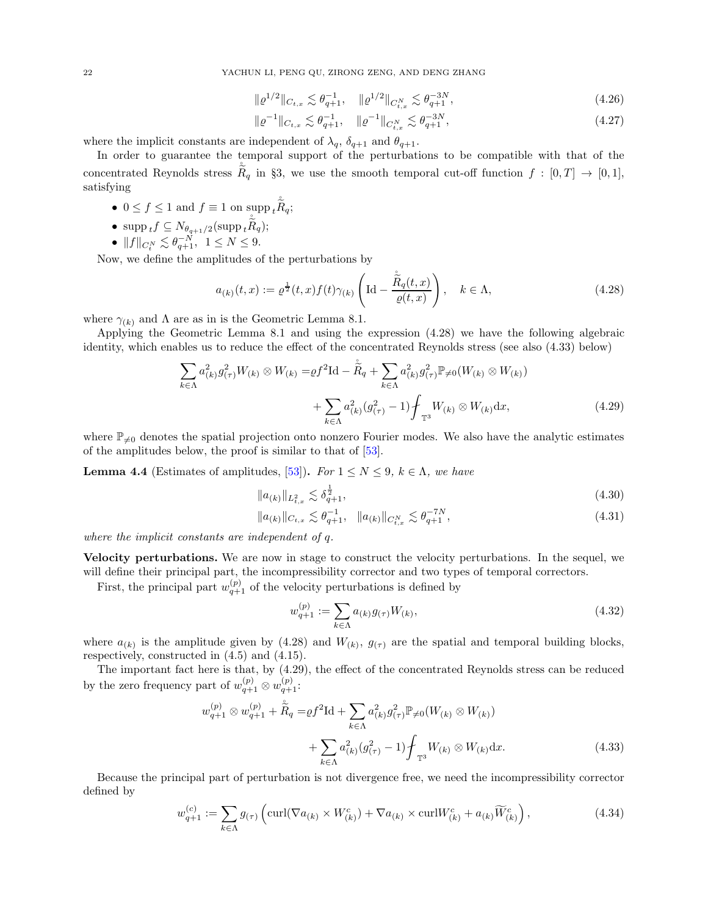$$
\|\varrho^{1/2}\|_{C_{t,x}} \lesssim \theta_{q+1}^{-1}, \quad \|\varrho^{1/2}\|_{C_{t,x}^N} \lesssim \theta_{q+1}^{-3N},\tag{4.26}
$$

$$
\|\varrho^{-1}\|_{C_{t,x}} \lesssim \theta_{q+1}^{-1}, \quad \|\varrho^{-1}\|_{C_{t,x}^N} \lesssim \theta_{q+1}^{-3N},\tag{4.27}
$$

where the implicit constants are independent of  $\lambda_q$ ,  $\delta_{q+1}$  and  $\theta_{q+1}$ .

In order to guarantee the temporal support of the perturbations to be compatible with that of the concentrated Reynolds stress  $\tilde{\tilde{R}}_q$  in §[3,](#page-11-0) we use the smooth temporal cut-off function  $f : [0, T] \rightarrow [0, 1]$ , satisfying

- $0 \le f \le 1$  and  $f \equiv 1$  on supp  $\sum_{g=1}^{8} \tilde{R}_g$ ;
- $\sup p_t f \subseteq N_{\theta_{q+1}/2}(\sup p_t \tilde{R}_q);$
- $||f||_{C_t^N} \lesssim \theta_{q+1}^{-N}, \ \ 1 \le N \le 9.$

Now, we define the amplitudes of the perturbations by

<span id="page-21-2"></span>
$$
a_{(k)}(t,x) := \varrho^{\frac{1}{2}}(t,x)f(t)\gamma_{(k)}\left(\text{Id} - \frac{\overset{\circ}{R}}{\varrho(t,x)}\right), \quad k \in \Lambda,
$$
\n(4.28)

where  $\gamma_{(k)}$  and  $\Lambda$  are as in is the Geometric Lemma [8.1.](#page-42-2)

Applying the Geometric Lemma [8.1](#page-42-2) and using the expression [\(4.28\)](#page-21-2) we have the following algebraic identity, which enables us to reduce the effect of the concentrated Reynolds stress (see also [\(4.33\)](#page-21-1) below)

$$
\sum_{k \in \Lambda} a_{(k)}^2 g_{(\tau)}^2 W_{(k)} \otimes W_{(k)} = \varrho f^2 \mathrm{Id} - \dot{\tilde{R}}_q + \sum_{k \in \Lambda} a_{(k)}^2 g_{(\tau)}^2 \mathbb{P}_{\neq 0}(W_{(k)} \otimes W_{(k)}) + \sum_{k \in \Lambda} a_{(k)}^2 (g_{(\tau)}^2 - 1) \oint_{\mathbb{T}^3} W_{(k)} \otimes W_{(k)} \mathrm{d}x,
$$
(4.29)

where  $\mathbb{P}_{\neq 0}$  denotes the spatial projection onto nonzero Fourier modes. We also have the analytic estimates of the amplitudes below, the proof is similar to that of [\[53](#page-45-20)].

<span id="page-21-0"></span>**Lemma 4.4** (Estimates of amplitudes, [\[53\]](#page-45-20)). For  $1 \leq N \leq 9$ ,  $k \in \Lambda$ , we have

<span id="page-21-3"></span>
$$
||a_{(k)}||_{L_{t,x}^2} \lesssim \delta_{q+1}^{\frac{1}{2}},\tag{4.30}
$$

$$
||a_{(k)}||_{C_{t,x}} \lesssim \theta_{q+1}^{-1}, \quad ||a_{(k)}||_{C_{t,x}^{N}} \lesssim \theta_{q+1}^{-7N}, \tag{4.31}
$$

where the implicit constants are independent of q.

 $\boldsymbol{\imath}$ 

Velocity perturbations. We are now in stage to construct the velocity perturbations. In the sequel, we will define their principal part, the incompressibility corrector and two types of temporal correctors.

First, the principal part  $w_{q+1}^{(p)}$  of the velocity perturbations is defined by

<span id="page-21-6"></span><span id="page-21-5"></span><span id="page-21-4"></span><span id="page-21-1"></span>
$$
w_{q+1}^{(p)} := \sum_{k \in \Lambda} a_{(k)} g_{(\tau)} W_{(k)},
$$
\n(4.32)

where  $a_{(k)}$  is the amplitude given by [\(4.28\)](#page-21-2) and  $W_{(k)}$ ,  $g_{(\tau)}$  are the spatial and temporal building blocks, respectively, constructed in [\(4.5\)](#page-19-1) and [\(4.15\)](#page-20-1).

The important fact here is that, by [\(4.29\)](#page-21-3), the effect of the concentrated Reynolds stress can be reduced by the zero frequency part of  $w_{q+1}^{(p)} \otimes w_{q+1}^{(p)}$ :

$$
w_{q+1}^{(p)} \otimes w_{q+1}^{(p)} + \tilde{R}_q = \rho f^2 \text{Id} + \sum_{k \in \Lambda} a_{(k)}^2 g_{(\tau)}^2 \mathbb{P}_{\neq 0}(W_{(k)} \otimes W_{(k)}) + \sum_{k \in \Lambda} a_{(k)}^2 (g_{(\tau)}^2 - 1) \oint_{\mathbb{T}^3} W_{(k)} \otimes W_{(k)} \text{d}x.
$$
 (4.33)

Because the principal part of perturbation is not divergence free, we need the incompressibility corrector defined by

$$
w_{q+1}^{(c)} := \sum_{k \in \Lambda} g_{(\tau)} \left( \text{curl}(\nabla a_{(k)} \times W_{(k)}^c) + \nabla a_{(k)} \times \text{curl} W_{(k)}^c + a_{(k)} \widetilde{W}_{(k)}^c \right),\tag{4.34}
$$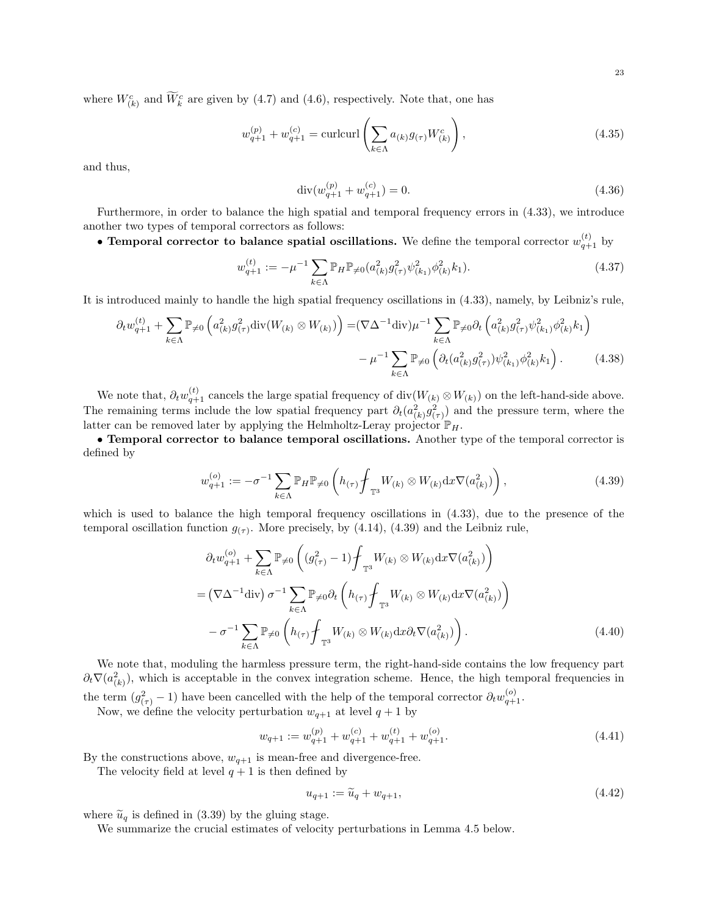where  $W_{(k)}^c$  and  $\overline{W}_k^c$  are given by [\(4.7\)](#page-19-3) and [\(4.6\)](#page-19-4), respectively. Note that, one has

$$
w_{q+1}^{(p)} + w_{q+1}^{(c)} = \text{curl} \text{curl} \left( \sum_{k \in \Lambda} a_{(k)} g_{(\tau)} W_{(k)}^c \right), \tag{4.35}
$$

and thus,

<span id="page-22-1"></span>
$$
\operatorname{div}(w_{q+1}^{(p)} + w_{q+1}^{(c)}) = 0. \tag{4.36}
$$

Furthermore, in order to balance the high spatial and temporal frequency errors in [\(4.33\)](#page-21-1), we introduce another two types of temporal correctors as follows:

• Temporal corrector to balance spatial oscillations. We define the temporal corrector  $w_{q+1}^{(t)}$  by

$$
w_{q+1}^{(t)} := -\mu^{-1} \sum_{k \in \Lambda} \mathbb{P}_H \mathbb{P}_{\neq 0} (a_{(k)}^2 g_{(\tau)}^2 \psi_{(k_1)}^2 \phi_{(k)}^2 k_1).
$$
 (4.37)

It is introduced mainly to handle the high spatial frequency oscillations in [\(4.33\)](#page-21-1), namely, by Leibniz's rule,

$$
\partial_t w_{q+1}^{(t)} + \sum_{k \in \Lambda} \mathbb{P}_{\neq 0} \left( a_{(k)}^2 g_{(\tau)}^2 \operatorname{div}(W_{(k)} \otimes W_{(k)}) \right) = (\nabla \Delta^{-1} \operatorname{div}) \mu^{-1} \sum_{k \in \Lambda} \mathbb{P}_{\neq 0} \partial_t \left( a_{(k)}^2 g_{(\tau)}^2 \psi_{(k_1)}^2 \phi_{(k)}^2 k_1 \right) - \mu^{-1} \sum_{k \in \Lambda} \mathbb{P}_{\neq 0} \left( \partial_t (a_{(k)}^2 g_{(\tau)}^2) \psi_{(k_1)}^2 \phi_{(k)}^2 k_1 \right).
$$
(4.38)

We note that,  $\partial_t w_{q+1}^{(t)}$  cancels the large spatial frequency of div $(W_{(k)} \otimes W_{(k)})$  on the left-hand-side above. The remaining terms include the low spatial frequency part  $\partial_t(a_{(k)}^2 g_{(\tau)}^2)$  and the pressure term, where the latter can be removed later by applying the Helmholtz-Leray projector  $\mathbb{P}_H$ .

• Temporal corrector to balance temporal oscillations. Another type of the temporal corrector is defined by

<span id="page-22-0"></span>
$$
w_{q+1}^{(o)} := -\sigma^{-1} \sum_{k \in \Lambda} \mathbb{P}_H \mathbb{P}_{\neq 0} \left( h_{(\tau)} \oint_{\mathbb{T}^3} W_{(k)} \otimes W_{(k)} \mathrm{d}x \nabla(a_{(k)}^2) \right), \tag{4.39}
$$

which is used to balance the high temporal frequency oscillations in [\(4.33\)](#page-21-1), due to the presence of the temporal oscillation function  $g_{(\tau)}$ . More precisely, by [\(4.14\)](#page-20-7), [\(4.39\)](#page-22-0) and the Leibniz rule,

$$
\partial_t w_{q+1}^{(o)} + \sum_{k \in \Lambda} \mathbb{P}_{\neq 0} \left( (g_{(\tau)}^2 - 1) \oint_{\mathbb{T}^3} W_{(k)} \otimes W_{(k)} \mathrm{d}x \nabla (a_{(k)}^2) \right)
$$
  
= \left( \nabla \Delta^{-1} \mathrm{div} \right) \sigma^{-1} \sum\_{k \in \Lambda} \mathbb{P}\_{\neq 0} \partial\_t \left( h\_{(\tau)} \oint\_{\mathbb{T}^3} W\_{(k)} \otimes W\_{(k)} \mathrm{d}x \nabla (a\_{(k)}^2) \right)   
- \sigma^{-1} \sum\_{k \in \Lambda} \mathbb{P}\_{\neq 0} \left( h\_{(\tau)} \oint\_{\mathbb{T}^3} W\_{(k)} \otimes W\_{(k)} \mathrm{d}x \partial\_t \nabla (a\_{(k)}^2) \right). \tag{4.40}

We note that, moduling the harmless pressure term, the right-hand-side contains the low frequency part  $\partial_t \nabla(a_{(k)}^2)$ , which is acceptable in the convex integration scheme. Hence, the high temporal frequencies in the term  $(g_{(\tau)}^2 - 1)$  have been cancelled with the help of the temporal corrector  $\partial_t w_{q+1}^{(o)}$ .

Now, we define the velocity perturbation  $w_{q+1}$  at level  $q+1$  by

$$
w_{q+1} := w_{q+1}^{(p)} + w_{q+1}^{(c)} + w_{q+1}^{(t)} + w_{q+1}^{(o)}.
$$
\n
$$
(4.41)
$$

By the constructions above,  $w_{q+1}$  is mean-free and divergence-free.

The velocity field at level  $q + 1$  is then defined by

<span id="page-22-4"></span><span id="page-22-3"></span><span id="page-22-2"></span>
$$
u_{q+1} := \widetilde{u}_q + w_{q+1},\tag{4.42}
$$

where  $\tilde{u}_q$  is defined in [\(3.39\)](#page-15-5) by the gluing stage.

We summarize the crucial estimates of velocity perturbations in Lemma [4.5](#page-23-0) below.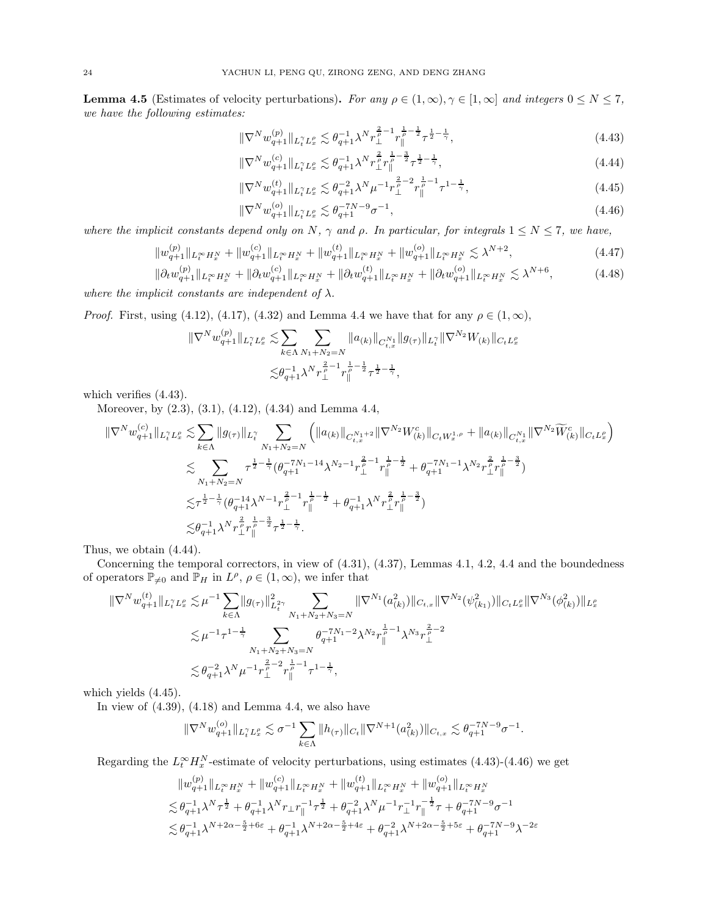<span id="page-23-0"></span>**Lemma 4.5** (Estimates of velocity perturbations). For any  $\rho \in (1,\infty), \gamma \in [1,\infty]$  and integers  $0 \le N \le 7$ , we have the following estimates:

$$
\|\nabla^{N} w_{q+1}^{(p)}\|_{L_{t}^{\gamma} L_{x}^{\rho}} \lesssim \theta_{q+1}^{-1} \lambda^{N} r_{\perp}^{\frac{2}{\rho}-1} r_{\parallel}^{\frac{1}{\rho}-\frac{1}{2}} \tau^{\frac{1}{2}-\frac{1}{\gamma}},\tag{4.43}
$$

<span id="page-23-2"></span><span id="page-23-1"></span>
$$
\|\nabla^{N} w_{q+1}^{(c)}\|_{L_t^{\gamma} L_x^{\rho}} \lesssim \theta_{q+1}^{-1} \lambda^N r_{\perp}^{\frac{2}{\rho}} r_{\parallel}^{\frac{1}{\rho} - \frac{3}{2}} \tau^{\frac{1}{2} - \frac{1}{\gamma}},\tag{4.44}
$$

<span id="page-23-3"></span>
$$
\|\nabla^{N} w_{q+1}^{(t)}\|_{L_{t}^{\gamma} L_{x}^{\rho}} \lesssim \theta_{q+1}^{-2} \lambda^{N} \mu^{-1} r_{\perp}^{\frac{2}{\rho}-2} r_{\parallel}^{\frac{1}{\rho}-1} \tau^{1-\frac{1}{\gamma}},\tag{4.45}
$$

<span id="page-23-6"></span><span id="page-23-5"></span><span id="page-23-4"></span>
$$
\|\nabla^N w_{q+1}^{(o)}\|_{L_t^\gamma L_x^\rho} \lesssim \theta_{q+1}^{-7N-9} \sigma^{-1},\tag{4.46}
$$

where the implicit constants depend only on N,  $\gamma$  and  $\rho$ . In particular, for integrals  $1 \leq N \leq 7$ , we have,

$$
||w_{q+1}^{(p)}||_{L_t^\infty H_x^N} + ||w_{q+1}^{(c)}||_{L_t^\infty H_x^N} + ||w_{q+1}^{(t)}||_{L_t^\infty H_x^N} + ||w_{q+1}^{(o)}||_{L_t^\infty H_x^N} \lesssim \lambda^{N+2},
$$
\n(4.47)

$$
\|\partial_t w_{q+1}^{(p)}\|_{L_t^\infty H_x^N} + \|\partial_t w_{q+1}^{(c)}\|_{L_t^\infty H_x^N} + \|\partial_t w_{q+1}^{(t)}\|_{L_t^\infty H_x^N} + \|\partial_t w_{q+1}^{(o)}\|_{L_t^\infty H_x^N} \lesssim \lambda^{N+6},\tag{4.48}
$$

where the implicit constants are independent of  $\lambda$ .

*Proof.* First, using [\(4.12\)](#page-19-5), [\(4.17\)](#page-20-8), [\(4.32\)](#page-21-4) and Lemma [4.4](#page-21-0) we have that for any  $\rho \in (1,\infty)$ ,

$$
\|\nabla^{N} w_{q+1}^{(p)}\|_{L_{t}^{\gamma} L_{x}^{\rho}} \lesssim \sum_{k \in \Lambda} \sum_{N_{1}+N_{2}=N} \|a_{(k)}\|_{C_{t,x}^{N_{1}}} \|g_{(\tau)}\|_{L_{t}^{\gamma}} \|\nabla^{N_{2}} W_{(k)}\|_{C_{t}L_{x}^{\rho}}
$$

$$
\lesssim \theta_{q+1}^{-1} \lambda^{N} \gamma_{\perp}^{\frac{2}{\rho}-1} r_{\parallel}^{\frac{1}{\rho}-\frac{1}{2}} \tau^{\frac{1}{2}-\frac{1}{\gamma}},
$$

which verifies [\(4.43\)](#page-23-1).

Moreover, by [\(2.3\)](#page-8-8), [\(3.1\)](#page-11-4), [\(4.12\)](#page-19-5), [\(4.34\)](#page-21-5) and Lemma [4.4,](#page-21-0)

$$
\label{eq:3.16} \begin{split} \|\nabla^N w^{(c)}_{q+1}\|_{L^{\gamma}_t L^{\rho}_x} \lesssim & \sum_{k\in \Lambda} \|g_{(\tau)}\|_{L^{\gamma}_t} \sum_{N_1+N_2=N} \Big( \|a_{(k)}\|_{C^{N_1+2}_{t,x}}\|\nabla^{N_2} W^c_{(k)}\|_{C_t W^{1,\rho}_x} + \|a_{(k)}\|_{C^{N_1}_{t,x}}\|\nabla^{N_2} \widetilde{W}^c_{(k)}\|_{C_t L^{\rho}_x} \Big) \\ \lesssim & \sum_{N_1+N_2=N} \tau^{\frac{1}{2}-\frac{1}{\gamma}}(\theta_{q+1}^{-7N_1-14}\lambda^{N_2-1}r^{\frac{2}{\rho}-1}_{\perp}r^{\frac{1}{\rho}-\frac{1}{2}}_{\parallel} + \theta_{q+1}^{-7N_1-1}\lambda^{N_2}r^{\frac{2}{\rho}}_{\perp}r^{\frac{1}{\rho}-\frac{3}{2}}_{\parallel}) \\ \lesssim & \tau^{\frac{1}{2}-\frac{1}{\gamma}}(\theta_{q+1}^{-14}\lambda^{N-1}r^{\frac{2}{\rho}-1}_{\perp}r^{\frac{1}{\rho}-\frac{1}{2}}_{\parallel} + \theta_{q+1}^{-1}\lambda^N r^{\frac{2}{\rho}}_{\perp}r^{\frac{1}{\rho}-\frac{3}{2}}_{\parallel}) \\ \lesssim & \theta_{q+1}^{-1}\lambda^N r^{\frac{2}{\rho}}_{\perp}r^{\frac{1}{\rho}-\frac{3}{2}}_{\parallel}\tau^{\frac{1}{2}-\frac{1}{\gamma}}. \end{split}
$$

Thus, we obtain [\(4.44\)](#page-23-2).

Concerning the temporal correctors, in view of [\(4.31\)](#page-21-6), [\(4.37\)](#page-22-1), Lemmas [4.1,](#page-19-2) [4.2,](#page-20-2) [4.4](#page-21-0) and the boundedness of operators  $\mathbb{P}_{\neq 0}$  and  $\mathbb{P}_H$  in  $L^{\rho}$ ,  $\rho \in (1,\infty)$ , we infer that

$$
\label{eq:estim} \begin{split} \|\nabla^N w^{(t)}_{q+1}\|_{L^{\gamma}_t L^{\rho}_x} \lesssim & \mu^{-1} \sum_{k \in \Lambda} \|g_{(\tau)}\|_{L^2_t}^2 \sum_{N_1 + N_2 + N_3 = N} \|\nabla^{N_1}(a_{(k)}^2)\|_{C_{t,x}} \|\nabla^{N_2}(\psi_{(k_1)}^2)\|_{C_t L^{\rho}_x} \|\nabla^{N_3}(\phi_{(k)}^2)\|_{L^{\rho}_x} \\ \lesssim & \mu^{-1} \tau^{1-\frac{1}{\gamma}} \sum_{N_1 + N_2 + N_3 = N} \theta_{q+1}^{-7N_1-2} \lambda^{N_2} r_{\parallel}^{\frac{1}{\rho}-1} \lambda^{N_3} r_{\perp}^{\frac{2}{\rho}-2} \\ \lesssim & \theta_{q+1}^{-2} \lambda^N \mu^{-1} r_{\perp}^{\frac{2}{\rho}-2} r_{\parallel}^{\frac{1}{\rho}-1} \tau^{1-\frac{1}{\gamma}}, \end{split}
$$

which yields [\(4.45\)](#page-23-3).

In view of  $(4.39)$ ,  $(4.18)$  and Lemma [4.4,](#page-21-0) we also have

$$
\|\nabla^N w_{q+1}^{(o)}\|_{L_t^\gamma L_x^\rho} \lesssim \sigma^{-1} \sum_{k \in \Lambda} \|h_{(\tau)}\|_{C_t} \|\nabla^{N+1}(a_{(k)}^2)\|_{C_{t,x}} \lesssim \theta_{q+1}^{-7N-9} \sigma^{-1}.
$$

Regarding the  $L_t^{\infty} H_x^N$ -estimate of velocity perturbations, using estimates [\(4.43\)](#page-23-1)-[\(4.46\)](#page-23-4) we get

$$
||w_{q+1}^{(p)}||_{L_t^\infty H_x^N} + ||w_{q+1}^{(c)}||_{L_t^\infty H_x^N} + ||w_{q+1}^{(t)}||_{L_t^\infty H_x^N} + ||w_{q+1}^{(c)}||_{L_t^\infty H_x^N}
$$
  
\n
$$
\lesssim \theta_{q+1}^{-1} \lambda^N \tau^{\frac{1}{2}} + \theta_{q+1}^{-1} \lambda^N r_\perp r_\parallel^{-1} \tau^{\frac{1}{2}} + \theta_{q+1}^{-2} \lambda^N \mu^{-1} r_\perp^{-1} r_\parallel^{-\frac{1}{2}} \tau + \theta_{q+1}^{-7N-9} \sigma^{-1}
$$
  
\n
$$
\lesssim \theta_{q+1}^{-1} \lambda^{N+2\alpha-\frac{5}{2}+6\varepsilon} + \theta_{q+1}^{-1} \lambda^{N+2\alpha-\frac{5}{2}+4\varepsilon} + \theta_{q+1}^{-2} \lambda^{N+2\alpha-\frac{5}{2}+5\varepsilon} + \theta_{q+1}^{-7N-9} \lambda^{-2\varepsilon}
$$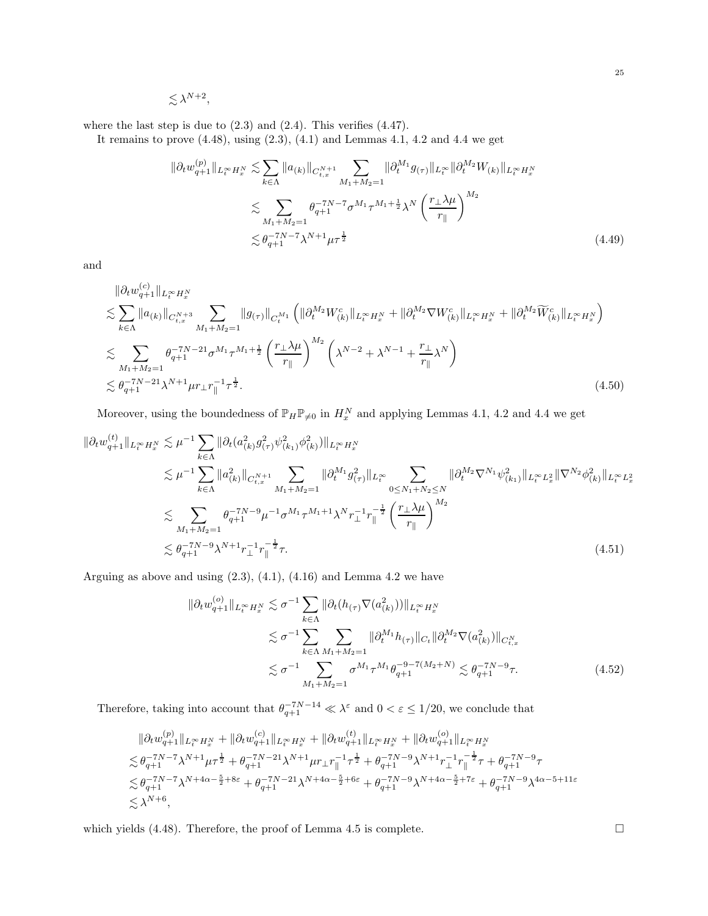$$
\lesssim \lambda^{N+2},
$$

where the last step is due to  $(2.3)$  and  $(2.4)$ . This verifies  $(4.47)$ .

It remains to prove  $(4.48)$  $(4.48)$  $(4.48)$ , using  $(2.3)$ ,  $(4.1)$  and Lemmas  $4.1$ ,  $4.2$  and  $4.4$  we get

$$
\|\partial_t w_{q+1}^{(p)}\|_{L_t^\infty H_x^N} \lesssim \sum_{k \in \Lambda} \|a_{(k)}\|_{C_{t,x}^{N+1}} \sum_{M_1 + M_2 = 1} \|\partial_t^{M_1} g_{(\tau)}\|_{L_t^\infty} \|\partial_t^{M_2} W_{(k)}\|_{L_t^\infty H_x^N}
$$
  

$$
\lesssim \sum_{M_1 + M_2 = 1} \theta_{q+1}^{-7N-7} \sigma^{M_1} \tau^{M_1 + \frac{1}{2}} \lambda^N \left(\frac{r_\perp \lambda \mu}{r_\parallel}\right)^{M_2}
$$
  

$$
\lesssim \theta_{q+1}^{-7N-7} \lambda^{N+1} \mu \tau^{\frac{1}{2}}
$$
 (4.49)

and

$$
\|\partial_t w_{q+1}^{(c)}\|_{L_t^\infty H_x^N} \leq \sum_{k \in \Lambda} \|a_{(k)}\|_{C_{t,x}^{N+3}} \sum_{M_1 + M_2 = 1} \|g_{(\tau)}\|_{C_t^{M_1}} \left( \|\partial_t^{M_2} W_{(k)}^c\|_{L_t^\infty H_x^N} + \|\partial_t^{M_2} \nabla W_{(k)}^c\|_{L_t^\infty H_x^N} + \|\partial_t^{M_2} \widetilde{W}_{(k)}^c\|_{L_t^\infty H_x^N} \right)
$$
  

$$
\lesssim \sum_{M_1 + M_2 = 1} \theta_{q+1}^{-7N-21} \sigma^{M_1} \tau^{M_1 + \frac{1}{2}} \left( \frac{r_\perp \lambda \mu}{r_\parallel} \right)^{M_2} \left( \lambda^{N-2} + \lambda^{N-1} + \frac{r_\perp}{r_\parallel} \lambda^N \right)
$$
  

$$
\lesssim \theta_{q+1}^{-7N-21} \lambda^{N+1} \mu r_\perp r_\parallel^{-1} \tau^{\frac{1}{2}}.
$$
 (4.50)

Moreover, using the boundedness of  $\mathbb{P}_H \mathbb{P}_{\neq 0}$  in  $H_x^N$  and applying Lemmas [4.1,](#page-19-2) [4.2](#page-20-2) and [4.4](#page-21-0) we get

$$
\|\partial_t w_{q+1}^{(t)}\|_{L_t^\infty H_x^N} \lesssim \mu^{-1} \sum_{k \in \Lambda} \|\partial_t (a_{(k)}^2 g_{(\tau)}^2 \psi_{(k_1)}^2 \phi_{(k)}^2)\|_{L_t^\infty H_x^N}
$$
  
\n
$$
\lesssim \mu^{-1} \sum_{k \in \Lambda} \|a_{(k)}^2\|_{C_{t,x}^{N+1}} \sum_{M_1 + M_2 = 1} \|\partial_t^{M_1} g_{(\tau)}^2\|_{L_t^\infty} \sum_{0 \le N_1 + N_2 \le N} \|\partial_t^{M_2} \nabla^{N_1} \psi_{(k_1)}^2\|_{L_t^\infty L_x^2} \|\nabla^{N_2} \phi_{(k)}^2\|_{L_t^\infty L_x^2}
$$
  
\n
$$
\lesssim \sum_{M_1 + M_2 = 1} \theta_{q+1}^{-7N-9} \mu^{-1} \sigma^{M_1} \tau^{M_1+1} \lambda^N r_{\perp}^{-1} r_{\parallel}^{-\frac{1}{2}} \left(\frac{r_{\perp} \lambda \mu}{r_{\parallel}}\right)^{M_2}
$$
  
\n
$$
\lesssim \theta_{q+1}^{-7N-9} \lambda^{N+1} r_{\perp}^{-1} r_{\parallel}^{-\frac{1}{2}} \tau.
$$
\n(4.51)

Arguing as above and using  $(2.3)$ ,  $(4.1)$ ,  $(4.16)$  and Lemma [4.2](#page-20-2) we have

<span id="page-24-0"></span>
$$
\|\partial_t w_{q+1}^{(o)}\|_{L_t^\infty H_x^N} \lesssim \sigma^{-1} \sum_{k \in \Lambda} \|\partial_t (h_{(\tau)} \nabla(a_{(k)}^2))\|_{L_t^\infty H_x^N}
$$
  

$$
\lesssim \sigma^{-1} \sum_{k \in \Lambda} \sum_{M_1 + M_2 = 1} \|\partial_t^{M_1} h_{(\tau)}\|_{C_t} \|\partial_t^{M_2} \nabla(a_{(k)}^2)\|_{C_{t,x}^N}
$$
  

$$
\lesssim \sigma^{-1} \sum_{M_1 + M_2 = 1} \sigma^{M_1} \tau^{M_1} \theta_{q+1}^{-9 - 7(M_2 + N)} \lesssim \theta_{q+1}^{-7N - 9} \tau.
$$
 (4.52)

Therefore, taking into account that  $\theta_{q+1}^{-7N-14} \ll \lambda^{\varepsilon}$  and  $0 < \varepsilon \leq 1/20$ , we conclude that

$$
\begin{split} &\|\partial_t w^{(p)}_{q+1}\|_{L^\infty_t H^\infty_x} + \|\partial_t w^{(c)}_{q+1}\|_{L^\infty_t H^\infty_x} + \|\partial_t w^{(t)}_{q+1}\|_{L^\infty_t H^\infty_x} + \|\partial_t w^{(o)}_{q+1}\|_{L^\infty_t H^\infty_x} \\ &\lesssim \theta_{q+1}^{-7N-7} \lambda^{N+1} \mu \tau^{\frac{1}{2}} + \theta_{q+1}^{-7N-21} \lambda^{N+1} \mu r_\perp r_\parallel^{-1} \tau^{\frac{1}{2}} + \theta_{q+1}^{-7N-9} \lambda^{N+1} r_\perp^{-1} r_\parallel^{-\frac{1}{2}} \tau + \theta_{q+1}^{-7N-9} \tau \\ &\lesssim \theta_{q+1}^{-7N-7} \lambda^{N+4\alpha-\frac{5}{2}+8\varepsilon} + \theta_{q+1}^{-7N-21} \lambda^{N+4\alpha-\frac{5}{2}+6\varepsilon} + \theta_{q+1}^{-7N-9} \lambda^{N+4\alpha-\frac{5}{2}+7\varepsilon} + \theta_{q+1}^{-7N-9} \lambda^{4\alpha-5+11\varepsilon} \\ &\lesssim \lambda^{N+6}, \end{split}
$$

which yields  $(4.48)$ . Therefore, the proof of Lemma [4.5](#page-23-0) is complete.  $\Box$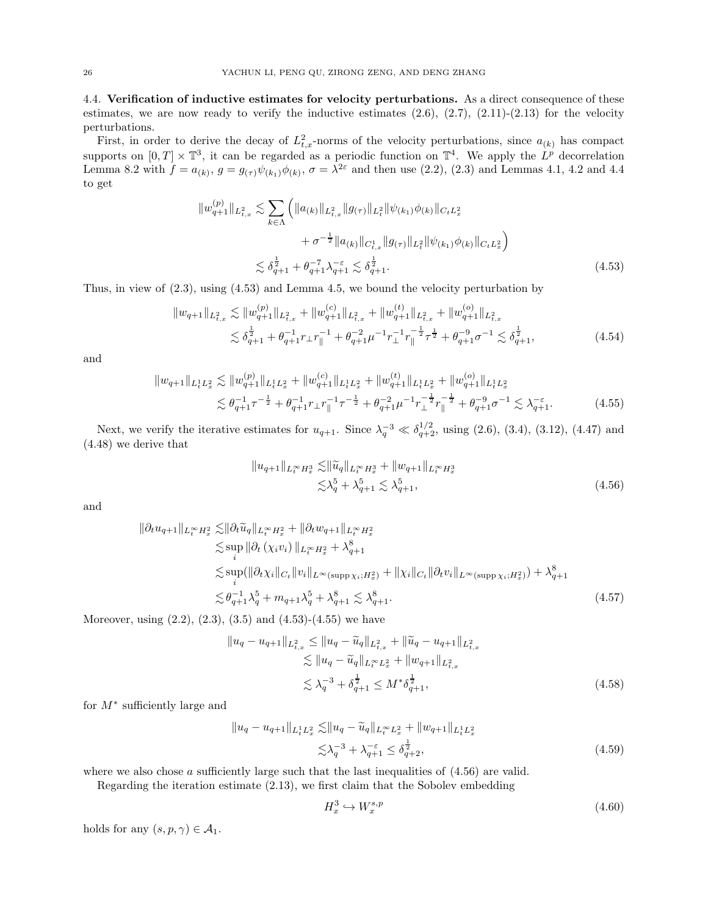<span id="page-25-0"></span>4.4. Verification of inductive estimates for velocity perturbations. As a direct consequence of these estimates, we are now ready to verify the inductive estimates  $(2.6)$ ,  $(2.7)$ ,  $(2.11)-(2.13)$  $(2.11)-(2.13)$  for the velocity perturbations.

First, in order to derive the decay of  $L_{t,x}^2$ -norms of the velocity perturbations, since  $a_{(k)}$  has compact supports on  $[0,T] \times \mathbb{T}^3$ , it can be regarded as a periodic function on  $\mathbb{T}^4$ . We apply the  $L^p$  decorrelation Lemma [8.2](#page-42-4) with  $f = a_{(k)}$ ,  $g = g_{(\tau)}\psi_{(k_1)}\phi_{(k)}$ ,  $\sigma = \lambda^{2\varepsilon}$  and then use [\(2.2\)](#page-8-9), [\(2.3\)](#page-8-8) and Lemmas [4.1,](#page-19-2) [4.2](#page-20-2) and [4.4](#page-21-0) to get

$$
||w_{q+1}^{(p)}||_{L_{t,x}^{2}} \lesssim \sum_{k \in \Lambda} \left( ||a_{(k)}||_{L_{t,x}^{2}} ||g_{(\tau)}||_{L_{t}^{2}} ||\psi_{(k_{1})}\phi_{(k)}||_{C_{t}L_{x}^{2}} + \sigma^{-\frac{1}{2}} ||a_{(k)}||_{C_{t,x}^{1}} ||g_{(\tau)}||_{L_{t}^{2}} ||\psi_{(k_{1})}\phi_{(k)}||_{C_{t}L_{x}^{2}} \right)
$$
  

$$
\lesssim \delta_{q+1}^{\frac{1}{2}} + \theta_{q+1}^{-7} \lambda_{q+1}^{-\varepsilon} \lesssim \delta_{q+1}^{\frac{1}{2}}.
$$
 (4.53)

Thus, in view of [\(2.3\)](#page-8-8), using [\(4.53\)](#page-25-1) and Lemma [4.5,](#page-23-0) we bound the velocity perturbation by

$$
||w_{q+1}||_{L_{t,x}^{2}} \lesssim ||w_{q+1}^{(p)}||_{L_{t,x}^{2}} + ||w_{q+1}^{(c)}||_{L_{t,x}^{2}} + ||w_{q+1}^{(t)}||_{L_{t,x}^{2}} + ||w_{q+1}^{(o)}||_{L_{t,x}^{2}}
$$
  

$$
\lesssim \delta_{q+1}^{\frac{1}{2}} + \theta_{q+1}^{-1}r \Delta r_{\parallel}^{-1} + \theta_{q+1}^{-2}\mu^{-1}r_{\perp}^{-1}r_{\parallel}^{-\frac{1}{2}}\tau^{\frac{1}{2}} + \theta_{q+1}^{-9}\sigma^{-1} \lesssim \delta_{q+1}^{\frac{1}{2}},
$$
\n(4.54)

and

$$
||w_{q+1}||_{L_t^1 L_x^2} \lesssim ||w_{q+1}^{(p)}||_{L_t^1 L_x^2} + ||w_{q+1}^{(c)}||_{L_t^1 L_x^2} + ||w_{q+1}^{(t)}||_{L_t^1 L_x^2} + ||w_{q+1}^{(c)}||_{L_t^1 L_x^2}
$$
  

$$
\lesssim \theta_{q+1}^{-1} \tau^{-\frac{1}{2}} + \theta_{q+1}^{-1} r \bot r_{\parallel}^{-1} \tau^{-\frac{1}{2}} + \theta_{q+1}^{-2} \mu^{-1} r_{\perp}^{-\frac{1}{2}} r_{\parallel}^{-\frac{1}{2}} + \theta_{q+1}^{-9} \sigma^{-1} \lesssim \lambda_{q+1}^{-\varepsilon}.
$$
 (4.55)

Next, we verify the iterative estimates for  $u_{q+1}$ . Since  $\lambda_q^{-3} \ll \delta_{q+2}^{1/2}$ , using [\(2.6\)](#page-8-2), [\(3.4\)](#page-11-5), [\(3.12\)](#page-12-10), [\(4.47\)](#page-23-5) and [\(4.48\)](#page-23-6) we derive that

<span id="page-25-3"></span><span id="page-25-2"></span><span id="page-25-1"></span>
$$
||u_{q+1}||_{L_t^{\infty}H_x^3} \lesssim ||\widetilde{u}_q||_{L_t^{\infty}H_x^3} + ||w_{q+1}||_{L_t^{\infty}H_x^3}
$$
  

$$
\lesssim \lambda_q^5 + \lambda_{q+1}^5 \lesssim \lambda_{q+1}^5,
$$
\n(4.56)

and

$$
\|\partial_t u_{q+1}\|_{L_t^\infty H_x^2} \lesssim \|\partial_t \widetilde{u}_q\|_{L_t^\infty H_x^2} + \|\partial_t w_{q+1}\|_{L_t^\infty H_x^2}
$$
  
\n
$$
\lesssim \sup_i \|\partial_t (\chi_i v_i)\|_{L_t^\infty H_x^2} + \lambda_{q+1}^8
$$
  
\n
$$
\lesssim \sup_i (\|\partial_t \chi_i\|_{C_t} \|v_i\|_{L^\infty(\text{supp}\,\chi_i; H_x^2)} + \|\chi_i\|_{C_t} \|\partial_t v_i\|_{L^\infty(\text{supp}\,\chi_i; H_x^2)}) + \lambda_{q+1}^8
$$
  
\n
$$
\lesssim \theta_{q+1}^{-1} \lambda_q^5 + m_{q+1} \lambda_q^5 + \lambda_{q+1}^8 \lesssim \lambda_{q+1}^8.
$$
\n(4.57)

Moreover, using  $(2.2)$ ,  $(2.3)$ ,  $(3.5)$  and  $(4.53)-(4.55)$  $(4.53)-(4.55)$  we have

$$
||u_q - u_{q+1}||_{L^2_{t,x}} \le ||u_q - \widetilde{u}_q||_{L^2_{t,x}} + ||\widetilde{u}_q - u_{q+1}||_{L^2_{t,x}}\n\lesssim ||u_q - \widetilde{u}_q||_{L^\infty_t L^2_x} + ||w_{q+1}||_{L^2_{t,x}}\n\lesssim \lambda_q^{-3} + \delta_{q+1}^{\frac{1}{2}} \le M^* \delta_{q+1}^{\frac{1}{2}},
$$
\n(4.58)

for M<sup>∗</sup> sufficiently large and

$$
||u_q - u_{q+1}||_{L_t^1 L_x^2} \lesssim ||u_q - \widetilde{u}_q||_{L_t^\infty L_x^2} + ||w_{q+1}||_{L_t^1 L_x^2}
$$
  

$$
\lesssim \lambda_q^{-3} + \lambda_{q+1}^{-\varepsilon} \le \delta_{q+2}^{\frac{1}{2}},
$$
 (4.59)

where we also chose a sufficiently large such that the last inequalities of  $(4.56)$  are valid.

Regarding the iteration estimate [\(2.13\)](#page-9-4), we first claim that the Sobolev embedding

<span id="page-25-5"></span><span id="page-25-4"></span>
$$
H_x^3 \hookrightarrow W_x^{s,p} \tag{4.60}
$$

holds for any  $(s, p, \gamma) \in \mathcal{A}_1$ .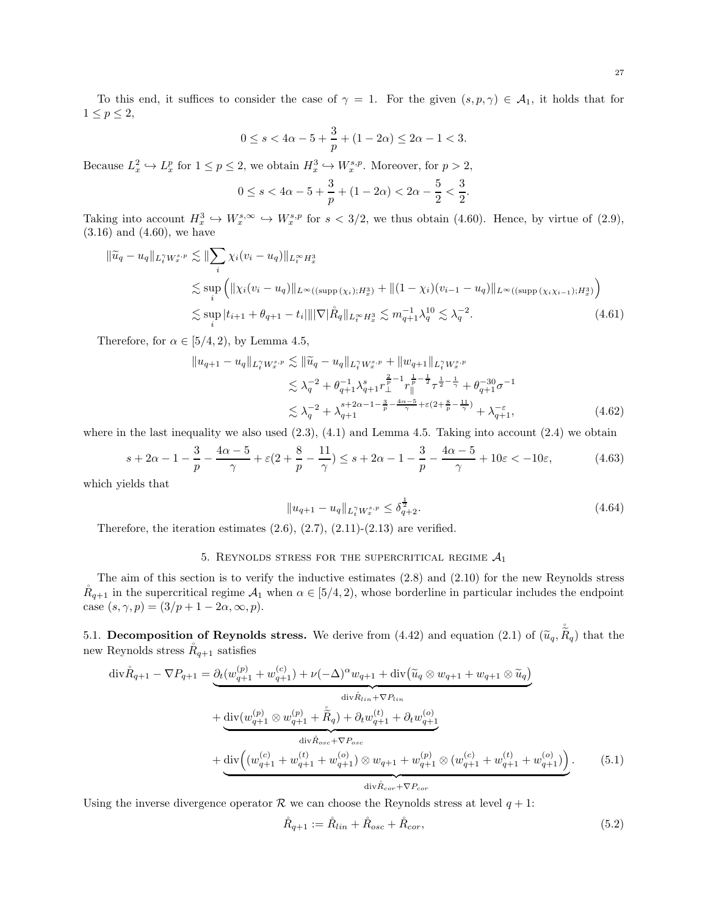$$
0 \le s < 4\alpha - 5 + \frac{3}{p} + (1 - 2\alpha) \le 2\alpha - 1 < 3.
$$

Because  $L_x^2 \hookrightarrow L_x^p$  for  $1 \leq p \leq 2$ , we obtain  $H_x^3 \hookrightarrow W_x^{s,p}$ . Moreover, for  $p > 2$ ,

$$
0 \le s < 4\alpha - 5 + \frac{3}{p} + (1 - 2\alpha) < 2\alpha - \frac{5}{2} < \frac{3}{2}.
$$

Taking into account  $H_x^3 \hookrightarrow W_x^{s,\infty} \hookrightarrow W_x^{s,p}$  for  $s < 3/2$ , we thus obtain [\(4.60\)](#page-25-4). Hence, by virtue of [\(2.9\)](#page-8-10), [\(3.16\)](#page-12-8) and [\(4.60\)](#page-25-4), we have

$$
\|\tilde{u}_q - u_q\|_{L_t^{\gamma} W_x^{s,p}} \lesssim \|\sum_i \chi_i (v_i - u_q)\|_{L_t^{\infty} H_x^3}
$$
  
\n
$$
\lesssim \sup_i \left( \|\chi_i (v_i - u_q)\|_{L^{\infty}((\text{supp}(\chi_i); H_x^3)} + \| (1 - \chi_i)(v_{i-1} - u_q) \|_{L^{\infty}((\text{supp}(\chi_i \chi_{i-1}); H_x^3)}) \right)
$$
  
\n
$$
\lesssim \sup_i |t_{i+1} + \theta_{q+1} - t_i| \| |\nabla| \mathring{R}_q \|_{L_t^{\infty} H_x^3} \lesssim m_{q+1}^{-1} \lambda_q^{10} \lesssim \lambda_q^{-2}.
$$
\n(4.61)

Therefore, for  $\alpha \in [5/4, 2)$ , by Lemma [4.5,](#page-23-0)

$$
||u_{q+1} - u_q||_{L_t^{\gamma} W_x^{s,p}} \lesssim ||\widetilde{u}_q - u_q||_{L_t^{\gamma} W_x^{s,p}} + ||w_{q+1}||_{L_t^{\gamma} W_x^{s,p}}
$$
  
\n
$$
\lesssim \lambda_q^{-2} + \theta_{q+1}^{-1} \lambda_{q+1}^{s} r_{\perp}^{\frac{2}{p}-1} r_{\parallel}^{\frac{1}{p}-\frac{1}{2}} \tau^{\frac{1}{2}-\frac{1}{\gamma}} + \theta_{q+1}^{-30} \sigma^{-1}
$$
  
\n
$$
\lesssim \lambda_q^{-2} + \lambda_{q+1}^{s+2\alpha-1-\frac{3}{p}-\frac{4\alpha-5}{\gamma}} \tau^{\varepsilon}(2+\frac{8}{p}-\frac{11}{\gamma}) + \lambda_{q+1}^{-\varepsilon},
$$
\n(4.62)

where in the last inequality we also used  $(2.3)$ ,  $(4.1)$  and Lemma [4.5.](#page-23-0) Taking into account  $(2.4)$  we obtain

$$
s + 2\alpha - 1 - \frac{3}{p} - \frac{4\alpha - 5}{\gamma} + \varepsilon (2 + \frac{8}{p} - \frac{11}{\gamma}) \leq s + 2\alpha - 1 - \frac{3}{p} - \frac{4\alpha - 5}{\gamma} + 10\varepsilon < -10\varepsilon,
$$
 (4.63)

which yields that

<span id="page-26-3"></span><span id="page-26-2"></span>
$$
||u_{q+1} - u_q||_{L_t^{\gamma} W_x^{s,p}} \le \delta_{q+2}^{\frac{1}{2}}.
$$
\n(4.64)

<span id="page-26-0"></span>Therefore, the iteration estimates  $(2.6)$ ,  $(2.7)$ ,  $(2.11)-(2.13)$  $(2.11)-(2.13)$  are verified.

# 5. REYNOLDS STRESS FOR THE SUPERCRITICAL REGIME  $A_1$

The aim of this section is to verify the inductive estimates [\(2.8\)](#page-8-7) and [\(2.10\)](#page-8-3) for the new Reynolds stress  $R_{q+1}$  in the supercritical regime  $\mathcal{A}_1$  when  $\alpha \in [5/4, 2)$ , whose borderline in particular includes the endpoint case  $(s, \gamma, p) = (3/p + 1 - 2\alpha, \infty, p).$ 

<span id="page-26-1"></span>5.1. Decomposition of Reynolds stress. We derive from [\(4.42\)](#page-22-2) and equation [\(2.1\)](#page-8-1) of  $(\tilde{u}_q, \tilde{R}_q)$  that the new Reynolds stress  $R_{q+1}$  satisfies

$$
\begin{split}\n\text{div}\mathring{R}_{q+1} - \nabla P_{q+1} &= \underbrace{\partial_t (w_{q+1}^{(p)} + w_{q+1}^{(c)}) + \nu(-\Delta)^{\alpha} w_{q+1} + \text{div}\left(\widetilde{u}_q \otimes w_{q+1} + w_{q+1} \otimes \widetilde{u}_q\right)}_{\text{div}\mathring{R}_{lin} + \nabla P_{lin}} \\
&+ \underbrace{\text{div}(w_{q+1}^{(p)} \otimes w_{q+1}^{(p)} + \widetilde{R}_q) + \partial_t w_{q+1}^{(t)} + \partial_t w_{q+1}^{(o)}}_{\text{div}\mathring{R}_{osc} + \nabla P_{osc}} \\
&+ \underbrace{\text{div}\left((w_{q+1}^{(c)} + w_{q+1}^{(t)} + w_{q+1}^{(o)}) \otimes w_{q+1} + w_{q+1}^{(p)} \otimes (w_{q+1}^{(c)} + w_{q+1}^{(t)} + w_{q+1}^{(o)})\right)}_{\text{div}\mathring{R}_{cor} + \nabla P_{cor}}.\n\end{split} \tag{5.1}
$$

Using the inverse divergence operator  $\mathcal R$  we can choose the Reynolds stress at level  $q + 1$ :

$$
\mathring{R}_{q+1} := \mathring{R}_{lin} + \mathring{R}_{osc} + \mathring{R}_{cor},\tag{5.2}
$$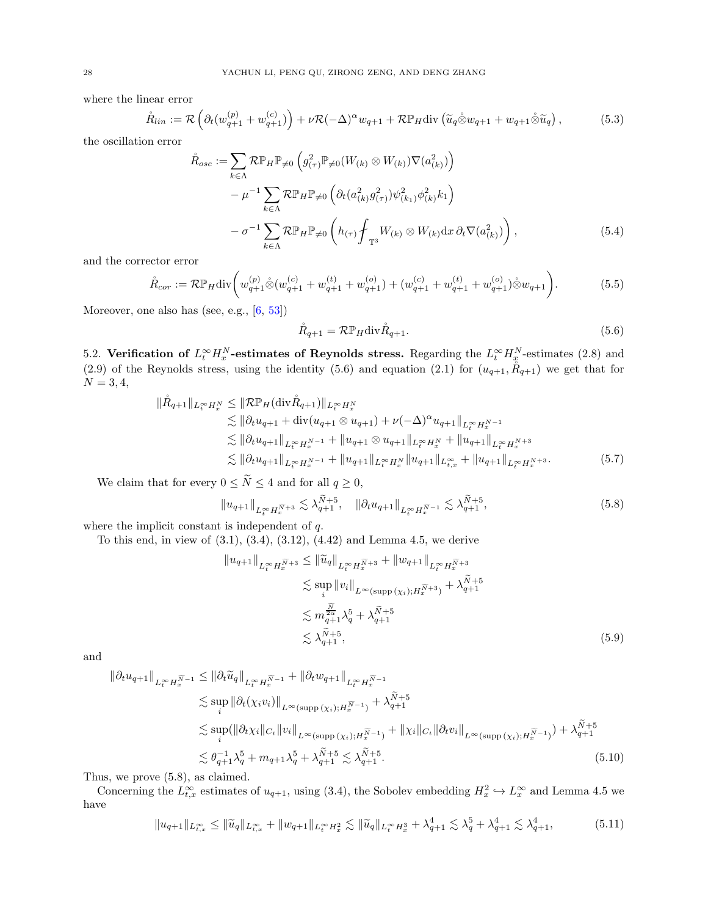where the linear error

$$
\mathring{R}_{lin} := \mathcal{R}\left(\partial_t (w_{q+1}^{(p)} + w_{q+1}^{(c)})\right) + \nu \mathcal{R}(-\Delta)^{\alpha} w_{q+1} + \mathcal{R} \mathbb{P}_H \text{div}\left(\widetilde{u}_q \mathring{\otimes} w_{q+1} + w_{q+1} \mathring{\otimes} \widetilde{u}_q\right),\tag{5.3}
$$

the oscillation error

$$
\hat{R}_{osc} := \sum_{k \in \Lambda} \mathcal{R} \mathbb{P}_H \mathbb{P}_{\neq 0} \left( g_{(\tau)}^2 \mathbb{P}_{\neq 0} (W_{(k)} \otimes W_{(k)}) \nabla (a_{(k)}^2) \right) \n- \mu^{-1} \sum_{k \in \Lambda} \mathcal{R} \mathbb{P}_H \mathbb{P}_{\neq 0} \left( \partial_t (a_{(k)}^2 g_{(\tau)}^2) \psi_{(k_1)}^2 \phi_{(k)}^2 k_1 \right) \n- \sigma^{-1} \sum_{k \in \Lambda} \mathcal{R} \mathbb{P}_H \mathbb{P}_{\neq 0} \left( h_{(\tau)} \oint_{\mathbb{T}^3} W_{(k)} \otimes W_{(k)} dx \, \partial_t \nabla (a_{(k)}^2) \right),
$$
\n(5.4)

and the corrector error

$$
\mathring{R}_{cor} := \mathcal{R} \mathbb{P}_H \text{div} \bigg( w_{q+1}^{(p)} \mathring{\otimes} (w_{q+1}^{(c)} + w_{q+1}^{(t)} + w_{q+1}^{(o)}) + (w_{q+1}^{(c)} + w_{q+1}^{(t)} + w_{q+1}^{(o)}) \mathring{\otimes} w_{q+1} \bigg). \tag{5.5}
$$

Moreover, one also has (see, e.g., [\[6](#page-44-9), [53](#page-45-20)])

<span id="page-27-5"></span><span id="page-27-4"></span><span id="page-27-2"></span><span id="page-27-1"></span>
$$
\mathring{R}_{q+1} = \mathcal{R} \mathbb{P}_H \text{div} \mathring{R}_{q+1}.
$$
\n(5.6)

<span id="page-27-0"></span>5.2. Verification of  $L_t^{\infty} H_x^N$ -estimates of Reynolds stress. Regarding the  $L_t^{\infty} H_x^N$ -estimates [\(2.8\)](#page-8-7) and [\(2.9\)](#page-8-10) of the Reynolds stress, using the identity [\(5.6\)](#page-27-1) and equation [\(2.1\)](#page-8-1) for  $(u_{q+1}, \bar{R}_{q+1})$  we get that for  $N = 3, 4,$ 

$$
\|\mathring{R}_{q+1}\|_{L_t^\infty H_x^N} \leq \|\mathcal{R}\mathbb{P}_H(\text{div}\,\mathring{R}_{q+1})\|_{L_t^\infty H_x^N} \n\lesssim \|\partial_t u_{q+1} + \text{div}(u_{q+1}\otimes u_{q+1}) + \nu(-\Delta)^\alpha u_{q+1}\|_{L_t^\infty H_x^{N-1}} \n\lesssim \|\partial_t u_{q+1}\|_{L_t^\infty H_x^{N-1}} + \|u_{q+1}\otimes u_{q+1}\|_{L_t^\infty H_x^N} + \|u_{q+1}\|_{L_t^\infty H_x^{N+3}} \n\lesssim \|\partial_t u_{q+1}\|_{L_t^\infty H_x^{N-1}} + \|u_{q+1}\|_{L_t^\infty H_x^N} \|u_{q+1}\|_{L_{t,x}^\infty} + \|u_{q+1}\|_{L_t^\infty H_x^{N+3}}.
$$
\n(5.7)

We claim that for every  $0 \le \tilde{N} \le 4$  and for all  $q \ge 0$ ,

$$
||u_{q+1}||_{L_t^{\infty} H_x^{\widetilde{N}+3}} \lesssim \lambda_{q+1}^{\widetilde{N}+5}, \quad ||\partial_t u_{q+1}||_{L_t^{\infty} H_x^{\widetilde{N}-1}} \lesssim \lambda_{q+1}^{\widetilde{N}+5}, \tag{5.8}
$$

where the implicit constant is independent of q.

To this end, in view of [\(3.1\)](#page-11-4), [\(3.4\)](#page-11-5), [\(3.12\)](#page-12-10), [\(4.42\)](#page-22-2) and Lemma [4.5,](#page-23-0) we derive

$$
||u_{q+1}||_{L_t^{\infty} H_x^{\widetilde{N}+3}} \le ||\widetilde{u}_q||_{L_t^{\infty} H_x^{\widetilde{N}+3}} + ||w_{q+1}||_{L_t^{\infty} H_x^{\widetilde{N}+3}}
$$
  
\n
$$
\lesssim \sup_i ||v_i||_{L^{\infty}(\text{supp}(\chi_i); H_x^{\widetilde{N}+3})} + \lambda_{q+1}^{\widetilde{N}+5}
$$
  
\n
$$
\lesssim m_{q+1}^{\frac{\widetilde{N}}{2\alpha}} \lambda_q^5 + \lambda_{q+1}^{\widetilde{N}+5}
$$
  
\n
$$
\lesssim \lambda_{q+1}^{\widetilde{N}+5}, \tag{5.9}
$$

and

$$
\|\partial_t u_{q+1}\|_{L_t^\infty H_x^{\widetilde{N}-1}} \le \|\partial_t \widetilde{u}_q\|_{L_t^\infty H_x^{\widetilde{N}-1}} + \|\partial_t w_{q+1}\|_{L_t^\infty H_x^{\widetilde{N}-1}}
$$
  
\n
$$
\lesssim \sup_i \|\partial_t (\chi_i v_i)\|_{L^\infty(\text{supp}(\chi_i); H_x^{\widetilde{N}-1})} + \lambda_{q+1}^{\widetilde{N}+5}
$$
  
\n
$$
\lesssim \sup_i (\|\partial_t \chi_i\|_{C_t} \|v_i\|_{L^\infty(\text{supp}(\chi_i); H_x^{\widetilde{N}-1})} + \|\chi_i\|_{C_t} \|\partial_t v_i\|_{L^\infty(\text{supp}(\chi_i); H_x^{\widetilde{N}-1})}) + \lambda_{q+1}^{\widetilde{N}+5}
$$
  
\n
$$
\lesssim \theta_{q+1}^{-1} \lambda_q^5 + m_{q+1} \lambda_q^5 + \lambda_{q+1}^{\widetilde{N}+5} \lesssim \lambda_{q+1}^{\widetilde{N}+5}.
$$
\n(5.10)

Thus, we prove [\(5.8\)](#page-27-2), as claimed.

Concerning the  $L_{t,x}^{\infty}$  estimates of  $u_{q+1}$ , using [\(3.4\)](#page-11-5), the Sobolev embedding  $H_x^2 \hookrightarrow L_x^{\infty}$  and Lemma [4.5](#page-23-0) we have

<span id="page-27-3"></span>
$$
||u_{q+1}||_{L_{t,x}^{\infty}} \le ||\widetilde{u}_q||_{L_{t,x}^{\infty}} + ||w_{q+1}||_{L_t^{\infty} H_x^2} \lesssim ||\widetilde{u}_q||_{L_t^{\infty} H_x^3} + \lambda_{q+1}^4 \lesssim \lambda_q^5 + \lambda_{q+1}^4 \lesssim \lambda_{q+1}^4,
$$
\n(5.11)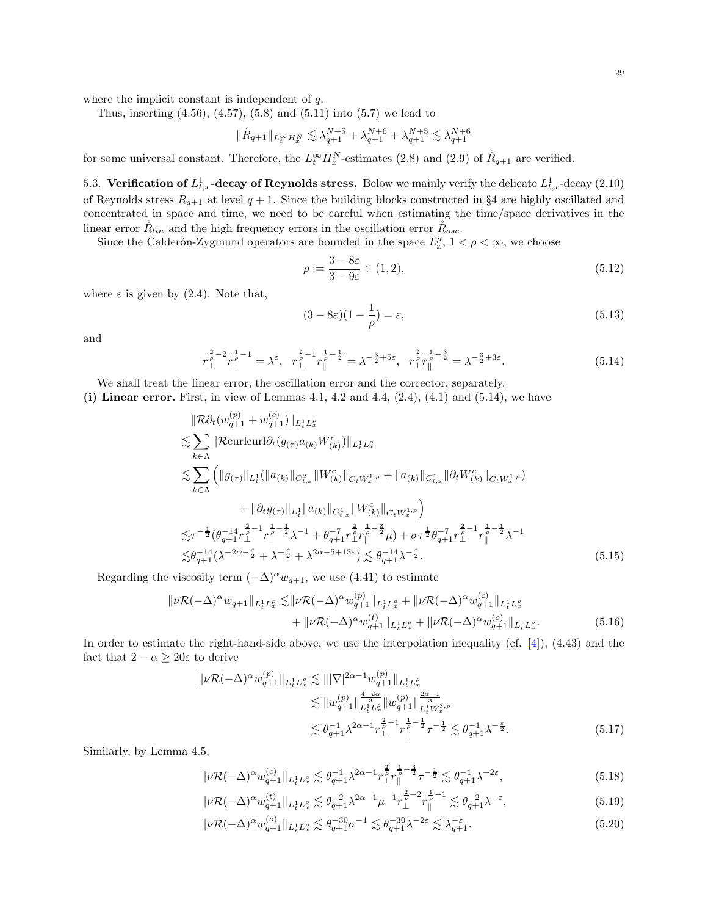where the implicit constant is independent of q.

Thus, inserting  $(4.56)$ ,  $(4.57)$ ,  $(5.8)$  and  $(5.11)$  into  $(5.7)$  we lead to

$$
\|\mathring{R}_{q+1}\|_{L^{\infty}_{t} H^{N}_{x}} \lesssim \lambda_{q+1}^{N+5} + \lambda_{q+1}^{N+6} + \lambda_{q+1}^{N+5} \lesssim \lambda_{q+1}^{N+6}
$$

for some universal constant. Therefore, the  $L_t^{\infty} H_x^N$ -estimates [\(2.8\)](#page-8-7) and [\(2.9\)](#page-8-10) of  $R_{q+1}$  are verified.

<span id="page-28-0"></span>5.3. Verification of  $L_{t,x}^1$ -decay of Reynolds stress. Below we mainly verify the delicate  $L_{t,x}^1$ -decay [\(2.10\)](#page-8-3) of Reynolds stress  $R_{q+1}$  at level  $q+1$ . Since the building blocks constructed in §[4](#page-18-0) are highly oscillated and concentrated in space and time, we need to be careful when estimating the time/space derivatives in the linear error  $\tilde{R}_{lin}$  and the high frequency errors in the oscillation error  $\tilde{R}_{osc}$ .

Since the Calderón-Zygmund operators are bounded in the space  $L_x^{\rho}$ ,  $1 < \rho < \infty$ , we choose

$$
\rho := \frac{3 - 8\varepsilon}{3 - 9\varepsilon} \in (1, 2),\tag{5.12}
$$

where  $\varepsilon$  is given by [\(2.4\)](#page-8-4). Note that,

<span id="page-28-4"></span><span id="page-28-1"></span>
$$
(3 - 8\varepsilon)(1 - \frac{1}{\rho}) = \varepsilon,\tag{5.13}
$$

and

$$
r_{\perp}^{\frac{2}{\rho}-2}r_{\parallel}^{\frac{1}{\rho}-1} = \lambda^{\varepsilon}, \quad r_{\perp}^{\frac{2}{\rho}-1}r_{\parallel}^{\frac{1}{\rho}-\frac{1}{2}} = \lambda^{-\frac{3}{2}+5\varepsilon}, \quad r_{\perp}^{\frac{2}{\rho}}r_{\parallel}^{\frac{1}{\rho}-\frac{3}{2}} = \lambda^{-\frac{3}{2}+3\varepsilon}.
$$
 (5.14)

We shall treat the linear error, the oscillation error and the corrector, separately.

(i) Linear error. First, in view of Lemmas [4.1,](#page-19-2) [4.2](#page-20-2) and [4.4,](#page-21-0)  $(2.4)$ ,  $(4.1)$  and  $(5.14)$ , we have

$$
\|\mathcal{R}\partial_t(w_{q+1}^{(p)} + w_{q+1}^{(c)})\|_{L_t^1 L_x^p} \n\lesssim \sum_{k \in \Lambda} \|\mathcal{R}\text{curlcurl}\partial_t(g_{(\tau)}a_{(k)}W_{(k)}^c)\|_{L_t^1 L_x^p} \n\lesssim \sum_{k \in \Lambda} \left( \|g_{(\tau)}\|_{L_t^1} (\|a_{(k)}\|_{C_{t,x}^2} \|W_{(k)}^c)\|_{C_t W_x^{1,\rho}} + \|a_{(k)}\|_{C_{t,x}^1} \|\partial_t W_{(k)}^c\|_{C_t W_x^{1,\rho}}) \right) \n+ \|\partial_t g_{(\tau)}\|_{L_t^1} \|a_{(k)}\|_{C_{t,x}^1} \|W_{(k)}^c\|_{C_t W_x^{1,\rho}} \right) \n\lesssim \tau^{-\frac{1}{2}} (\theta_{q+1}^{-1} \tau_\perp^{\frac{2}{p}-1} \tau_\parallel^{\frac{1}{p}-\frac{1}{2}} \lambda^{-1} + \theta_{q+1}^{-\tau} \tau_\perp^{\frac{2}{p}} \tau_\parallel^{\frac{1}{p}-\frac{3}{2}} \mu) + \sigma \tau^{\frac{1}{2}} \theta_{q+1}^{-\tau} \tau_\perp^{\frac{2}{p}-1} \tau_\parallel^{\frac{1}{p}-\frac{1}{2}} \lambda^{-1} \n\lesssim \theta_{q+1}^{-14} (\lambda^{-2\alpha-\frac{\epsilon}{2}} + \lambda^{-\frac{\epsilon}{2}} + \lambda^{2\alpha-5+13\epsilon}) \lesssim \theta_{q+1}^{-14} \lambda^{-\frac{\epsilon}{2}}.
$$
\n(5.15)

Regarding the viscosity term  $(-\Delta)^{\alpha}w_{q+1}$ , we use [\(4.41\)](#page-22-3) to estimate

$$
\|\nu \mathcal{R}(-\Delta)^{\alpha} w_{q+1}\|_{L_{t}^{1} L_{x}^{\rho}} \lesssim \|\nu \mathcal{R}(-\Delta)^{\alpha} w_{q+1}^{(p)}\|_{L_{t}^{1} L_{x}^{\rho}} + \|\nu \mathcal{R}(-\Delta)^{\alpha} w_{q+1}^{(c)}\|_{L_{t}^{1} L_{x}^{\rho}} + \|\nu \mathcal{R}(-\Delta)^{\alpha} w_{q+1}^{(d)}\|_{L_{t}^{1} L_{x}^{\rho}} + \|\nu \mathcal{R}(-\Delta)^{\alpha} w_{q+1}^{(c)}\|_{L_{t}^{1} L_{x}^{\rho}}.
$$
\n(5.16)

In order to estimate the right-hand-side above, we use the interpolation inequality (cf. [\[4\]](#page-44-25)), [\(4.43\)](#page-23-1) and the fact that  $2 - \alpha \geq 20\varepsilon$  to derive

<span id="page-28-2"></span>
$$
\| \nu \mathcal{R}(-\Delta)^{\alpha} w_{q+1}^{(p)} \|_{L_t^1 L_x^{\rho}} \lesssim \| |\nabla|^{2\alpha - 1} w_{q+1}^{(p)} \|_{L_t^1 L_x^{\rho}} \n\lesssim \| w_{q+1}^{(p)} \|_{L_t^1 L_x^{\rho}}^{\frac{4-2\alpha}{3}} \| w_{q+1}^{(p)} \|_{L_t^1 W_x^{3,\rho}}^{\frac{2\alpha - 1}{3}} \n\lesssim \theta_{q+1}^{-1} \lambda^{2\alpha - 1} r_\perp^{\frac{2}{\rho} - 1} r_\parallel^{\frac{1}{\rho} - \frac{1}{2}} \tau^{-\frac{1}{2}} \lesssim \theta_{q+1}^{-1} \lambda^{-\frac{\varepsilon}{2}}.
$$
\n(5.17)

Similarly, by Lemma [4.5,](#page-23-0)

<span id="page-28-5"></span>
$$
\|\nu \mathcal{R}(-\Delta)^{\alpha} w_{q+1}^{(c)}\|_{L_t^1 L_x^{\rho}} \lesssim \theta_{q+1}^{-1} \lambda^{2\alpha-1} r_{\perp}^{\frac{2}{\rho}} r_{\parallel}^{\frac{1}{\rho} - \frac{3}{2}} \tau^{-\frac{1}{2}} \lesssim \theta_{q+1}^{-1} \lambda^{-2\varepsilon},\tag{5.18}
$$

$$
\|\nu \mathcal{R}(-\Delta)^{\alpha} w_{q+1}^{(t)}\|_{L^1_t L^{\rho}_x} \lesssim \theta_{q+1}^{-2} \lambda^{2\alpha-1} \mu^{-1} r_{\perp}^{\frac{2}{\rho}-2} r_{\parallel}^{\frac{1}{\rho}-1} \lesssim \theta_{q+1}^{-2} \lambda^{-\varepsilon},\tag{5.19}
$$

<span id="page-28-3"></span>
$$
\|\nu \mathcal{R}(-\Delta)^{\alpha} w_{q+1}^{(o)}\|_{L_t^1 L_x^{\rho}} \lesssim \theta_{q+1}^{-30} \sigma^{-1} \lesssim \theta_{q+1}^{-30} \lambda^{-2\varepsilon} \lesssim \lambda_{q+1}^{-\varepsilon}.
$$
\n(5.20)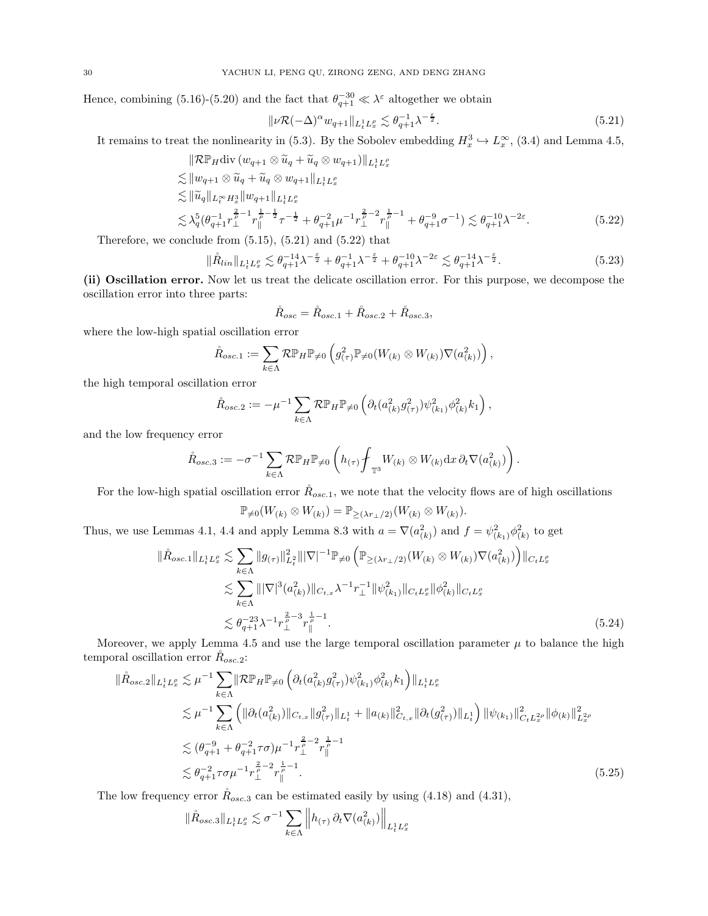Hence, combining [\(5.16\)](#page-28-2)-[\(5.20\)](#page-28-3) and the fact that  $\theta_{q+1}^{-30} \ll \lambda^{\varepsilon}$  altogether we obtain

<span id="page-29-0"></span>
$$
\|\nu \mathcal{R}(-\Delta)^{\alpha} w_{q+1}\|_{L_t^1 L_x^{\rho}} \lesssim \theta_{q+1}^{-1} \lambda^{-\frac{\varepsilon}{2}}.
$$
\n(5.21)

It remains to treat the nonlinearity in [\(5.3\)](#page-27-5). By the Sobolev embedding  $H_x^3 \hookrightarrow L_x^{\infty}$ , [\(3.4\)](#page-11-5) and Lemma [4.5,](#page-23-0)

$$
\|\mathcal{R}\mathbb{P}_H \text{div} (w_{q+1} \otimes \tilde{u}_q + \tilde{u}_q \otimes w_{q+1})\|_{L^1_t L^p_x} \n\leq \|w_{q+1} \otimes \tilde{u}_q + \tilde{u}_q \otimes w_{q+1}\|_{L^1_t L^p_x} \n\leq \|\tilde{u}_q\|_{L^\infty_t H^3_x} \|w_{q+1}\|_{L^1_t L^p_x} \n\leq \lambda_q^5 (\theta_{q+1}^{-1} r_\perp^{\frac{2}{p}-1} r_\parallel^{\frac{1}{p}-\frac{1}{2}} \tau^{-\frac{1}{2}} + \theta_{q+1}^{-2} \mu^{-1} r_\perp^{\frac{2}{p}-2} r_\parallel^{\frac{1}{p}-1} + \theta_{q+1}^{-9} \sigma^{-1}) \leq \theta_{q+1}^{-10} \lambda^{-2\varepsilon}.
$$
\n(5.22)

Therefore, we conclude from  $(5.15)$ ,  $(5.21)$  and  $(5.22)$  that

$$
\|\mathring{R}_{lin}\|_{L_t^1 L_x^{\rho}} \lesssim \theta_{q+1}^{-1} \lambda^{-\frac{\epsilon}{2}} + \theta_{q+1}^{-1} \lambda^{-\frac{\epsilon}{2}} + \theta_{q+1}^{-10} \lambda^{-2\epsilon} \lesssim \theta_{q+1}^{-14} \lambda^{-\frac{\epsilon}{2}}.
$$
\n(5.23)

(ii) Oscillation error. Now let us treat the delicate oscillation error. For this purpose, we decompose the oscillation error into three parts:

<span id="page-29-3"></span><span id="page-29-1"></span>
$$
\mathring{R}_{osc} = \mathring{R}_{osc.1} + \mathring{R}_{osc.2} + \mathring{R}_{osc.3},
$$

where the low-high spatial oscillation error

$$
\mathring{R}_{osc.1} := \sum_{k \in \Lambda} \mathcal{R} \mathbb{P}_H \mathbb{P}_{\neq 0} \left( g_{(\tau)}^2 \mathbb{P}_{\neq 0} (W_{(k)} \otimes W_{(k)}) \nabla (a_{(k)}^2) \right),
$$

the high temporal oscillation error

$$
\mathring{R}_{osc.2} := -\mu^{-1} \sum_{k \in \Lambda} \mathcal{R} \mathbb{P}_H \mathbb{P}_{\neq 0} \left( \partial_t (a_{(k)}^2 g_{(\tau)}^2) \psi_{(k_1)}^2 \phi_{(k)}^2 k_1 \right),
$$

and the low frequency error

$$
\mathring{R}_{osc.3} := -\sigma^{-1} \sum_{k \in \Lambda} \mathcal{R} \mathbb{P}_H \mathbb{P}_{\neq 0} \left( h_{(\tau)} \oint_{\mathbb{T}^3} W_{(k)} \otimes W_{(k)} dx \, \partial_t \nabla(a_{(k)}^2) \right).
$$

For the low-high spatial oscillation error  $R_{osc,1}$ , we note that the velocity flows are of high oscillations

<span id="page-29-2"></span>
$$
\mathbb{P}_{\neq 0}(W_{(k)} \otimes W_{(k)}) = \mathbb{P}_{\geq (\lambda r_{\perp}/2)}(W_{(k)} \otimes W_{(k)}).
$$

Thus, we use Lemmas [4.1,](#page-19-2) [4.4](#page-21-0) and apply Lemma [8.3](#page-42-5) with  $a = \nabla(a_{(k)}^2)$  and  $f = \psi_{(k_1)}^2 \phi_{(k)}^2$  to get

$$
\|\mathring{R}_{osc.1}\|_{L^{1}_{t}L^{p}_{x}} \lesssim \sum_{k \in \Lambda} \|g_{(\tau)}\|_{L^{2}_{t}}^{2} \| |\nabla|^{-1} \mathbb{P}_{\neq 0} \left( \mathbb{P}_{\geq (\lambda r_{\perp}/2)}(W_{(k)} \otimes W_{(k)}) \nabla (a^{2}_{(k)}) \right) \|_{C_{t}L^{p}_{x}} \lesssim \sum_{k \in \Lambda} \| |\nabla|^{3} (a^{2}_{(k)}) \|_{C_{t,x}} \lambda^{-1} r_{\perp}^{-1} \| \psi^{2}_{(k_{1})} \|_{C_{t}L^{p}_{x}} \| \phi^{2}_{(k)} \|_{C_{t}L^{p}_{x}} \lesssim \theta_{q+1}^{-23} \lambda^{-1} r_{\perp}^{\frac{2}{p}-3} r_{\parallel}^{\frac{1}{p}-1}.
$$
\n(5.24)

Moreover, we apply Lemma [4.5](#page-23-0) and use the large temporal oscillation parameter  $\mu$  to balance the high temporal oscillation error  $R_{osc,2}$ :

$$
\|\mathring{R}_{osc.2}\|_{L^{1}_{t}L^{0}_{x}} \lesssim \mu^{-1} \sum_{k \in \Lambda} \|\mathcal{R}\mathbb{P}_{H}\mathbb{P}_{\neq 0} \left(\partial_{t}(a_{(k)}^{2}g_{(\tau)}^{2})\psi_{(k_{1})}^{2}\phi_{(k)}^{2}k_{1}\right)\|_{L^{1}_{t}L^{0}_{x}} \n\lesssim \mu^{-1} \sum_{k \in \Lambda} \left( \|\partial_{t}(a_{(k)}^{2})\|_{C_{t,x}} \|g_{(\tau)}^{2}\|_{L^{1}_{t}} + \|a_{(k)}\|_{C_{t,x}}^{2} \|\partial_{t}(g_{(\tau)}^{2})\|_{L^{1}_{t}} \right) \|\psi_{(k_{1})}\|_{C_{t}L^{2\rho}_{x}}^{2} \|\phi_{(k)}\|_{L^{2\rho}_{x}}^{2} \n\lesssim (\theta_{q+1}^{-9} + \theta_{q+1}^{-2}\tau\sigma)\mu^{-1} r_{\perp}^{\frac{2}{\rho}-2} r_{\parallel}^{\frac{1}{\rho}-1} \n\lesssim \theta_{q+1}^{-2}\tau\sigma\mu^{-1} r_{\perp}^{\frac{2}{\rho}-2} r_{\parallel}^{\frac{1}{\rho}-1}.
$$
\n(5.25)

The low frequency error  $\hat{R}_{osc,3}$  can be estimated easily by using [\(4.18\)](#page-20-9) and [\(4.31\)](#page-21-6),

$$
\|\mathring{R}_{osc.3}\|_{L^1_tL^{\rho}_x}\lesssim \sigma^{-1}\sum_{k\in\Lambda}\left\|h_{(\tau)}\,\partial_t\nabla(a_{(k)}^2)\right\|_{L^1_tL^{\rho}_x}
$$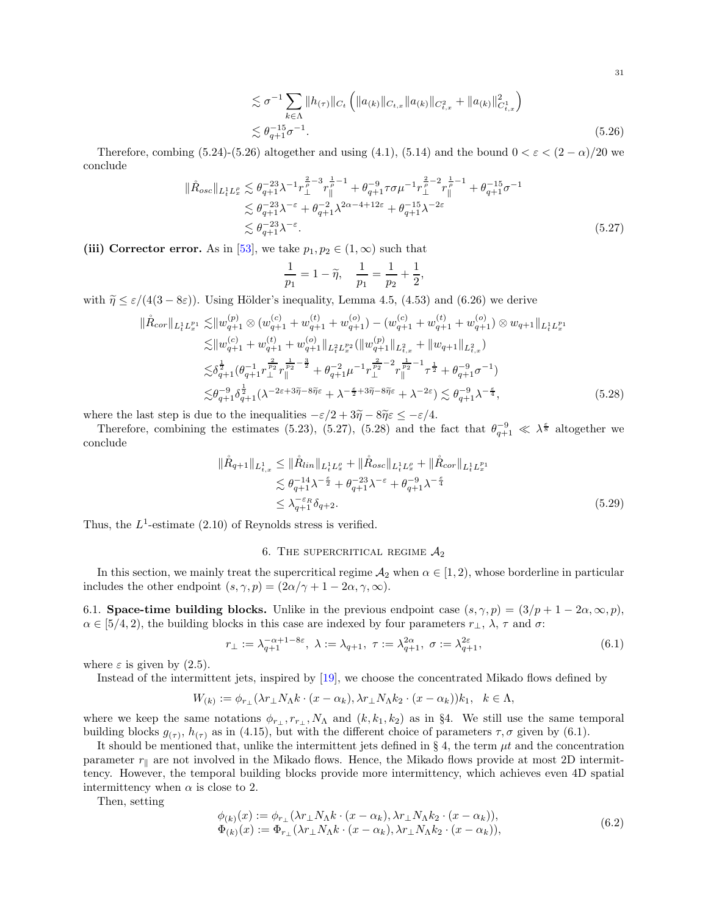$$
\lesssim \sigma^{-1} \sum_{k \in \Lambda} \|h_{(\tau)}\|_{C_t} \left( \|a_{(k)}\|_{C_{t,x}} \|a_{(k)}\|_{C_{t,x}^2} + \|a_{(k)}\|_{C_{t,x}^1}^2 \right)
$$
  

$$
\lesssim \theta_{q+1}^{-15} \sigma^{-1}.
$$
 (5.26)

Therefore, combing [\(5.24\)](#page-29-2)-[\(5.26\)](#page-30-3) altogether and using [\(4.1\)](#page-18-2), [\(5.14\)](#page-28-1) and the bound  $0 < \varepsilon < (2 - \alpha)/20$  we conclude

$$
\|\mathring{R}_{osc}\|_{L_t^1 L_x^{\rho}} \lesssim \theta_{q+1}^{-23} \lambda^{-1} r_{\perp}^{\frac{2}{\rho}-3} r_{\parallel}^{\frac{1}{\rho}-1} + \theta_{q+1}^{-9} \tau \sigma \mu^{-1} r_{\perp}^{\frac{2}{\rho}-2} r_{\parallel}^{\frac{1}{\rho}-1} + \theta_{q+1}^{-1} \sigma^{-1} \lesssim \theta_{q+1}^{-23} \lambda^{-\varepsilon} + \theta_{q+1}^{-2} \lambda^{2\alpha-4+12\varepsilon} + \theta_{q+1}^{-1} \lambda^{-2\varepsilon} \lesssim \theta_{q+1}^{-23} \lambda^{-\varepsilon}.
$$
\n(5.27)

(iii) Corrector error. As in [\[53\]](#page-45-20), we take  $p_1, p_2 \in (1, \infty)$  such that

<span id="page-30-5"></span><span id="page-30-4"></span><span id="page-30-3"></span>
$$
\frac{1}{p_1} = 1 - \widetilde{\eta}, \quad \frac{1}{p_1} = \frac{1}{p_2} + \frac{1}{2},
$$

with  $\tilde{\eta} \leq \varepsilon/(4(3-8\varepsilon))$ . Using Hölder's inequality, Lemma [4.5,](#page-23-0) [\(4.53\)](#page-25-1) and [\(6.26\)](#page-33-0) we derive

$$
\|\mathring{R}_{cor}\|_{L_{t}^{1}L_{x}^{p_{1}}} \lesssim \|w_{q+1}^{(p)} \otimes (w_{q+1}^{(c)} + w_{q+1}^{(t)}) - (w_{q+1}^{(c)} + w_{q+1}^{(t)}) + w_{q+1}^{(o)}) \otimes w_{q+1}\|_{L_{t}^{1}L_{x}^{p_{1}}} \leq \|w_{q+1}^{(c)} + w_{q+1}^{(t)} + w_{q+1}^{(o)}\|_{L_{t}^{2}L_{x}^{p_{2}}} (\|w_{q+1}^{(p)}\|_{L_{t,x}^{2}} + \|w_{q+1}\|_{L_{t,x}^{2}}) \leq \delta_{q+1}^{\frac{1}{2}}(\theta_{q+1}^{-1}r_{\perp}^{\frac{p_{2}}{p_{2}}r_{\parallel}^{\frac{1}{p_{2}}-\frac{3}{2}}} + \theta_{q+1}^{-2}\mu^{-1}r_{\perp}^{\frac{p_{2}}{p_{2}}-2}r_{\parallel}^{\frac{1}{p_{2}}-1}\tau^{\frac{1}{2}} + \theta_{q+1}^{-9}\sigma^{-1}) \leq \theta_{q+1}^{-9}\delta_{q+1}^{\frac{1}{2}}(\lambda^{-2\varepsilon+3\widetilde{\eta}-8\widetilde{\eta}\varepsilon} + \lambda^{-\frac{\varepsilon}{2}+3\widetilde{\eta}-8\widetilde{\eta}\varepsilon} + \lambda^{-2\varepsilon}) \lesssim \theta_{q+1}^{-9}\lambda^{-\frac{\varepsilon}{4}},
$$
\n(5.28)

where the last step is due to the inequalities  $-\varepsilon/2 + 3\tilde{\eta} - 8\tilde{\eta}\varepsilon \leq -\varepsilon/4$ .

Therefore, combining the estimates [\(5.23\)](#page-29-3), [\(5.27\)](#page-30-4), [\(5.28\)](#page-30-5) and the fact that  $\theta_{q+1}^{-9} \ll \lambda^{\frac{2}{3}}$  altogether we conclude

$$
\|\mathring{R}_{q+1}\|_{L_{t,x}^{1}} \leq \|\mathring{R}_{lin}\|_{L_{t}^{1}L_{x}^{0}} + \|\mathring{R}_{osc}\|_{L_{t}^{1}L_{x}^{0}} + \|\mathring{R}_{cor}\|_{L_{t}^{1}L_{x}^{p_{1}}}\n\lesssim \theta_{q+1}^{-1} \lambda^{-\frac{\epsilon}{2}} + \theta_{q+1}^{-23} \lambda^{-\epsilon} + \theta_{q+1}^{-9} \lambda^{-\frac{\epsilon}{4}}\n\leq \lambda_{q+1}^{-\epsilon_{R}} \delta_{q+2}.
$$
\n(5.29)

<span id="page-30-0"></span>Thus, the  $L^1$ -estimate [\(2.10\)](#page-8-3) of Reynolds stress is verified.

### 6. THE SUPERCRITICAL REGIME  $A_2$

In this section, we mainly treat the supercritical regime  $A_2$  when  $\alpha \in [1,2)$ , whose borderline in particular includes the other endpoint  $(s, \gamma, p) = (2\alpha/\gamma + 1 - 2\alpha, \gamma, \infty)$ .

<span id="page-30-1"></span>6.1. Space-time building blocks. Unlike in the previous endpoint case  $(s, \gamma, p) = (3/p + 1 - 2\alpha, \infty, p)$ ,  $\alpha \in [5/4, 2)$ , the building blocks in this case are indexed by four parameters  $r_{\perp}$ ,  $\lambda$ ,  $\tau$  and  $\sigma$ :

<span id="page-30-2"></span>
$$
r_{\perp} := \lambda_{q+1}^{-\alpha+1-8\varepsilon}, \ \lambda := \lambda_{q+1}, \ \tau := \lambda_{q+1}^{2\alpha}, \ \sigma := \lambda_{q+1}^{2\varepsilon}, \tag{6.1}
$$

where  $\varepsilon$  is given by  $(2.5)$ .

Instead of the intermittent jets, inspired by [\[19](#page-44-14)], we choose the concentrated Mikado flows defined by

$$
W_{(k)} := \phi_{r\perp}(\lambda r_{\perp} N_{\Lambda} k \cdot (x - \alpha_k), \lambda r_{\perp} N_{\Lambda} k_2 \cdot (x - \alpha_k)) k_1, \quad k \in \Lambda,
$$

where we keep the same notations  $\phi_{r_1}, r_{r_1}, N_\Lambda$  and  $(k, k_1, k_2)$  as in §[4.](#page-18-0) We still use the same temporal building blocks  $g_{(\tau)}$ ,  $h_{(\tau)}$  as in [\(4.15\)](#page-20-1), but with the different choice of parameters  $\tau$ ,  $\sigma$  given by [\(6.1\)](#page-30-2).

It should be mentioned that, unlike the intermittent jets defined in § [4,](#page-18-0) the term  $\mu t$  and the concentration parameter  $r_{\parallel}$  are not involved in the Mikado flows. Hence, the Mikado flows provide at most 2D intermittency. However, the temporal building blocks provide more intermittency, which achieves even 4D spatial intermittency when  $\alpha$  is close to 2.

Then, setting

$$
\begin{aligned}\n\phi_{(k)}(x) &:= \phi_{r\perp}(\lambda r_{\perp} N_{\Lambda} k \cdot (x - \alpha_k), \lambda r_{\perp} N_{\Lambda} k_2 \cdot (x - \alpha_k)), \\
\Phi_{(k)}(x) &:= \Phi_{r\perp}(\lambda r_{\perp} N_{\Lambda} k \cdot (x - \alpha_k), \lambda r_{\perp} N_{\Lambda} k_2 \cdot (x - \alpha_k)),\n\end{aligned} \tag{6.2}
$$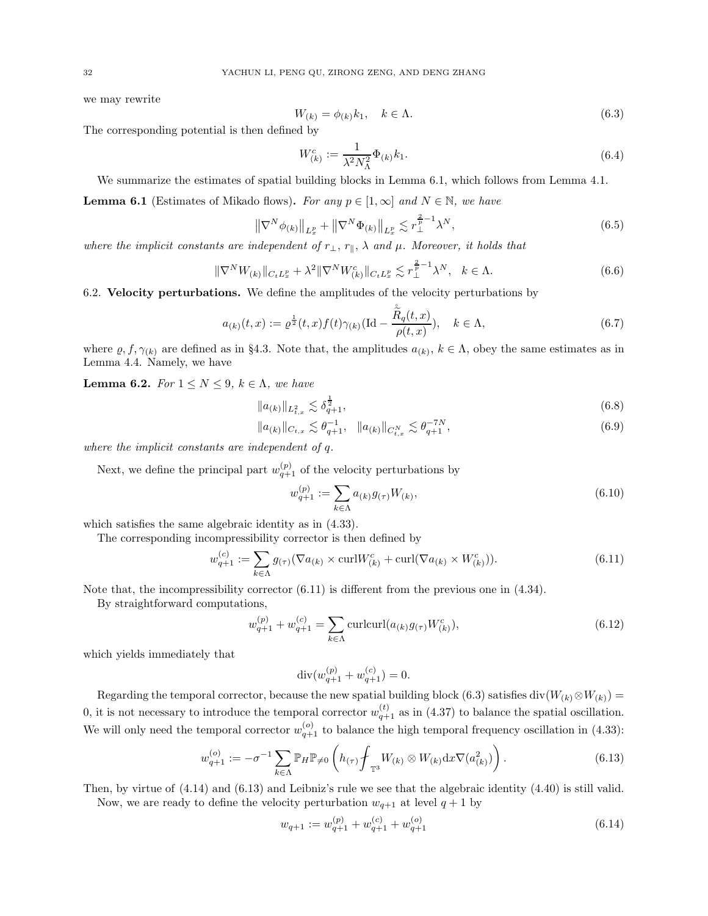we may rewrite

<span id="page-31-2"></span>
$$
W_{(k)} = \phi_{(k)}k_1, \quad k \in \Lambda. \tag{6.3}
$$

The corresponding potential is then defined by

<span id="page-31-6"></span>
$$
W_{(k)}^c := \frac{1}{\lambda^2 N_{\Lambda}^2} \Phi_{(k)} k_1.
$$
\n(6.4)

We summarize the estimates of spatial building blocks in Lemma [6.1,](#page-31-3) which follows from Lemma [4.1.](#page-19-2)

<span id="page-31-3"></span>**Lemma 6.1** (Estimates of Mikado flows). For any  $p \in [1,\infty]$  and  $N \in \mathbb{N}$ , we have

$$
\left\| \nabla^N \phi_{(k)} \right\|_{L^p_x} + \left\| \nabla^N \Phi_{(k)} \right\|_{L^p_x} \lesssim r_\perp^{\frac{2}{p}-1} \lambda^N, \tag{6.5}
$$

where the implicit constants are independent of  $r_{\perp}, r_{\parallel}, \lambda$  and  $\mu$ . Moreover, it holds that

$$
\|\nabla^N W_{(k)}\|_{C_t L^p_x} + \lambda^2 \|\nabla^N W^c_{(k)}\|_{C_t L^p_x} \lesssim r^{\frac{2}{p}-1}_\perp \lambda^N, \quad k \in \Lambda. \tag{6.6}
$$

<span id="page-31-0"></span>6.2. Velocity perturbations. We define the amplitudes of the velocity perturbations by

$$
a_{(k)}(t,x) := \varrho^{\frac{1}{2}}(t,x)f(t)\gamma_{(k)}(\text{Id} - \frac{\overset{\circ}{R}_q(t,x)}{\rho(t,x)}), \quad k \in \Lambda,
$$
\n(6.7)

where  $\varrho, f, \gamma_{(k)}$  are defined as in §[4.3.](#page-20-0) Note that, the amplitudes  $a_{(k)}$ ,  $k \in \Lambda$ , obey the same estimates as in Lemma [4.4.](#page-21-0) Namely, we have

<span id="page-31-1"></span>**Lemma 6.2.** For  $1 \leq N \leq 9$ ,  $k \in \Lambda$ , we have

$$
||a_{(k)}||_{L_{t,x}^2} \lesssim \delta_{q+1}^{\frac{1}{2}},\tag{6.8}
$$

$$
||a_{(k)}||_{C_{t,x}} \lesssim \theta_{q+1}^{-1}, \quad ||a_{(k)}||_{C_{t,x}^{N}} \lesssim \theta_{q+1}^{-7N}, \tag{6.9}
$$

where the implicit constants are independent of q.

Next, we define the principal part  $w_{q+1}^{(p)}$  of the velocity perturbations by

<span id="page-31-10"></span><span id="page-31-7"></span><span id="page-31-4"></span>
$$
w_{q+1}^{(p)} := \sum_{k \in \Lambda} a_{(k)} g_{(\tau)} W_{(k)},
$$
\n(6.10)

which satisfies the same algebraic identity as in [\(4.33\)](#page-21-1).

The corresponding incompressibility corrector is then defined by

$$
w_{q+1}^{(c)} := \sum_{k \in \Lambda} g_{(\tau)}(\nabla a_{(k)} \times \text{curl} W_{(k)}^c + \text{curl}(\nabla a_{(k)} \times W_{(k)}^c)).
$$
\n(6.11)

Note that, the incompressibility corrector  $(6.11)$  is different from the previous one in  $(4.34)$ .

By straightforward computations,

$$
w_{q+1}^{(p)} + w_{q+1}^{(c)} = \sum_{k \in \Lambda} \text{curlcurl}(a_{(k)}g_{(\tau)}W_{(k)}^c), \tag{6.12}
$$

which yields immediately that

<span id="page-31-8"></span><span id="page-31-5"></span>
$$
\operatorname{div}(w_{q+1}^{(p)} + w_{q+1}^{(c)}) = 0.
$$

Regarding the temporal corrector, because the new spatial building block [\(6.3\)](#page-31-2) satisfies div $(W_{(k)} \otimes W_{(k)}) =$ 0, it is not necessary to introduce the temporal corrector  $w_{q+1}^{(t)}$  as in [\(4.37\)](#page-22-1) to balance the spatial oscillation. We will only need the temporal corrector  $w_{q+1}^{(o)}$  to balance the high temporal frequency oscillation in [\(4.33\)](#page-21-1):

$$
w_{q+1}^{(o)} := -\sigma^{-1} \sum_{k \in \Lambda} \mathbb{P}_H \mathbb{P}_{\neq 0} \left( h_{(\tau)} \oint_{\mathbb{T}^3} W_{(k)} \otimes W_{(k)} dx \nabla(a_{(k)}^2) \right).
$$
 (6.13)

Then, by virtue of [\(4.14\)](#page-20-7) and [\(6.13\)](#page-31-5) and Leibniz's rule we see that the algebraic identity [\(4.40\)](#page-22-4) is still valid. Now, we are ready to define the velocity perturbation  $w_{q+1}$  at level  $q+1$  by

<span id="page-31-9"></span>
$$
w_{q+1} := w_{q+1}^{(p)} + w_{q+1}^{(c)} + w_{q+1}^{(o)}
$$
\n
$$
(6.14)
$$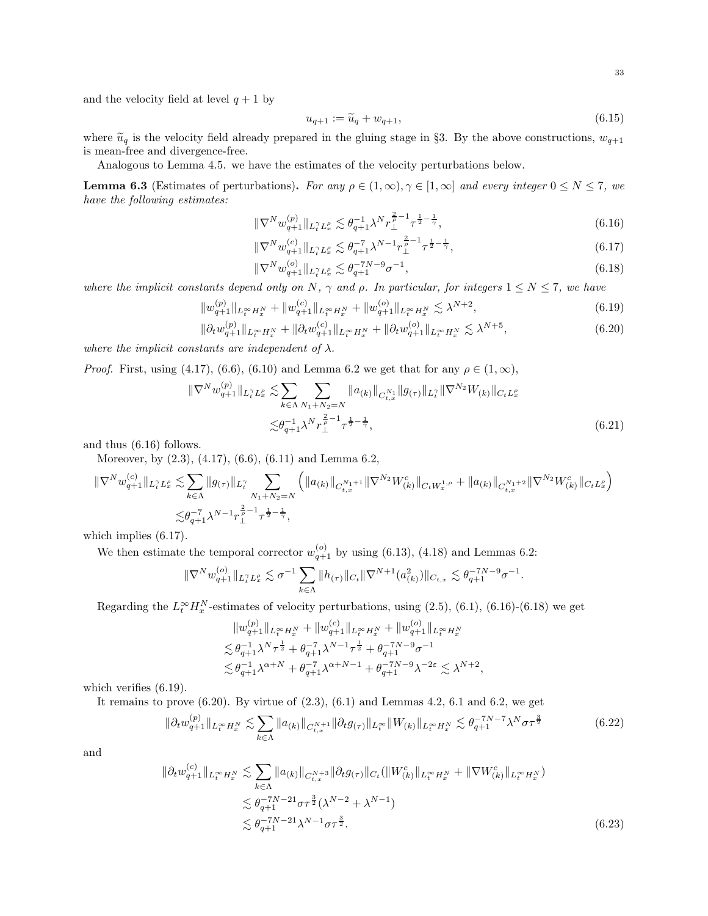and the velocity field at level  $q + 1$  by

<span id="page-32-6"></span><span id="page-32-1"></span><span id="page-32-0"></span>
$$
u_{q+1} := \widetilde{u}_q + w_{q+1},\tag{6.15}
$$

where  $\tilde{u}_q$  is the velocity field already prepared in the gluing stage in §[3.](#page-11-0) By the above constructions,  $w_{q+1}$ is mean-free and divergence-free.

Analogous to Lemma [4.5.](#page-23-0) we have the estimates of the velocity perturbations below.

<span id="page-32-5"></span>**Lemma 6.3** (Estimates of perturbations). For any  $\rho \in (1, \infty)$ ,  $\gamma \in [1, \infty]$  and every integer  $0 \le N \le 7$ , we have the following estimates:

$$
\|\nabla^N w_{q+1}^{(p)}\|_{L_t^\gamma L_x^{\rho}} \lesssim \theta_{q+1}^{-1} \lambda^N r_\perp^{\frac{2}{\rho}-1} \tau^{\frac{1}{2}-\frac{1}{\gamma}},\tag{6.16}
$$

$$
\|\nabla^{N} w_{q+1}^{(c)}\|_{L_{t}^{\gamma} L_{x}^{\rho}} \lesssim \theta_{q+1}^{-7} \lambda^{N-1} r_{\perp}^{\frac{2}{\rho}-1} \tau^{\frac{1}{2}-\frac{1}{\gamma}},\tag{6.17}
$$

$$
\|\nabla^N w_{q+1}^{(o)}\|_{L_t^\gamma L_x^\rho} \lesssim \theta_{q+1}^{-7N-9} \sigma^{-1},\tag{6.18}
$$

<span id="page-32-4"></span><span id="page-32-3"></span><span id="page-32-2"></span>.

,

where the implicit constants depend only on N,  $\gamma$  and  $\rho$ . In particular, for integers  $1 \le N \le 7$ , we have

$$
||w_{q+1}^{(p)}||_{L_t^{\infty}H_x^N} + ||w_{q+1}^{(c)}||_{L_t^{\infty}H_x^N} + ||w_{q+1}^{(c)}||_{L_t^{\infty}H_x^N} \lesssim \lambda^{N+2},
$$
\n(6.19)

$$
\|\partial_t w_{q+1}^{(p)}\|_{L_t^\infty H_x^N} + \|\partial_t w_{q+1}^{(c)}\|_{L_t^\infty H_x^N} + \|\partial_t w_{q+1}^{(o)}\|_{L_t^\infty H_x^N} \lesssim \lambda^{N+5},\tag{6.20}
$$

where the implicit constants are independent of  $\lambda$ .

*Proof.* First, using [\(4.17\)](#page-20-8), [\(6.6\)](#page-31-6), [\(6.10\)](#page-31-7) and Lemma [6.2](#page-31-1) we get that for any  $\rho \in (1,\infty)$ ,

$$
\|\nabla^{N} w_{q+1}^{(p)}\|_{L_{t}^{\gamma} L_{x}^{\rho}} \lesssim \sum_{k \in \Lambda} \sum_{N_{1}+N_{2}=N} \|a_{(k)}\|_{C_{t,x}^{N_{1}}} \|g_{(\tau)}\|_{L_{t}^{\gamma}} \|\nabla^{N_{2}} W_{(k)}\|_{C_{t}L_{x}^{\rho}}
$$
  

$$
\lesssim \theta_{q+1}^{-1} \lambda^{N} r_{\perp}^{\frac{2}{\rho}-1} \tau^{\frac{1}{2}-\frac{1}{\gamma}}, \tag{6.21}
$$

and thus [\(6.16\)](#page-32-0) follows.

Moreover, by [\(2.3\)](#page-8-8), [\(4.17\)](#page-20-8), [\(6.6\)](#page-31-6), [\(6.11\)](#page-31-4) and Lemma [6.2,](#page-31-1)

$$
\begin{split} \|\nabla^{N}w^{(c)}_{q+1}\|_{L_{t}^{\gamma}L_{x}^{\rho}} &\lesssim \sum_{k\in\Lambda}\|g_{(\tau)}\|_{L_{t}^{\gamma}}\sum_{N_{1}+N_{2}=N}\left(\|a_{(k)}\|_{C_{t,x}^{N_{1}+1}}\|\nabla^{N_{2}}W_{(k)}^{c}\|_{C_{t}W_{x}^{1,\rho}}+\|a_{(k)}\|_{C_{t,x}^{N_{1}+2}}\|\nabla^{N_{2}}W_{(k)}^{c}\|_{C_{t}L_{x}^{\rho}}\right)\\ &\lesssim & \theta_{q+1}^{-\gamma}\lambda^{N-1}r_{\perp}^{\frac{2}{\rho}-1}\tau^{\frac{1}{2}-\frac{1}{\gamma}}, \end{split}
$$

which implies  $(6.17)$ .

We then estimate the temporal corrector  $w_{q+1}^{(o)}$  by using [\(6.13\)](#page-31-5), [\(4.18\)](#page-20-9) and Lemmas [6.2:](#page-31-1)

$$
\|\nabla^N w^{(o)}_{q+1}\|_{L^{\gamma}_t L^{\rho}_x} \lesssim \sigma^{-1} \sum_{k\in\Lambda} \|h_{(\tau)}\|_{C_t} \|\nabla^{N+1}(a_{(k)}^2)\|_{C_{t,x}} \lesssim \theta_{q+1}^{-7N-9}\sigma^{-1}
$$

Regarding the  $L_t^{\infty} H_x^N$ -estimates of velocity perturbations, using [\(2.5\)](#page-8-5), [\(6.1\)](#page-30-2), [\(6.16\)](#page-32-0)-[\(6.18\)](#page-32-2) we get

$$
\|w_{q+1}^{(p)}\|_{L^\infty_t H^{N}_x} + \|w_{q+1}^{(c)}\|_{L^\infty_t H^{N}_x} + \|w_{q+1}^{(o)}\|_{L^\infty_t H^{N}_x}
$$
  

$$
\lesssim \theta_{q+1}^{-1} \lambda^N \tau^{\frac{1}{2}} + \theta_{q+1}^{-\gamma} \lambda^{N-1} \tau^{\frac{1}{2}} + \theta_{q+1}^{-\gamma N-9} \sigma^{-1}
$$
  

$$
\lesssim \theta_{q+1}^{-1} \lambda^{\alpha+N} + \theta_{q+1}^{-\gamma} \lambda^{\alpha+N-1} + \theta_{q+1}^{-\gamma N-9} \lambda^{-2\varepsilon} \lesssim \lambda^{N+2}
$$

which verifies  $(6.19)$ .

It remains to prove  $(6.20)$ . By virtue of  $(2.3)$ ,  $(6.1)$  $(6.1)$  $(6.1)$  and Lemmas [4.2,](#page-20-2) 6.1 and [6.2,](#page-31-1) we get

$$
\|\partial_t w_{q+1}^{(p)}\|_{L_t^\infty H_x^N} \lesssim \sum_{k \in \Lambda} \|a_{(k)}\|_{C_{t,x}^{N+1}} \|\partial_t g_{(\tau)}\|_{L_t^\infty} \|W_{(k)}\|_{L_t^\infty H_x^N} \lesssim \theta_{q+1}^{-7N-7} \lambda^N \sigma \tau^{\frac{3}{2}} \tag{6.22}
$$

and

$$
\|\partial_t w_{q+1}^{(c)}\|_{L_t^\infty H_x^N} \lesssim \sum_{k \in \Lambda} \|a_{(k)}\|_{C_{t,x}^{N+3}} \|\partial_t g_{(\tau)}\|_{C_t} (\|W_{(k)}^c\|_{L_t^\infty H_x^N} + \|\nabla W_{(k)}^c\|_{L_t^\infty H_x^N})
$$
  

$$
\lesssim \theta_{q+1}^{-7N-21} \sigma \tau^{\frac{3}{2}} (\lambda^{N-2} + \lambda^{N-1})
$$
  

$$
\lesssim \theta_{q+1}^{-7N-21} \lambda^{N-1} \sigma \tau^{\frac{3}{2}}.
$$
 (6.23)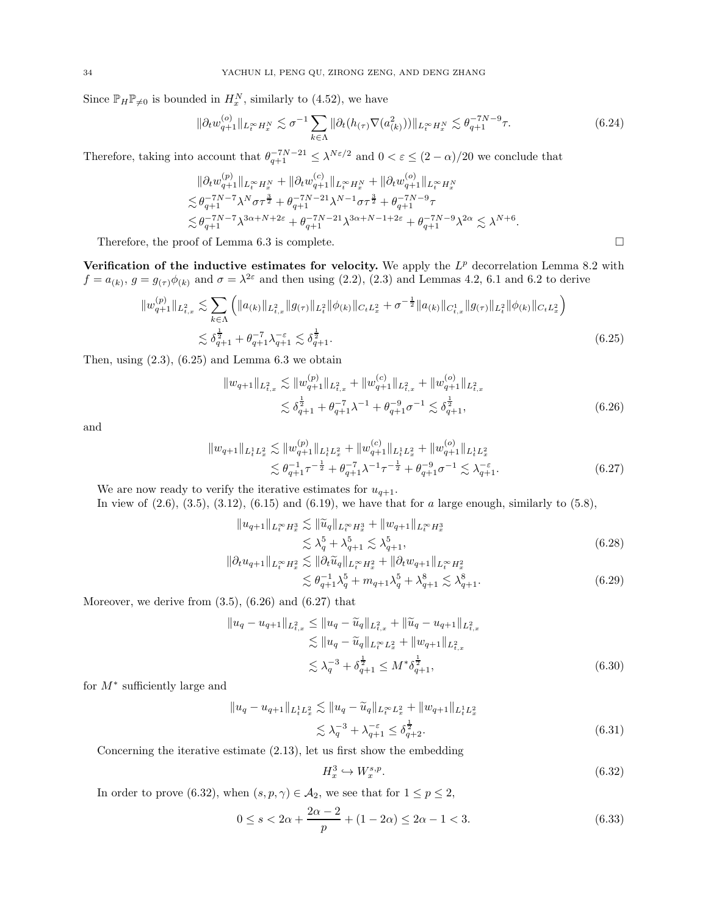Since  $\mathbb{P}_H \mathbb{P}_{\neq 0}$  is bounded in  $H_x^N$ , similarly to [\(4.52\)](#page-24-0), we have

$$
\|\partial_t w_{q+1}^{(o)}\|_{L_t^\infty H_x^N} \lesssim \sigma^{-1} \sum_{k \in \Lambda} \|\partial_t (h_{(\tau)} \nabla (a_{(k)}^2))\|_{L_t^\infty H_x^N} \lesssim \theta_{q+1}^{-7N-9} \tau. \tag{6.24}
$$

Therefore, taking into account that  $\theta_{q+1}^{-7N-21} \leq \lambda^{N\varepsilon/2}$  and  $0 < \varepsilon \leq (2-\alpha)/20$  we conclude that

$$
\|\partial_t w_{q+1}^{(p)}\|_{L^\infty_t H^N_x} + \|\partial_t w_{q+1}^{(c)}\|_{L^\infty_t H^N_x} + \|\partial_t w_{q+1}^{(o)}\|_{L^\infty_t H^N_x} \n\lesssim \theta_{q+1}^{-7N-7} \lambda^N \sigma \tau^{\frac{3}{2}} + \theta_{q+1}^{-7N-21} \lambda^{N-1} \sigma \tau^{\frac{3}{2}} + \theta_{q+1}^{-7N-9} \tau \n\lesssim \theta_{q+1}^{-7N-7} \lambda^{3\alpha+N+2\varepsilon} + \theta_{q+1}^{-7N-21} \lambda^{3\alpha+N-1+2\varepsilon} + \theta_{q+1}^{-7N-9} \lambda^{2\alpha} \lesssim \lambda^{N+6}.
$$

Therefore, the proof of Lemma [6.3](#page-32-5) is complete.

Verification of the inductive estimates for velocity. We apply the  $L^p$  decorrelation Lemma [8.2](#page-42-4) with  $f = a_{(k)}$ ,  $g = g_{(\tau)}\phi_{(k)}$  and  $\sigma = \lambda^{2\varepsilon}$  and then using [\(2.2\)](#page-8-9), [\(2.3\)](#page-8-8) and Lemmas [4.2,](#page-20-2) [6.1](#page-31-3) and [6.2](#page-31-1) to derive

$$
||w_{q+1}^{(p)}||_{L_{t,x}^{2}} \lesssim \sum_{k\in\Lambda} \left( ||a_{(k)}||_{L_{t,x}^{2}} ||g_{(\tau)}||_{L_{t}^{2}} ||\phi_{(k)}||_{C_{t}L_{x}^{2}} + \sigma^{-\frac{1}{2}} ||a_{(k)}||_{C_{t,x}^{1}} ||g_{(\tau)}||_{L_{t}^{2}} ||\phi_{(k)}||_{C_{t}L_{x}^{2}} \right)
$$
  

$$
\lesssim \delta_{q+1}^{\frac{1}{2}} + \theta_{q+1}^{-7} \lambda_{q+1}^{-\varepsilon} \lesssim \delta_{q+1}^{\frac{1}{2}}.
$$
 (6.25)

Then, using  $(2.3)$ ,  $(6.25)$  and Lemma [6.3](#page-32-5) we obtain

<span id="page-33-1"></span>
$$
||w_{q+1}||_{L_{t,x}^{2}} \lesssim ||w_{q+1}^{(p)}||_{L_{t,x}^{2}} + ||w_{q+1}^{(c)}||_{L_{t,x}^{2}} + ||w_{q+1}^{(o)}||_{L_{t,x}^{2}}\leq \delta_{q+1}^{\frac{1}{2}} + \theta_{q+1}^{-7} \lambda^{-1} + \theta_{q+1}^{-9} \sigma^{-1} \lesssim \delta_{q+1}^{\frac{1}{2}},
$$
\n(6.26)

and

$$
||w_{q+1}||_{L_t^1 L_x^2} \lesssim ||w_{q+1}^{(p)}||_{L_t^1 L_x^2} + ||w_{q+1}^{(c)}||_{L_t^1 L_x^2} + ||w_{q+1}^{(o)}||_{L_t^1 L_x^2}
$$
  

$$
\lesssim \theta_{q+1}^{-1} \tau^{-\frac{1}{2}} + \theta_{q+1}^{-7} \lambda^{-1} \tau^{-\frac{1}{2}} + \theta_{q+1}^{-9} \sigma^{-1} \lesssim \lambda_{q+1}^{-\varepsilon}.
$$
 (6.27)

We are now ready to verify the iterative estimates for  $u_{q+1}$ . In view of  $(2.6)$ ,  $(3.5)$ ,  $(3.12)$ ,  $(6.15)$  and  $(6.19)$ , we have that for a large enough, similarly to  $(5.8)$ ,

$$
||u_{q+1}||_{L_t^{\infty} H_x^3} \lesssim ||\widetilde{u}_q||_{L_t^{\infty} H_x^3} + ||w_{q+1}||_{L_t^{\infty} H_x^3}
$$
  
\n
$$
\lesssim \lambda_q^5 + \lambda_{q+1}^5 \lesssim \lambda_{q+1}^5,
$$
  
\n
$$
||\partial_t u_{q+1}||_{L_t^{\infty} H_x^2} \lesssim ||\partial_t \widetilde{u}_q||_{L_t^{\infty} H_x^2} + ||\partial_t w_{q+1}||_{L_t^{\infty} H_x^2}
$$
\n(6.28)

<span id="page-33-2"></span><span id="page-33-0"></span>
$$
\lesssim \theta_{q+1}^{-1} \lambda_q^5 + m_{q+1} \lambda_q^5 + \lambda_{q+1}^8 \lesssim \lambda_{q+1}^8. \tag{6.29}
$$

Moreover, we derive from  $(3.5)$ ,  $(6.26)$  and  $(6.27)$  that

$$
||u_q - u_{q+1}||_{L^2_{t,x}} \le ||u_q - \widetilde{u}_q||_{L^2_{t,x}} + ||\widetilde{u}_q - u_{q+1}||_{L^2_{t,x}} \n\lesssim ||u_q - \widetilde{u}_q||_{L^\infty_t L^2_x} + ||w_{q+1}||_{L^2_{t,x}} \n\lesssim \lambda_q^{-3} + \delta_{q+1}^{\frac{1}{2}} \le M^* \delta_{q+1}^{\frac{1}{2}},
$$
\n(6.30)

for M<sup>∗</sup> sufficiently large and

$$
||u_q - u_{q+1}||_{L_t^1 L_x^2} \lesssim ||u_q - \widetilde{u}_q||_{L_t^\infty L_x^2} + ||w_{q+1}||_{L_t^1 L_x^2}
$$
  

$$
\lesssim \lambda_q^{-3} + \lambda_{q+1}^{-\varepsilon} \le \delta_{q+2}^{\frac{1}{2}}.
$$
 (6.31)

Concerning the iterative estimate [\(2.13\)](#page-9-4), let us first show the embedding

<span id="page-33-3"></span>
$$
H_x^3 \hookrightarrow W_x^{s,p}.\tag{6.32}
$$

In order to prove [\(6.32\)](#page-33-3), when  $(s, p, \gamma) \in \mathcal{A}_2$ , we see that for  $1 \le p \le 2$ ,

$$
0 \le s < 2\alpha + \frac{2\alpha - 2}{p} + (1 - 2\alpha) \le 2\alpha - 1 < 3. \tag{6.33}
$$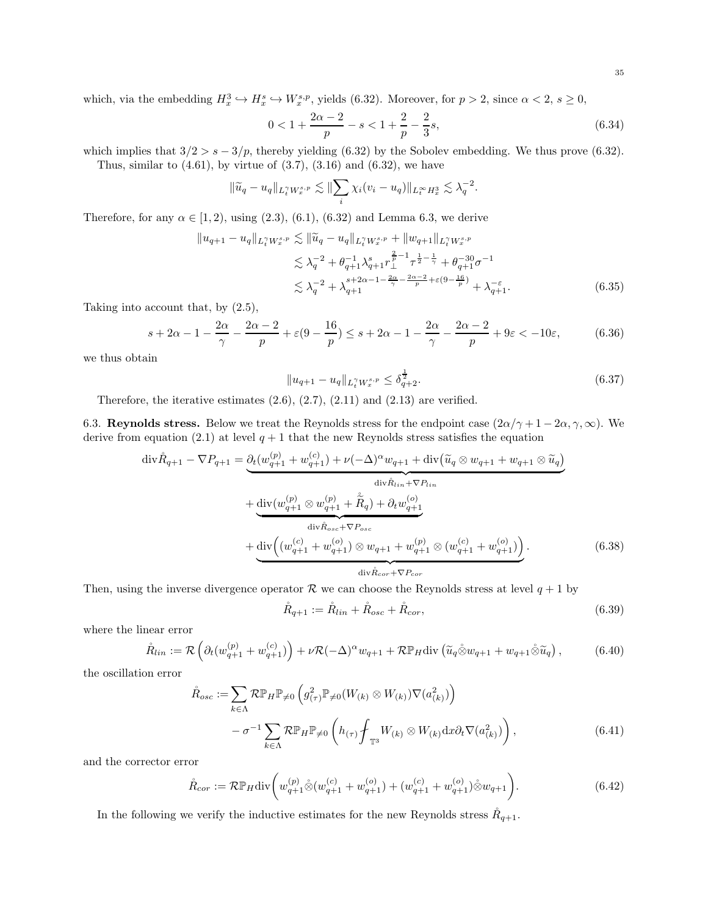which, via the embedding  $H_x^3 \hookrightarrow H_x^s \hookrightarrow W_x^{s,p}$ , yields [\(6.32\)](#page-33-3). Moreover, for  $p > 2$ , since  $\alpha < 2$ ,  $s \ge 0$ ,

$$
0 < 1 + \frac{2\alpha - 2}{p} - s < 1 + \frac{2}{p} - \frac{2}{3}s,\tag{6.34}
$$

<span id="page-34-1"></span>.

which implies that  $3/2 > s - 3/p$ , thereby yielding [\(6.32\)](#page-33-3) by the Sobolev embedding. We thus prove (6.32). Thus, similar to  $(4.61)$ , by virtue of  $(3.7)$ ,  $(3.16)$  and  $(6.32)$ , we have

$$
\|\widetilde{u}_q - u_q\|_{L_t^{\gamma} W_x^{s,p}} \lesssim \|\sum_i \chi_i(v_i - u_q)\|_{L_t^{\infty} H_x^3} \lesssim \lambda_q^{-2}
$$

Therefore, for any  $\alpha \in [1, 2)$ , using  $(2.3)$ ,  $(6.1)$ ,  $(6.32)$  and Lemma [6.3,](#page-32-5) we derive

$$
||u_{q+1} - u_q||_{L_t^{\gamma} W_x^{s,p}} \lesssim ||\widetilde{u}_q - u_q||_{L_t^{\gamma} W_x^{s,p}} + ||w_{q+1}||_{L_t^{\gamma} W_x^{s,p}}
$$
  
\n
$$
\lesssim \lambda_q^{-2} + \theta_{q+1}^{-1} \lambda_{q+1}^s r_{\perp}^{\frac{2}{p}-1} \tau^{\frac{1}{2}-\frac{1}{\gamma}} + \theta_{q+1}^{-30} \sigma^{-1}
$$
  
\n
$$
\lesssim \lambda_q^{-2} + \lambda_{q+1}^{s+2\alpha-1-\frac{2\alpha}{\gamma} - \frac{2\alpha-2}{p} + \varepsilon(9-\frac{16}{p})} + \lambda_{q+1}^{-\varepsilon}.
$$
\n(6.35)

Taking into account that, by [\(2.5\)](#page-8-5),

$$
s + 2\alpha - 1 - \frac{2\alpha}{\gamma} - \frac{2\alpha - 2}{p} + \varepsilon(9 - \frac{16}{p}) \le s + 2\alpha - 1 - \frac{2\alpha}{\gamma} - \frac{2\alpha - 2}{p} + 9\varepsilon < -10\varepsilon,
$$
 (6.36)

we thus obtain

$$
||u_{q+1} - u_q||_{L_t^{\gamma} W_x^{s,p}} \le \delta_{q+2}^{\frac{1}{2}}.
$$
\n(6.37)

Therefore, the iterative estimates  $(2.6)$ ,  $(2.7)$ ,  $(2.11)$  and  $(2.13)$  are verified.

<span id="page-34-0"></span>6.3. Reynolds stress. Below we treat the Reynolds stress for the endpoint case  $(2\alpha/\gamma + 1 - 2\alpha, \gamma, \infty)$ . We derive from equation [\(2.1\)](#page-8-1) at level  $q + 1$  that the new Reynolds stress satisfies the equation

$$
\begin{split}\n\text{div}\mathring{R}_{q+1} - \nabla P_{q+1} &= \underbrace{\partial_t (w_{q+1}^{(p)} + w_{q+1}^{(c)}) + \nu(-\Delta)^{\alpha} w_{q+1} + \text{div}\left(\widetilde{u}_q \otimes w_{q+1} + w_{q+1} \otimes \widetilde{u}_q\right)}_{\text{div}\mathring{R}_{lin} + \nabla P_{lin}} \\
&\quad + \underbrace{\text{div}(w_{q+1}^{(p)} \otimes w_{q+1}^{(p)}) + \widetilde{R}_q) + \partial_t w_{q+1}^{(o)}}_{\text{div}\mathring{R}_{osc} + \nabla P_{osc}} \\
&\quad + \underbrace{\text{div}\left((w_{q+1}^{(c)} + w_{q+1}^{(o)}) \otimes w_{q+1} + w_{q+1}^{(p)} \otimes (w_{q+1}^{(c)} + w_{q+1}^{(o)})\right)}_{\text{div}\mathring{R}_{cor} + \nabla P_{cor}}.\n\end{split} \tag{6.38}
$$

Then, using the inverse divergence operator  $\mathcal R$  we can choose the Reynolds stress at level  $q + 1$  by

$$
\mathring{R}_{q+1} := \mathring{R}_{lin} + \mathring{R}_{osc} + \mathring{R}_{cor},\tag{6.39}
$$

where the linear error

$$
\mathring{R}_{lin} := \mathcal{R}\left(\partial_t (w_{q+1}^{(p)} + w_{q+1}^{(c)})\right) + \nu \mathcal{R}(-\Delta)^{\alpha} w_{q+1} + \mathcal{R} \mathbb{P}_H \text{div}\left(\widetilde{u}_q \mathring{\otimes} w_{q+1} + w_{q+1} \mathring{\otimes} \widetilde{u}_q\right),\tag{6.40}
$$

the oscillation error

$$
\mathring{R}_{osc} := \sum_{k \in \Lambda} \mathcal{R} \mathbb{P}_H \mathbb{P}_{\neq 0} \left( g_{(\tau)}^2 \mathbb{P}_{\neq 0} (W_{(k)} \otimes W_{(k)}) \nabla (a_{(k)}^2) \right) \n- \sigma^{-1} \sum_{k \in \Lambda} \mathcal{R} \mathbb{P}_H \mathbb{P}_{\neq 0} \left( h_{(\tau)} \oint_{\mathbb{T}^3} W_{(k)} \otimes W_{(k)} \, dx \partial_t \nabla (a_{(k)}^2) \right),
$$
\n(6.41)

and the corrector error

$$
\mathring{R}_{cor} := \mathcal{R} \mathbb{P}_H \text{div} \bigg( w_{q+1}^{(p)} \mathring{\otimes} (w_{q+1}^{(c)} + w_{q+1}^{(o)}) + (w_{q+1}^{(c)} + w_{q+1}^{(o)}) \mathring{\otimes} w_{q+1} \bigg). \tag{6.42}
$$

In the following we verify the inductive estimates for the new Reynolds stress  $R_{q+1}$ .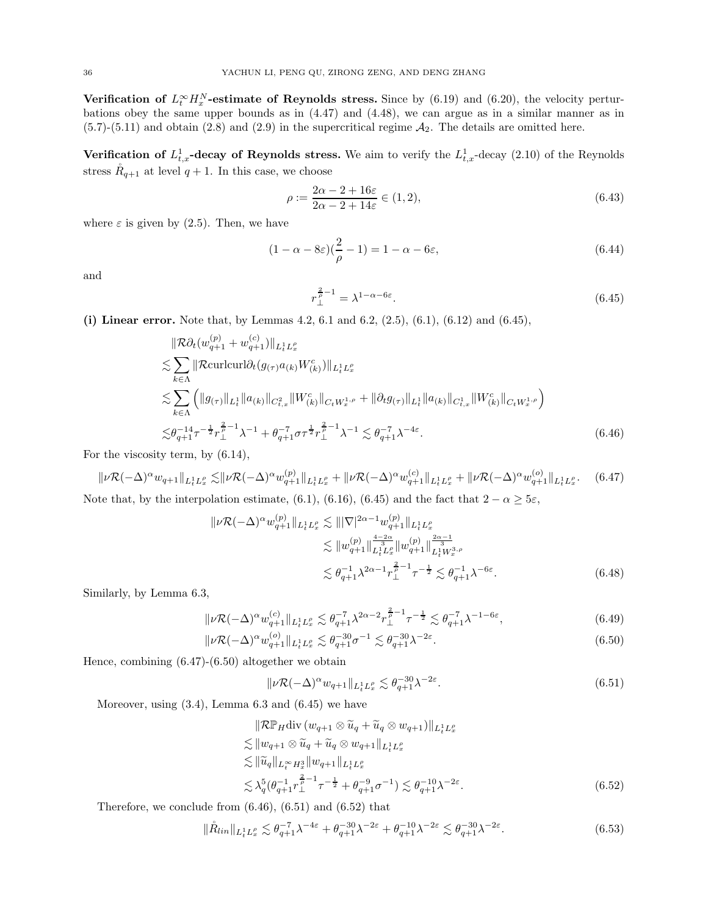Verification of  $L_t^{\infty} H_x^N$ -estimate of Reynolds stress. Since by [\(6.19\)](#page-32-3) and [\(6.20\)](#page-32-4), the velocity perturbations obey the same upper bounds as in [\(4.47\)](#page-23-5) and [\(4.48\)](#page-23-6), we can argue as in a similar manner as in  $(5.7)-(5.11)$  $(5.7)-(5.11)$  $(5.7)-(5.11)$  and obtain  $(2.8)$  and  $(2.9)$  in the supercritical regime  $\mathcal{A}_2$ . The details are omitted here.

Verification of  $L_{t,x}^1$ -decay of Reynolds stress. We aim to verify the  $L_{t,x}^1$ -decay [\(2.10\)](#page-8-3) of the Reynolds stress  $R_{q+1}$  at level  $q+1$ . In this case, we choose

$$
\rho := \frac{2\alpha - 2 + 16\varepsilon}{2\alpha - 2 + 14\varepsilon} \in (1, 2),\tag{6.43}
$$

where  $\varepsilon$  is given by [\(2.5\)](#page-8-5). Then, we have

$$
(1 - \alpha - 8\varepsilon)\left(\frac{2}{\rho} - 1\right) = 1 - \alpha - 6\varepsilon,\tag{6.44}
$$

and

<span id="page-35-3"></span><span id="page-35-1"></span><span id="page-35-0"></span>
$$
r_{\perp}^{\frac{2}{\rho}-1} = \lambda^{1-\alpha-6\varepsilon}.
$$
\n(6.45)

(i) Linear error. Note that, by Lemmas  $4.2, 6.1$  $4.2, 6.1$  and  $6.2, (2.5), (6.1), (6.12)$  $6.2, (2.5), (6.1), (6.12)$  $6.2, (2.5), (6.1), (6.12)$  $6.2, (2.5), (6.1), (6.12)$  $6.2, (2.5), (6.1), (6.12)$  $6.2, (2.5), (6.1), (6.12)$  and  $(6.45),$ 

$$
\|\mathcal{R}\partial_t(w_{q+1}^{(p)} + w_{q+1}^{(c)})\|_{L_t^1 L_x^{\rho}}\n\n\lesssim \sum_{k\in\Lambda} \|\mathcal{R}\text{curlcurl}\partial_t(g_{(\tau)}a_{(k)}W_{(k)}^c)\|_{L_t^1 L_x^{\rho}}\n\n\lesssim \sum_{k\in\Lambda} \left( \|g_{(\tau)}\|_{L_t^1} \|a_{(k)}\|_{C_{t,x}^2} \|W_{(k)}^c\|_{C_t W_x^{1,\rho}} + \|\partial_t g_{(\tau)}\|_{L_t^1} \|a_{(k)}\|_{C_{t,x}^1} \|W_{(k)}^c\|_{C_t W_x^{1,\rho}} \right)\n\n\lesssim \theta_{q+1}^{-1} \tau^{-\frac{1}{2}} r_\perp^{\frac{2}{\rho}-1} \lambda^{-1} + \theta_{q+1}^{-7} \sigma^{-\frac{1}{2}} r_\perp^{\frac{2}{\rho}-1} \lambda^{-1} \lesssim \theta_{q+1}^{-7} \lambda^{-4\varepsilon}.
$$
\n(6.46)

For the viscosity term, by [\(6.14\)](#page-31-9),

 $\| \nu \mathcal{R} (-\Delta)^{\alpha} w_{q+1} \|_{L^1_t L^{\rho}_x} \lesssim \! \| \nu \mathcal{R} (-\Delta)^{\alpha} w_{q+1}^{(p)} \|_{L^1_t L^{\rho}_x} + \| \nu \mathcal{R} (-\Delta)^{\alpha} w_{q+1}^{(c)} \|_{L^1_t L^{\rho}_x} + \| \nu \mathcal{R} (-\Delta)^{\alpha} w_{q+1}^{(o)} \|_{L^1_t L^{\rho}_x}$  $(6.47)$ Note that, by the interpolation estimate, [\(6.1\)](#page-30-2), [\(6.16\)](#page-32-0), [\(6.45\)](#page-35-0) and the fact that  $2 - \alpha \geq 5\varepsilon$ ,

$$
\| \nu \mathcal{R}(-\Delta)^{\alpha} w_{q+1}^{(p)} \|_{L_t^1 L_x^{\rho}} \lesssim \| |\nabla|^{2\alpha - 1} w_{q+1}^{(p)} \|_{L_t^1 L_x^{\rho}} \n\lesssim \| w_{q+1}^{(p)} \|_{L_t^1 L_x^{\rho}}^{\frac{4-2\alpha}{3}} \| w_{q+1}^{(p)} \|_{L_t^1 W_x^{3,\rho}}^{\frac{2\alpha - 1}{3}} \n\lesssim \theta_{q+1}^{-1} \lambda^{2\alpha - 1} r_\perp^{\frac{2}{\rho} - 1} \tau^{-\frac{1}{2}} \lesssim \theta_{q+1}^{-1} \lambda^{-6\varepsilon}.
$$
\n(6.48)

Similarly, by Lemma [6.3,](#page-32-5)

$$
\|\nu \mathcal{R}(-\Delta)^{\alpha} w_{q+1}^{(c)}\|_{L_t^1 L_x^{\rho}} \lesssim \theta_{q+1}^{-7} \lambda^{2\alpha - 2} r_{\perp}^{\frac{2}{\rho} - 1} \tau^{-\frac{1}{2}} \lesssim \theta_{q+1}^{-7} \lambda^{-1 - 6\varepsilon},\tag{6.49}
$$

$$
\|\nu \mathcal{R}(-\Delta)^{\alpha} w_{q+1}^{(o)}\|_{L^1_t L^{\rho}_x} \lesssim \theta_{q+1}^{-30} \sigma^{-1} \lesssim \theta_{q+1}^{-30} \lambda^{-2\varepsilon}.
$$
\n(6.50)

Hence, combining [\(6.47\)](#page-35-1)-[\(6.50\)](#page-35-2) altogether we obtain

<span id="page-35-6"></span><span id="page-35-5"></span><span id="page-35-4"></span><span id="page-35-2"></span>
$$
\|\nu \mathcal{R}(-\Delta)^{\alpha} w_{q+1}\|_{L_t^1 L_x^{\rho}} \lesssim \theta_{q+1}^{-30} \lambda^{-2\varepsilon}.
$$
\n(6.51)

Moreover, using [\(3.4\)](#page-11-5), Lemma [6.3](#page-32-5) and [\(6.45\)](#page-35-0) we have

$$
\|\mathcal{R}\mathbb{P}_H \text{div}\left(w_{q+1}\otimes \widetilde{u}_q + \widetilde{u}_q\otimes w_{q+1}\right)\|_{L^1_t L^{\rho}_x}
$$
  
\n
$$
\lesssim \|w_{q+1}\otimes \widetilde{u}_q + \widetilde{u}_q\otimes w_{q+1}\|_{L^1_t L^{\rho}_x}
$$
  
\n
$$
\lesssim \|\widetilde{u}_q\|_{L^{\infty}_t H^3_x} \|w_{q+1}\|_{L^1_t L^{\rho}_x}
$$
  
\n
$$
\lesssim \lambda_q^5 \left(\theta_{q+1}^{-1} r_1^{-\frac{2}{\rho}-1} \tau^{-\frac{1}{2}} + \theta_{q+1}^{-9} \sigma^{-1}\right) \lesssim \theta_{q+1}^{-10} \lambda^{-2\varepsilon}.
$$
\n(6.52)

Therefore, we conclude from  $(6.46)$ ,  $(6.51)$  and  $(6.52)$  that

$$
\|\mathring{R}_{lin}\|_{L_t^1 L_x^{\rho}} \lesssim \theta_{q+1}^{-7} \lambda^{-4\varepsilon} + \theta_{q+1}^{-30} \lambda^{-2\varepsilon} + \theta_{q+1}^{-10} \lambda^{-2\varepsilon} \lesssim \theta_{q+1}^{-30} \lambda^{-2\varepsilon}.
$$
 (6.53)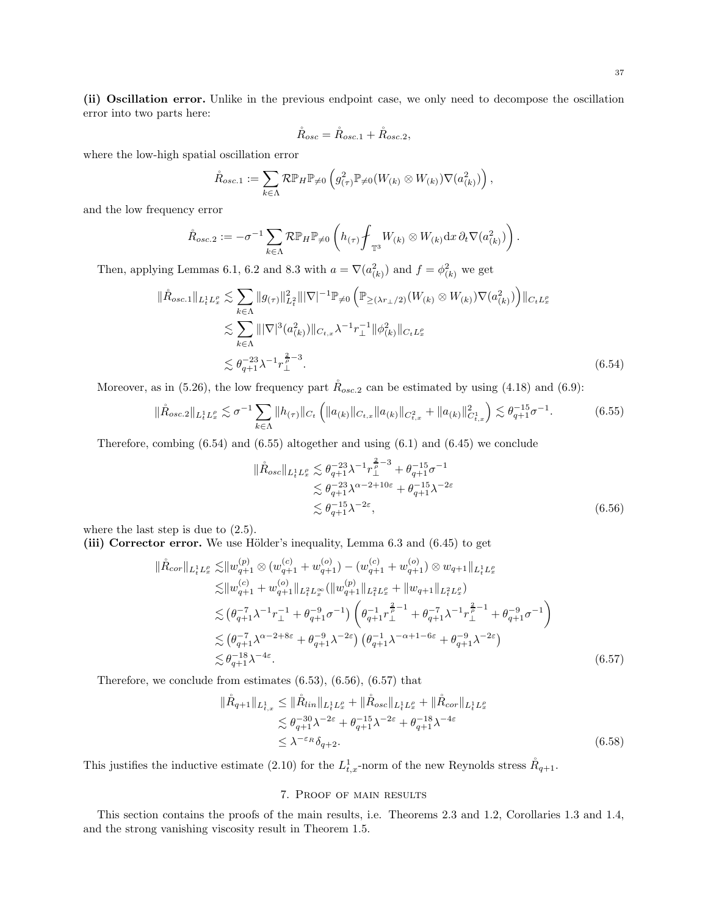(ii) Oscillation error. Unlike in the previous endpoint case, we only need to decompose the oscillation error into two parts here:

$$
\mathring{R}_{osc} = \mathring{R}_{osc.1} + \mathring{R}_{osc.2},
$$

where the low-high spatial oscillation error

$$
\mathring{R}_{osc.1} := \sum_{k \in \Lambda} \mathcal{R} \mathbb{P}_H \mathbb{P}_{\neq 0} \left( g_{(\tau)}^2 \mathbb{P}_{\neq 0} (W_{(k)} \otimes W_{(k)}) \nabla (a_{(k)}^2) \right),
$$

and the low frequency error

$$
\mathring{R}_{osc.2} := -\sigma^{-1} \sum_{k \in \Lambda} \mathcal{R} \mathbb{P}_H \mathbb{P}_{\neq 0} \left( h_{(\tau)} \mathscr{f}_{\mathbb{T}^3} W_{(k)} \otimes W_{(k)} dx \, \partial_t \nabla(a_{(k)}^2) \right).
$$

Then, applying Lemmas [6.1,](#page-31-3) [6.2](#page-31-1) and [8.3](#page-42-5) with  $a = \nabla(a_{(k)}^2)$  and  $f = \phi_{(k)}^2$  we get

$$
\|\mathring{R}_{osc.1}\|_{L^1_t L^{\rho}_x} \lesssim \sum_{k \in \Lambda} \|g_{(\tau)}\|_{L^2_t}^2 \|\nabla|^{-1} \mathbb{P}_{\neq 0} \left( \mathbb{P}_{\geq (\lambda r_\perp/2)}(W_{(k)} \otimes W_{(k)}) \nabla(a_{(k)}^2) \right) \|_{C_t L^{\rho}_x}
$$
  

$$
\lesssim \sum_{k \in \Lambda} \|\nabla|^3 (a_{(k)}^2) \|_{C_{t,x}} \lambda^{-1} r_\perp^{-1} \|\phi_{(k)}^2 \|_{C_t L^{\rho}_x}
$$
  

$$
\lesssim \theta_{q+1}^{-23} \lambda^{-1} r_\perp^{\frac{2}{\rho}-3}.
$$
 (6.54)

Moreover, as in [\(5.26\)](#page-30-3), the low frequency part  $R_{osc,2}$  can be estimated by using [\(4.18\)](#page-20-9) and [\(6.9\)](#page-31-10):

$$
\|\mathring{R}_{osc.2}\|_{L^{1}_{t}L^{0}_{x}} \lesssim \sigma^{-1} \sum_{k \in \Lambda} \|h_{(\tau)}\|_{C_{t}} \left( \|a_{(k)}\|_{C_{t,x}} \|a_{(k)}\|_{C^{2}_{t,x}} + \|a_{(k)}\|_{C^{1}_{t,x}}^{2} \right) \lesssim \theta_{q+1}^{-15} \sigma^{-1}.
$$
 (6.55)

Therefore, combing  $(6.54)$  and  $(6.55)$  altogether and using  $(6.1)$  and  $(6.45)$  we conclude

<span id="page-36-3"></span><span id="page-36-2"></span><span id="page-36-1"></span>
$$
\|\mathring{R}_{osc}\|_{L_t^1 L_x^{\rho}} \lesssim \theta_{q+1}^{-23} \lambda^{-1} r_{\perp}^{\frac{2}{\rho}-3} + \theta_{q+1}^{-15} \sigma^{-1} \n\lesssim \theta_{q+1}^{-23} \lambda^{\alpha-2+10\varepsilon} + \theta_{q+1}^{-15} \lambda^{-2\varepsilon} \n\lesssim \theta_{q+1}^{-15} \lambda^{-2\varepsilon},
$$
\n(6.56)

where the last step is due to [\(2.5\)](#page-8-5).

(iii) Corrector error. We use Hölder's inequality, Lemma  $6.3$  and  $(6.45)$  to get

$$
\|\dot{R}_{cor}\|_{L_{t}^{1}L_{x}^{\rho}} \lesssim \|w_{q+1}^{(p)} \otimes (w_{q+1}^{(c)} + w_{q+1}^{(o)}) - (w_{q+1}^{(c)} + w_{q+1}^{(o)}) \otimes w_{q+1}\|_{L_{t}^{1}L_{x}^{\rho}}\lesssim \|w_{q+1}^{(c)} + w_{q+1}^{(o)}\|_{L_{t}^{2}L_{x}^{\infty}} (\|w_{q+1}^{(p)}\|_{L_{t}^{2}L_{x}^{\rho}} + \|w_{q+1}\|_{L_{t}^{2}L_{x}^{\rho}})\lesssim (\theta_{q+1}^{-7} \lambda^{-1} r_{\perp}^{-1} + \theta_{q+1}^{-9} \sigma^{-1}) \left(\theta_{q+1}^{-1} r_{\perp}^{\frac{2}{\rho}-1} + \theta_{q+1}^{-7} \lambda^{-1} r_{\perp}^{\frac{2}{\rho}-1} + \theta_{q+1}^{-9} \sigma^{-1}\right)\lesssim (\theta_{q+1}^{-7} \lambda^{\alpha-2+8\varepsilon} + \theta_{q+1}^{-9} \lambda^{-2\varepsilon}) (\theta_{q+1}^{-1} \lambda^{-\alpha+1-6\varepsilon} + \theta_{q+1}^{-9} \lambda^{-2\varepsilon})\lesssim \theta_{q+1}^{-18} \lambda^{-4\varepsilon}.
$$
\n(6.57)

Therefore, we conclude from estimates [\(6.53\)](#page-35-6), [\(6.56\)](#page-36-3), [\(6.57\)](#page-36-4) that

$$
\|\mathring{R}_{q+1}\|_{L_{t,x}^{1}} \leq \|\mathring{R}_{lin}\|_{L_{t}^{1}L_{x}^{p}} + \|\mathring{R}_{osc}\|_{L_{t}^{1}L_{x}^{p}} + \|\mathring{R}_{cor}\|_{L_{t}^{1}L_{x}^{p}}\n\lesssim \theta_{q+1}^{-30} \lambda^{-2\varepsilon} + \theta_{q+1}^{-15} \lambda^{-2\varepsilon} + \theta_{q+1}^{-18} \lambda^{-4\varepsilon}\n\leq \lambda^{-\varepsilon_{R}} \delta_{q+2}.
$$
\n(6.58)

<span id="page-36-0"></span>This justifies the inductive estimate [\(2.10\)](#page-8-3) for the  $L_{t,x}^1$ -norm of the new Reynolds stress  $\mathring{R}_{q+1}$ .

## <span id="page-36-4"></span>7. Proof of main results

This section contains the proofs of the main results, i.e. Theorems [2.3](#page-9-5) and [1.2,](#page-5-0) Corollaries [1.3](#page-5-1) and [1.4,](#page-6-1) and the strong vanishing viscosity result in Theorem [1.5.](#page-6-2)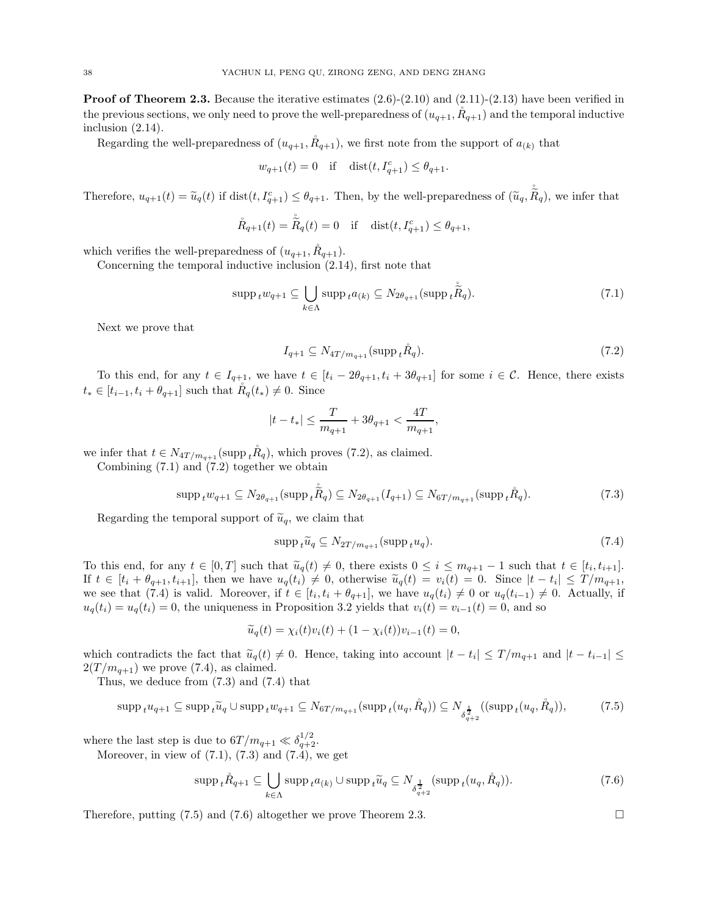**Proof of Theorem [2.3.](#page-9-5)** Because the iterative estimates  $(2.6)-(2.10)$  $(2.6)-(2.10)$  and  $(2.11)-(2.13)$  $(2.11)-(2.13)$  have been verified in the previous sections, we only need to prove the well-preparedness of  $(u_{q+1}, R_{q+1})$  and the temporal inductive inclusion [\(2.14\)](#page-9-6).

Regarding the well-preparedness of  $(u_{q+1}, R_{q+1})$ , we first note from the support of  $a_{(k)}$  that

$$
w_{q+1}(t) = 0
$$
 if  $dist(t, I_{q+1}^c) \le \theta_{q+1}$ .

Therefore,  $u_{q+1}(t) = \tilde{u}_q(t)$  if  $dist(t, I_{q+1}^c) \leq \theta_{q+1}$ . Then, by the well-preparedness of  $(\tilde{u}_q, \dot{\tilde{R}}_q)$ , we infer that

$$
\mathring{R}_{q+1}(t)=\mathring{\tilde{R}}_{q}(t)=0 \quad \text{if }\quad \mathrm{dist}(t,I_{q+1}^{c})\leq \theta_{q+1},
$$

which verifies the well-preparedness of  $(u_{q+1}, \tilde{R}_{q+1})$ .

Concerning the temporal inductive inclusion [\(2.14\)](#page-9-6), first note that

$$
\operatorname{supp}_{t} w_{q+1} \subseteq \bigcup_{k \in \Lambda} \operatorname{supp}_{t} a_{(k)} \subseteq N_{2\theta_{q+1}} (\operatorname{supp}_{t} \tilde{\tilde{R}}_{q}). \tag{7.1}
$$

Next we prove that

<span id="page-37-1"></span><span id="page-37-0"></span>
$$
I_{q+1} \subseteq N_{4T/m_{q+1}}(\mathrm{supp}_t \mathring{R}_q). \tag{7.2}
$$

To this end, for any  $t \in I_{q+1}$ , we have  $t \in [t_i - 2\theta_{q+1}, t_i + 3\theta_{q+1}]$  for some  $i \in \mathcal{C}$ . Hence, there exists  $t_* \in [t_{i-1}, t_i + \theta_{q+1}]$  such that  $\check{R}_q(t_*) \neq 0$ . Since

$$
|t-t_*|\leq \frac{T}{m_{q+1}}+3\theta_{q+1}<\frac{4T}{m_{q+1}},
$$

we infer that  $t \in N_{4T/m_{q+1}}(\text{supp}_t \check{R}_q)$ , which proves [\(7.2\)](#page-37-0), as claimed.

Combining  $(7.1)$  and  $(7.2)$  together we obtain

$$
\mathrm{supp}_{t} w_{q+1} \subseteq N_{2\theta_{q+1}}(\mathrm{supp}_{t}\tilde{R}_{q}) \subseteq N_{2\theta_{q+1}}(I_{q+1}) \subseteq N_{6T/m_{q+1}}(\mathrm{supp}_{t}\tilde{R}_{q}).
$$
\n(7.3)

Regarding the temporal support of  $\tilde{u}_q$ , we claim that

$$
\operatorname{supp}_{t}\widetilde{u}_{q} \subseteq N_{2T/m_{q+1}}(\operatorname{supp}_{t}u_{q}).\tag{7.4}
$$

To this end, for any  $t \in [0,T]$  such that  $\widetilde{u}_q(t) \neq 0$ , there exists  $0 \leq i \leq m_{q+1} - 1$  such that  $t \in [t_i, t_{i+1}]$ . If  $t \in [t_i + \theta_{q+1}, t_{i+1}]$ , then we have  $u_q(t_i) \neq 0$ , otherwise  $\tilde{u}_q(t) = v_i(t) = 0$ . Since  $|t - t_i| \leq T/m_{q+1}$ , we see that [\(7.4\)](#page-37-2) is valid. Moreover, if  $t \in [t_i, t_i + \theta_{q+1}]$ , we have  $u_q(t_i) \neq 0$  or  $u_q(t_{i-1}) \neq 0$ . Actually, if  $u_q(t_i) = u_q(t_i) = 0$ , the uniqueness in Proposition [3.2](#page-12-11) yields that  $v_i(t) = v_{i-1}(t) = 0$ , and so

$$
\widetilde{u}_q(t) = \chi_i(t)v_i(t) + (1 - \chi_i(t))v_{i-1}(t) = 0,
$$

which contradicts the fact that  $\widetilde{u}_q(t) \neq 0$ . Hence, taking into account  $|t - t_i| \leq T/m_{q+1}$  and  $|t - t_{i-1}| \leq$  $2(T/m_{q+1})$  we prove [\(7.4\)](#page-37-2), as claimed.

Thus, we deduce from [\(7.3\)](#page-37-3) and [\(7.4\)](#page-37-2) that

$$
\mathrm{supp}_{t} u_{q+1} \subseteq \mathrm{supp}_{t} \widetilde{u}_{q} \cup \mathrm{supp}_{t} w_{q+1} \subseteq N_{6T/m_{q+1}} (\mathrm{supp}_{t} (u_{q}, R_{q})) \subseteq N_{\delta_{q+2}^{\frac{1}{2}}} ((\mathrm{supp}_{t} (u_{q}, R_{q})), \tag{7.5}
$$

where the last step is due to  $6T/m_{q+1} \ll \delta_{q+2}^{1/2}$ .

Moreover, in view of  $(7.1)$ ,  $(7.3)$  and  $(7.4)$ , we get

$$
\operatorname{supp}_{t} \mathring{R}_{q+1} \subseteq \bigcup_{k \in \Lambda} \operatorname{supp}_{t} a_{(k)} \cup \operatorname{supp}_{t} \widetilde{u}_{q} \subseteq N_{\delta_{q+2}^{\frac{1}{2}}}(\operatorname{supp}_{t}(u_{q}, \mathring{R}_{q})).
$$
\n(7.6)

Therefore, putting [\(7.5\)](#page-37-4) and [\(7.6\)](#page-37-5) altogether we prove Theorem [2.3.](#page-9-5)

<span id="page-37-5"></span><span id="page-37-4"></span><span id="page-37-3"></span><span id="page-37-2"></span>
$$
\qquad \qquad \Box
$$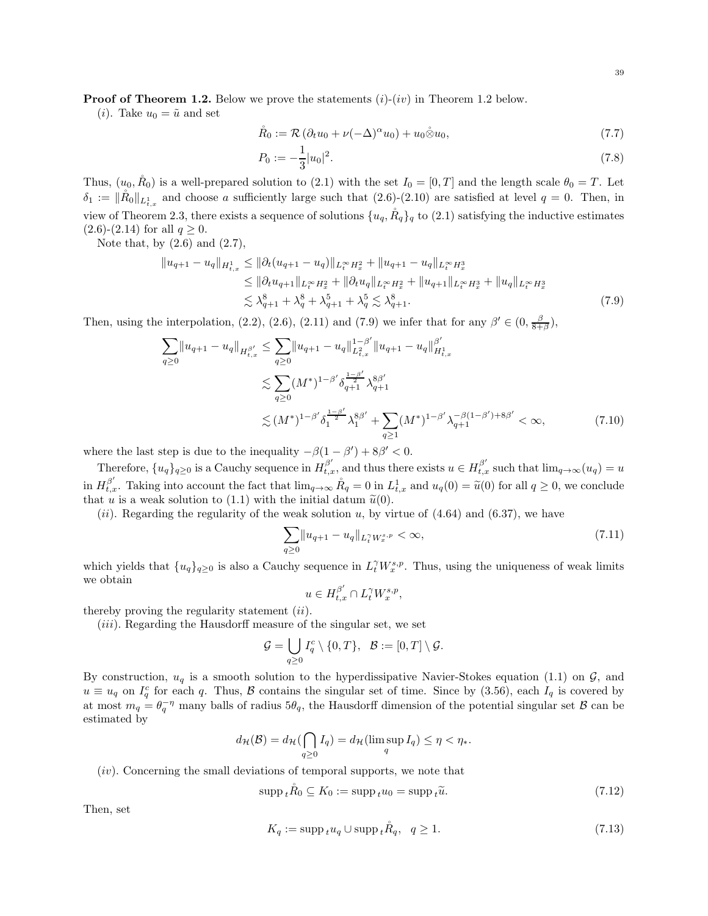**Proof of Theorem [1.2.](#page-5-0)** Below we prove the statements  $(i)-(iv)$  in Theorem [1.2](#page-5-0) below.

(*i*). Take  $u_0 = \tilde{u}$  and set

$$
\mathring{R}_0 := \mathcal{R} \left( \partial_t u_0 + \nu (-\Delta)^\alpha u_0 \right) + u_0 \mathring{\otimes} u_0, \tag{7.7}
$$

$$
P_0 := -\frac{1}{3}|u_0|^2. \tag{7.8}
$$

Thus,  $(u_0, R_0)$  is a well-prepared solution to [\(2.1\)](#page-8-1) with the set  $I_0 = [0, T]$  and the length scale  $\theta_0 = T$ . Let  $\delta_1 := \|\mathring{R}_0\|_{L^1_{t,x}}$  and choose a sufficiently large such that  $(2.6)-(2.10)$  $(2.6)-(2.10)$  are satisfied at level  $q = 0$ . Then, in view of Theorem [2.3,](#page-9-5) there exists a sequence of solutions  $\{u_q, \mathring{R}_q\}_q$  to [\(2.1\)](#page-8-1) satisfying the inductive estimates  $(2.6)-(2.14)$  $(2.6)-(2.14)$  $(2.6)-(2.14)$  for all  $q \ge 0$ .

Note that, by  $(2.6)$  and  $(2.7)$ ,

$$
||u_{q+1} - u_q||_{H_{t,x}^1} \le ||\partial_t (u_{q+1} - u_q)||_{L_t^\infty H_x^2} + ||u_{q+1} - u_q||_{L_t^\infty H_x^3}
$$
  
\n
$$
\le ||\partial_t u_{q+1}||_{L_t^\infty H_x^2} + ||\partial_t u_q||_{L_t^\infty H_x^2} + ||u_{q+1}||_{L_t^\infty H_x^3} + ||u_q||_{L_t^\infty H_x^3}
$$
  
\n
$$
\lesssim \lambda_{q+1}^8 + \lambda_q^8 + \lambda_{q+1}^5 + \lambda_q^5 \lesssim \lambda_{q+1}^8. \tag{7.9}
$$

Then, using the interpolation, [\(2.2\)](#page-8-9), [\(2.6\)](#page-8-2), [\(2.11\)](#page-9-3) and [\(7.9\)](#page-38-0) we infer that for any  $\beta' \in (0, \frac{\beta}{8+\beta})$ ,

$$
\sum_{q\geq 0} \|u_{q+1} - u_q\|_{H_{t,x}^{\beta'}} \leq \sum_{q\geq 0} \|u_{q+1} - u_q\|_{L_{t,x}^2}^{1-\beta'} \|u_{q+1} - u_q\|_{H_{t,x}^1}^{\beta'}
$$
  

$$
\lesssim \sum_{q\geq 0} (M^*)^{1-\beta'} \delta_{q+1}^{\frac{1-\beta'}{\beta}} \lambda_{q+1}^{\beta\beta'}
$$
  

$$
\lesssim (M^*)^{1-\beta'} \delta_1^{\frac{1-\beta'}{2}} \lambda_1^{\beta\beta'} + \sum_{q\geq 1} (M^*)^{1-\beta'} \lambda_{q+1}^{-\beta(1-\beta')+8\beta'} < \infty,
$$
 (7.10)

where the last step is due to the inequality  $-\beta(1-\beta') + 8\beta' < 0$ .

Therefore,  $\{u_q\}_{q\geq 0}$  is a Cauchy sequence in  $H_{t,x}^{\beta'}$ , and thus there exists  $u \in H_{t,x}^{\beta'}$  such that  $\lim_{q\to\infty}(u_q) = u$ in  $H_{t,x}^{\beta'}$ . Taking into account the fact that  $\lim_{q\to\infty} \mathring{R}_q = 0$  in  $L_{t,x}^1$  and  $u_q(0) = \tilde{u}(0)$  for all  $q \geq 0$ , we conclude that u is a weak solution to [\(1.1\)](#page-1-2) with the initial datum  $\tilde{u}(0)$ .

(*ii*). Regarding the regularity of the weak solution u, by virtue of  $(4.64)$  and  $(6.37)$ , we have

$$
\sum_{q\geq 0} \lVert u_{q+1} - u_q \rVert_{L_t^{\gamma} W_x^{s,p}} < \infty,\tag{7.11}
$$

which yields that  $\{u_q\}_{q\geq 0}$  is also a Cauchy sequence in  $L_t^{\gamma} W_x^{s,p}$ . Thus, using the uniqueness of weak limits we obtain

$$
u\in H^{\beta'}_{t,x}\cap L^\gamma_t W^{s,p}_x
$$

<span id="page-38-1"></span><span id="page-38-0"></span>,

thereby proving the regularity statement  $(ii)$ .

 $(iii)$ . Regarding the Hausdorff measure of the singular set, we set

$$
\mathcal{G} = \bigcup_{q \geq 0} I_q^c \setminus \{0, T\}, \ \ \mathcal{B} := [0, T] \setminus \mathcal{G}.
$$

By construction,  $u_q$  is a smooth solution to the hyperdissipative Navier-Stokes equation [\(1.1\)](#page-1-2) on  $\mathcal{G}$ , and  $u \equiv u_q$  on  $I_q^c$  for each q. Thus,  $\beta$  contains the singular set of time. Since by [\(3.56\)](#page-17-5), each  $I_q$  is covered by at most  $m_q = \theta_q^{-\eta}$  many balls of radius  $5\theta_q$ , the Hausdorff dimension of the potential singular set  $\beta$  can be estimated by

$$
d_{\mathcal{H}}(\mathcal{B}) = d_{\mathcal{H}}(\bigcap_{q \ge 0} I_q) = d_{\mathcal{H}}(\limsup_q I_q) \le \eta < \eta_*.
$$

 $(iv)$ . Concerning the small deviations of temporal supports, we note that

$$
\operatorname{supp}_{t} \mathring{R}_{0} \subseteq K_{0} := \operatorname{supp}_{t} u_{0} = \operatorname{supp}_{t} \widetilde{u}. \tag{7.12}
$$

Then, set

$$
K_q := \operatorname{supp}_t u_q \cup \operatorname{supp}_t \mathring{R}_q, \quad q \ge 1. \tag{7.13}
$$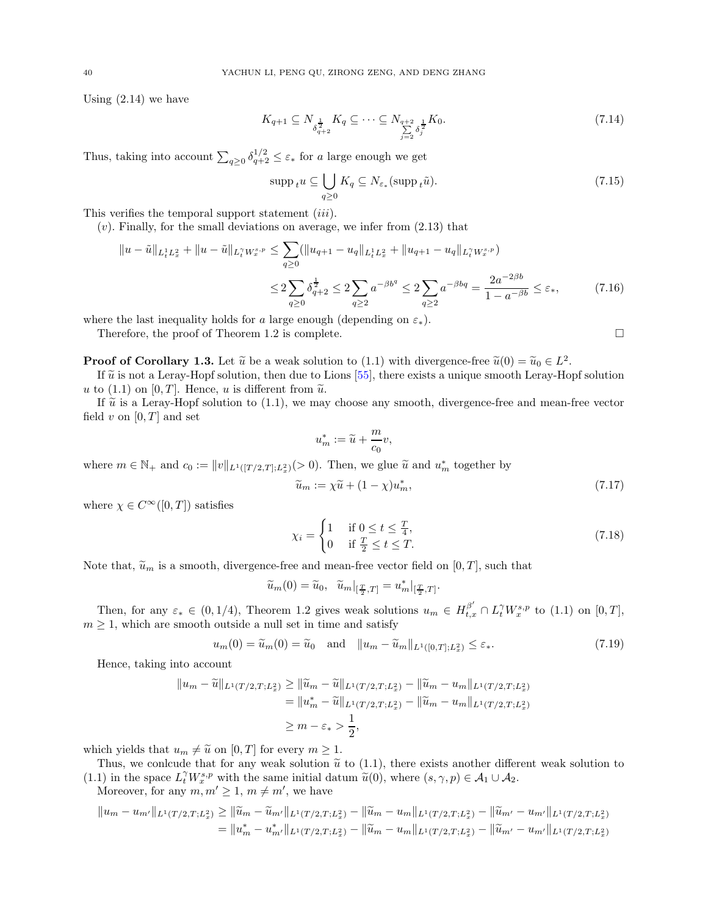Using [\(2.14\)](#page-9-6) we have

$$
K_{q+1} \subseteq N_{\delta_{q+2}^{\frac{1}{2}}} K_q \subseteq \dots \subseteq N_{\delta_{q+2}^{\frac{1}{2}}} K_0. \tag{7.14}
$$

Thus, taking into account  $\sum_{q\geq 0} \delta_{q+2}^{1/2} \leq \varepsilon_*$  for a large enough we get

$$
\operatorname{supp}_{t} u \subseteq \bigcup_{q \ge 0} K_{q} \subseteq N_{\varepsilon_{*}} (\operatorname{supp}_{t} \tilde{u}). \tag{7.15}
$$

This verifies the temporal support statement *(iii)*.

 $(v)$ . Finally, for the small deviations on average, we infer from  $(2.13)$  that

$$
||u - \tilde{u}||_{L_t^1 L_x^2} + ||u - \tilde{u}||_{L_t^{\gamma} W_x^{s, p}} \le \sum_{q \ge 0} (||u_{q+1} - u_q||_{L_t^1 L_x^2} + ||u_{q+1} - u_q||_{L_t^{\gamma} W_x^{s, p}})
$$
  

$$
\le 2 \sum_{q \ge 0} \delta_{q+2}^{\frac{1}{2}} \le 2 \sum_{q \ge 2} a^{-\beta b^q} \le 2 \sum_{q \ge 2} a^{-\beta b q} = \frac{2a^{-2\beta b}}{1 - a^{-\beta b}} \le \varepsilon_*,
$$
 (7.16)

where the last inequality holds for a large enough (depending on  $\varepsilon_*$ ).

Therefore, the proof of Theorem [1.2](#page-5-0) is complete.

**Proof of Corollary [1.3.](#page-5-1)** Let  $\tilde{u}$  be a weak solution to [\(1.1\)](#page-1-2) with divergence-free  $\tilde{u}(0) = \tilde{u}_0 \in L^2$ .

If  $\tilde{u}$  is not a Leray-Hopf solution, then due to Lions [\[55](#page-46-0)], there exists a unique smooth Leray-Hopf solution u to [\(1.1\)](#page-1-2) on [0, T]. Hence, u is different from  $\tilde{u}$ .

If  $\tilde{u}$  is a Leray-Hopf solution to [\(1.1\)](#page-1-2), we may choose any smooth, divergence-free and mean-free vector field v on  $[0, T]$  and set

$$
u_m^*:=\widetilde u+\frac{m}{c_0}v,
$$

where  $m \in \mathbb{N}_+$  and  $c_0 := ||v||_{L^1([T/2,T];L^2_x)}(>0)$ . Then, we glue  $\widetilde{u}$  and  $u_m^*$  together by

$$
\widetilde{u}_m := \chi \widetilde{u} + (1 - \chi) u_m^*,\tag{7.17}
$$

where  $\chi \in C^{\infty}([0,T])$  satisfies

$$
\chi_i = \begin{cases} 1 & \text{if } 0 \le t \le \frac{T}{4}, \\ 0 & \text{if } \frac{T}{2} \le t \le T. \end{cases} \tag{7.18}
$$

Note that,  $\tilde{u}_m$  is a smooth, divergence-free and mean-free vector field on [0, T], such that

$$
\widetilde{u}_m(0) = \widetilde{u}_0, \quad \widetilde{u}_m|_{\left[\frac{T}{2},T\right]} = u_m^*|_{\left[\frac{T}{2},T\right]}.
$$

Then, for any  $\varepsilon_* \in (0, 1/4)$ , Theorem [1.2](#page-5-0) gives weak solutions  $u_m \in H^{\beta'}_{t,x} \cap L^{\gamma}_t W^{s,p}_x$  to  $(1.1)$  on  $[0, T]$ ,  $m \geq 1$ , which are smooth outside a null set in time and satisfy

$$
u_m(0) = \widetilde{u}_m(0) = \widetilde{u}_0 \quad \text{and} \quad \|u_m - \widetilde{u}_m\|_{L^1([0,T];L^2_x)} \le \varepsilon_*.
$$
\n
$$
(7.19)
$$

Hence, taking into account

$$
||u_m - \widetilde{u}||_{L^1(T/2,T;L_x^2)} \ge ||\widetilde{u}_m - \widetilde{u}||_{L^1(T/2,T;L_x^2)} - ||\widetilde{u}_m - u_m||_{L^1(T/2,T;L_x^2)}
$$
  
=  $||u_m^* - \widetilde{u}||_{L^1(T/2,T;L_x^2)} - ||\widetilde{u}_m - u_m||_{L^1(T/2,T;L_x^2)}$   
 $\ge m - \varepsilon_* > \frac{1}{2},$ 

which yields that  $u_m \neq \tilde{u}$  on  $[0, T]$  for every  $m \geq 1$ .

Thus, we conlcude that for any weak solution  $\tilde{u}$  to [\(1.1\)](#page-1-2), there exists another different weak solution to [\(1.1\)](#page-1-2) in the space  $L_t^{\gamma} W_s^{s,p}$  with the same initial datum  $\widetilde{u}(0)$ , where  $(s, \gamma, p) \in \mathcal{A}_1 \cup \mathcal{A}_2$ .

Moreover, for any  $m, m' \geq 1, m \neq m'$ , we have

$$
||u_m - u_{m'}||_{L^1(T/2,T;L_x^2)} \ge ||\widetilde{u}_m - \widetilde{u}_{m'}||_{L^1(T/2,T;L_x^2)} - ||\widetilde{u}_m - u_m||_{L^1(T/2,T;L_x^2)} - ||\widetilde{u}_{m'} - u_{m'}||_{L^1(T/2,T;L_x^2)}
$$
  
=  $||u_m^* - u_{m'}^*||_{L^1(T/2,T;L_x^2)} - ||\widetilde{u}_m - u_m||_{L^1(T/2,T;L_x^2)} - ||\widetilde{u}_m' - u_{m'}||_{L^1(T/2,T;L_x^2)}$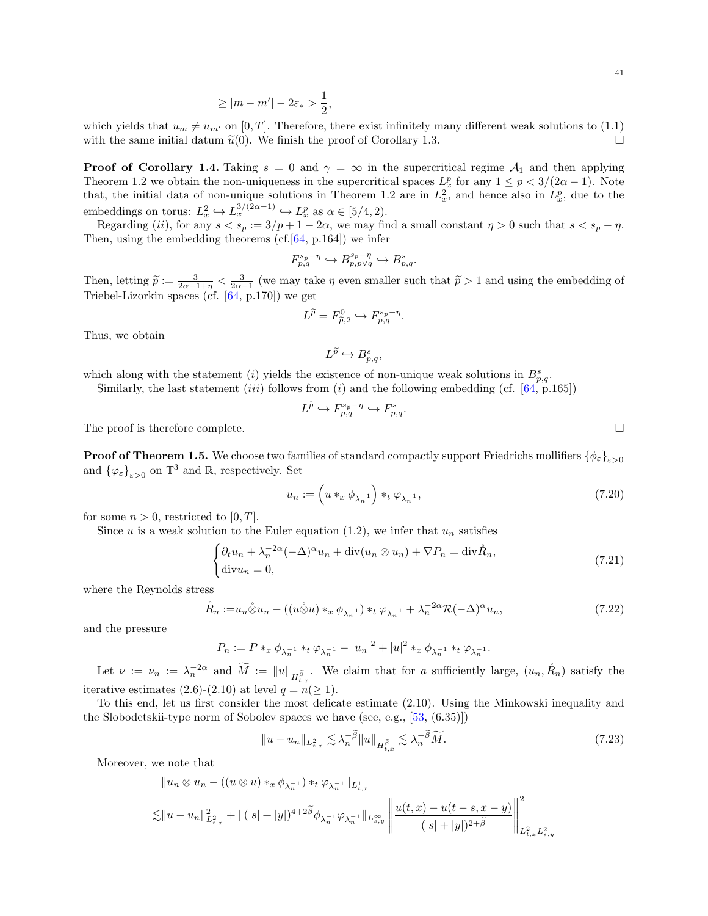$$
\geq |m - m'| - 2\varepsilon_* > \frac{1}{2},
$$

which yields that  $u_m \neq u_{m'}$  on [0, T]. Therefore, there exist infinitely many different weak solutions to [\(1.1\)](#page-1-2) with the same initial datum  $\tilde{u}(0)$ . We finish the proof of Corollary [1.3.](#page-5-1)

**Proof of Corollary [1.4.](#page-6-1)** Taking  $s = 0$  and  $\gamma = \infty$  in the supercritical regime  $\mathcal{A}_1$  and then applying Theorem [1.2](#page-5-0) we obtain the non-uniqueness in the supercritical spaces  $L_x^p$  for any  $1 \leq p < 3/(2\alpha - 1)$ . Note that, the initial data of non-unique solutions in Theorem [1.2](#page-5-0) are in  $L_x^2$ , and hence also in  $L_x^p$ , due to the embeddings on torus:  $L_x^2 \hookrightarrow L_x^{3/(2\alpha-1)} \hookrightarrow L_x^p$  as  $\alpha \in [5/4, 2)$ .

Regarding (ii), for any  $s < s_p := 3/p + 1 - 2\alpha$ , we may find a small constant  $\eta > 0$  such that  $s < s_p - \eta$ . Then, using the embedding theorems  $(cf.[64, p.164])$  $(cf.[64, p.164])$  $(cf.[64, p.164])$  we infer

$$
F^{s_p-\eta}_{p,q}\hookrightarrow B^{s_p-\eta}_{p,p\vee q}\hookrightarrow B^s_{p,q}.
$$

Then, letting  $\widetilde{p} := \frac{3}{2\alpha - 1 + \eta} < \frac{3}{2\alpha - 1}$  (we may take  $\eta$  even smaller such that  $\widetilde{p} > 1$  and using the embedding of Triebel-Lizorkin spaces (cf. [\[64,](#page-46-17) p.170]) we get

$$
L^{\widetilde{p}} = F^0_{\widetilde{p},2} \hookrightarrow F^{s_p-\eta}_{p,q}.
$$

Thus, we obtain

$$
L^{\widetilde{p}} \hookrightarrow B_{p,q}^{s},
$$

which along with the statement (i) yields the existence of non-unique weak solutions in  $B_{p,q}^s$ .

Similarly, the last statement *(iii)* follows from *(i)* and the following embedding (cf.  $[64, p.165]$ )

$$
L^{\widetilde{p}} \hookrightarrow F_{p,q}^{s_p - \eta} \hookrightarrow F_{p,q}^s.
$$

The proof is therefore complete.  $\Box$ 

**Proof of Theorem [1.5.](#page-6-2)** We choose two families of standard compactly support Friedrichs mollifiers  $\{\phi_{\varepsilon}\}_{{\varepsilon}>0}$ and  $\{\varphi_{\varepsilon}\}_{{\varepsilon}>0}$  on  $\mathbb{T}^3$  and  $\mathbb{R}$ , respectively. Set

$$
u_n := \left(u *_{x} \phi_{\lambda_n^{-1}}\right) *_{t} \varphi_{\lambda_n^{-1}},\tag{7.20}
$$

for some  $n > 0$ , restricted to [0, T].

Since u is a weak solution to the Euler equation [\(1.2\)](#page-1-4), we infer that  $u_n$  satisfies

<span id="page-40-2"></span>
$$
\begin{cases} \partial_t u_n + \lambda_n^{-2\alpha} (-\Delta)^\alpha u_n + \operatorname{div}(u_n \otimes u_n) + \nabla P_n = \operatorname{div} \mathring{R}_n, \\ \operatorname{div} u_n = 0, \end{cases}
$$
 (7.21)

where the Reynolds stress

$$
\mathring{R}_n := u_n \mathring{\otimes} u_n - ((u \mathring{\otimes} u) *_{x} \phi_{\lambda_n^{-1}}) *_{t} \varphi_{\lambda_n^{-1}} + \lambda_n^{-2\alpha} \mathcal{R}(-\Delta)^{\alpha} u_n, \tag{7.22}
$$

and the pressure

$$
P_n := P *_{x} \phi_{\lambda_n^{-1}} *_{t} \varphi_{\lambda_n^{-1}} - |u_n|^2 + |u|^2 *_{x} \phi_{\lambda_n^{-1}} *_{t} \varphi_{\lambda_n^{-1}}.
$$

Let  $\nu := \nu_n := \lambda_n^{-2\alpha}$  and  $\widetilde{M} := \|u\|_{H^{\widetilde{\beta}}_{t,x}}$ . We claim that for a sufficiently large,  $(u_n, \mathring{R}_n)$  satisfy the iterative estimates [\(2.6\)](#page-8-2)-[\(2.10\)](#page-8-3) at level  $q = n(\geq 1)$ .

To this end, let us first consider the most delicate estimate [\(2.10\)](#page-8-3). Using the Minkowski inequality and the Slobodetskii-type norm of Sobolev spaces we have (see, e.g.,  $[53, (6.35)]$ )

$$
||u - u_n||_{L^2_{t,x}} \lesssim \lambda_n^{-\widetilde{\beta}} ||u||_{H^{\widetilde{\beta}}_{t,x}} \lesssim \lambda_n^{-\widetilde{\beta}} \widetilde{M}.
$$
\n(7.23)

Moreover, we note that

$$
||u_n \otimes u_n - ((u \otimes u) *_{x} \phi_{\lambda_n^{-1}}) *_{t} \phi_{\lambda_n^{-1}}||_{L^1_{t,x}}\le ||u - u_n||_{L^2_{t,x}}^2 + ||(|s| + |y|)^{4+2\widetilde{\beta}} \phi_{\lambda_n^{-1}} \phi_{\lambda_n^{-1}}||_{L^\infty_{s,y}} \left\| \frac{u(t,x) - u(t-s, x-y)}{(|s| + |y|)^{2+\widetilde{\beta}}} \right\|_{L^2_{t,x} L^2_{s,y}}^2
$$

<span id="page-40-1"></span><span id="page-40-0"></span>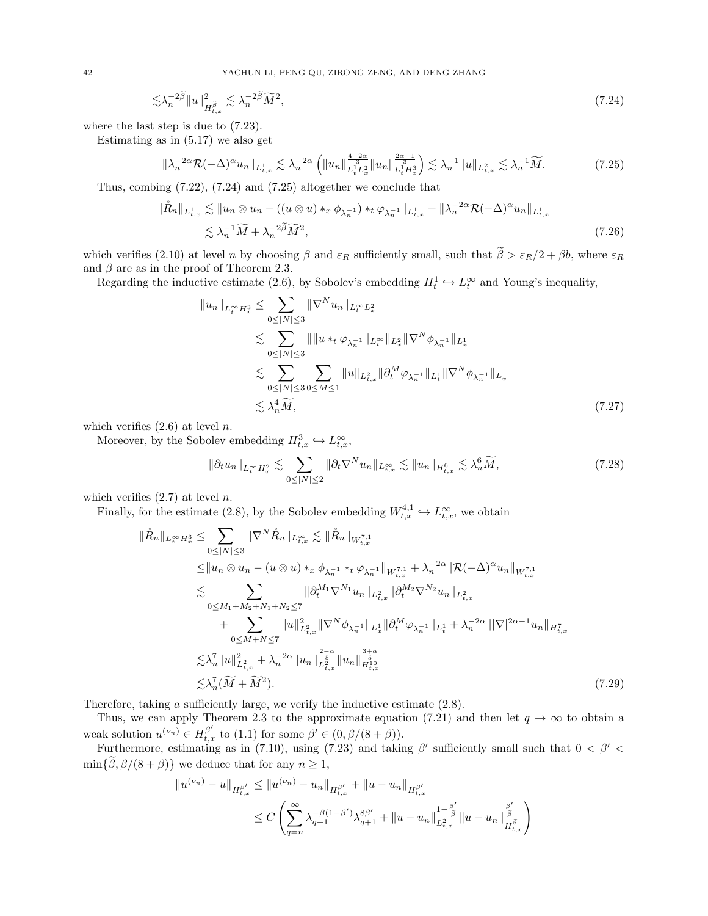42 YACHUN LI, PENG QU, ZIRONG ZENG, AND DENG ZHANG

$$
\lesssim \lambda_n^{-2\widetilde{\beta}} \|u\|_{H^{\widetilde{\beta}}_{t,x}}^2 \lesssim \lambda_n^{-2\widetilde{\beta}} \widetilde{M}^2,\tag{7.24}
$$

where the last step is due to [\(7.23\)](#page-40-0).

Estimating as in [\(5.17\)](#page-28-5) we also get

<span id="page-41-0"></span>
$$
\|\lambda_n^{-2\alpha}\mathcal{R}(-\Delta)^\alpha u_n\|_{L^1_{t,x}} \lesssim \lambda_n^{-2\alpha} \left( \|u_n\|_{L^1_t L^2_x}^{\frac{4-2\alpha}{3}} \|u_n\|_{L^1_t H^3_x}^{\frac{2\alpha-1}{3}} \right) \lesssim \lambda_n^{-1} \|u\|_{L^2_{t,x}} \lesssim \lambda_n^{-1} \widetilde{M}.
$$
 (7.25)

Thus, combing [\(7.22\)](#page-40-1), [\(7.24\)](#page-41-0) and [\(7.25\)](#page-41-1) altogether we conclude that

$$
\|\mathring{R}_n\|_{L^1_{t,x}} \lesssim \|u_n \otimes u_n - ((u \otimes u) *_{x} \phi_{\lambda_n^{-1}}) *_{t} \phi_{\lambda_n^{-1}}\|_{L^1_{t,x}} + \|\lambda_n^{-2\alpha} \mathcal{R}(-\Delta)^{\alpha} u_n\|_{L^1_{t,x}} \lesssim \lambda_n^{-1} \widetilde{M} + \lambda_n^{-2\widetilde{\beta}} \widetilde{M}^2,
$$
\n(7.26)

which verifies [\(2.10\)](#page-8-3) at level n by choosing  $\beta$  and  $\varepsilon_R$  sufficiently small, such that  $\tilde{\beta} > \varepsilon_R/2 + \beta b$ , where  $\varepsilon_R$ and  $\beta$  are as in the proof of Theorem [2.3.](#page-9-5)

Regarding the inductive estimate [\(2.6\)](#page-8-2), by Sobolev's embedding  $H_t^1 \hookrightarrow L_t^{\infty}$  and Young's inequality,

<span id="page-41-1"></span>
$$
||u_{n}||_{L_{t}^{\infty}H_{x}^{3}} \leq \sum_{0 \leq |N| \leq 3} ||\nabla^{N} u_{n}||_{L_{t}^{\infty}L_{x}^{2}}\n\lesssim \sum_{0 \leq |N| \leq 3} ||||u||_{t} \langle \varphi_{\lambda_{n}}||_{L_{t}^{\infty}}||_{L_{x}^{2}} ||\nabla^{N} \phi_{\lambda_{n}}||_{L_{x}^{1}}\n\lesssim \sum_{0 \leq |N| \leq 3} \sum_{0 \leq M \leq 1} ||u||_{L_{t,x}^{2}} ||\partial_{t}^{M} \varphi_{\lambda_{n}}||_{L_{t}^{1}} ||\nabla^{N} \phi_{\lambda_{n}}||_{L_{x}^{1}}\n\lesssim \lambda_{n}^{4} \widetilde{M}, \qquad (7.27)
$$

which verifies  $(2.6)$  at level n.

Moreover, by the Sobolev embedding  $H_{t,x}^3 \hookrightarrow L_{t,x}^{\infty}$ ,

$$
\|\partial_t u_n\|_{L_t^\infty H_x^2} \lesssim \sum_{0 \le |N| \le 2} \|\partial_t \nabla^N u_n\|_{L_{t,x}^\infty} \lesssim \|u_n\|_{H_{t,x}^6} \lesssim \lambda_n^6 \widetilde{M},\tag{7.28}
$$

which verifies  $(2.7)$  at level n.

Finally, for the estimate [\(2.8\)](#page-8-7), by the Sobolev embedding  $W_{t,x}^{4,1} \hookrightarrow L_{t,x}^{\infty}$ , we obtain

$$
\|\mathring{R}_{n}\|_{L_{t}^{\infty}H_{x}^{3}} \leq \sum_{0 \leq |N| \leq 3} \|\nabla^{N}\mathring{R}_{n}\|_{L_{t,x}^{\infty}} \lesssim \|\mathring{R}_{n}\|_{W_{t,x}^{7,1}} \n\leq \|u_{n} \otimes u_{n} - (u \otimes u) *_{x} \phi_{\lambda_{n}^{-1}} *_{t} \phi_{\lambda_{n}^{-1}}\|_{W_{t,x}^{7,1}} + \lambda_{n}^{-2\alpha} \|\mathcal{R}(-\Delta)^{\alpha} u_{n}\|_{W_{t,x}^{7,1}} \n\lesssim \sum_{0 \leq M_{1}+M_{2}+N_{1}+N_{2} \leq 7} \|\partial_{t}^{M_{1}} \nabla^{N_{1}} u_{n}\|_{L_{t,x}^{2}} \|\partial_{t}^{M_{2}} \nabla^{N_{2}} u_{n}\|_{L_{t,x}^{2}} \n+ \sum_{0 \leq M+N \leq 7} \|u\|_{L_{t,x}^{2}}^{2} \|\nabla^{N} \phi_{\lambda_{n}^{-1}}\|_{L_{x}^{1}} \|\partial_{t}^{M} \phi_{\lambda_{n}^{-1}}\|_{L_{t}^{1}} + \lambda_{n}^{-2\alpha} \|\nabla|^{2\alpha-1} u_{n}\|_{H_{t,x}^{7}} \n\lesssim \lambda_{n}^{7} \|u\|_{L_{t,x}^{2}}^{2} + \lambda_{n}^{-2\alpha} \|u_{n}\|_{L_{t,x}^{\frac{3-\alpha}{2}}}^{2\alpha} \|u_{n}\|_{H_{t,x}^{1}}^{\frac{3+\alpha}{2}} \n\lesssim \lambda_{n}^{7} (\widetilde{M} + \widetilde{M}^{2}). \tag{7.29}
$$

Therefore, taking a sufficiently large, we verify the inductive estimate  $(2.8)$ .

Thus, we can apply Theorem [2.3](#page-9-5) to the approximate equation [\(7.21\)](#page-40-2) and then let  $q \to \infty$  to obtain a weak solution  $u^{(\nu_n)} \in H_{t,x}^{\beta'}$  to [\(1.1\)](#page-1-2) for some  $\beta' \in (0, \beta/(8+\beta)).$ 

Furthermore, estimating as in [\(7.10\)](#page-38-1), using [\(7.23\)](#page-40-0) and taking  $\beta'$  sufficiently small such that  $0 < \beta' <$  $\min{\{\tilde{\beta}, \beta/(8 + \beta)\}}$  we deduce that for any  $n \geq 1$ ,

$$
||u^{(\nu_n)} - u||_{H_{t,x}^{\beta'}} \le ||u^{(\nu_n)} - u_n||_{H_{t,x}^{\beta'}} + ||u - u_n||_{H_{t,x}^{\beta'}}
$$
  

$$
\le C \left( \sum_{q=n}^{\infty} \lambda_{q+1}^{-\beta(1-\beta')} \lambda_{q+1}^{8\beta'} + ||u - u_n||_{L_{t,x}^2}^{1-\frac{\beta'}{\beta}} ||u - u_n||_{H_{t,x}^{\beta}}^{\frac{\beta'}{\beta}} \right)
$$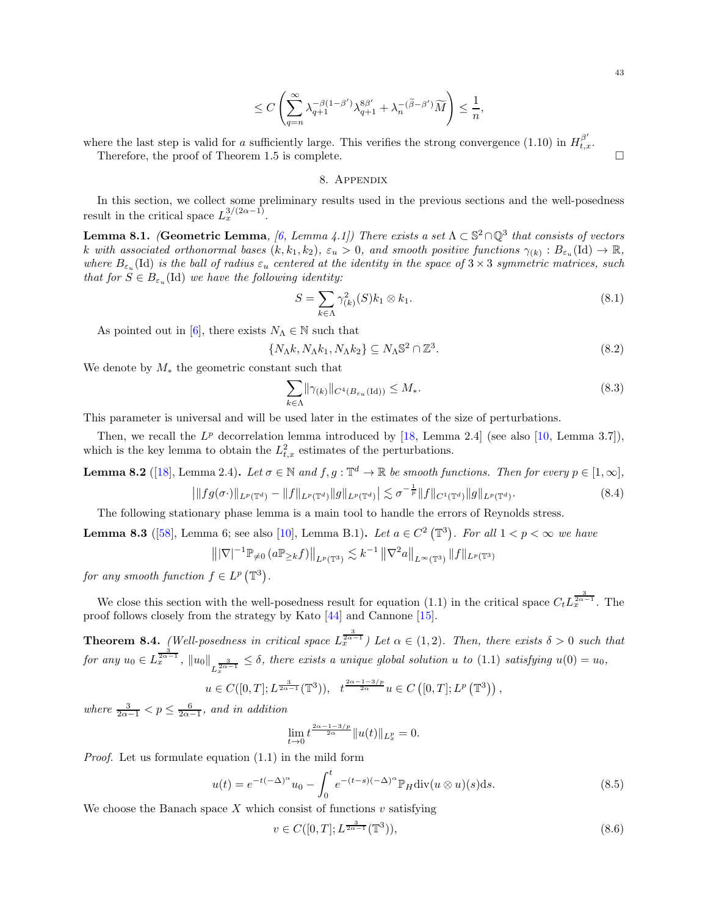$$
\leq C\left(\sum_{q=n}^{\infty}\lambda_{q+1}^{-\beta(1-\beta')}\lambda_{q+1}^{8\beta'}+\lambda_n^{-(\widetilde{\beta}-\beta')}\widetilde{M}\right)\leq \frac{1}{n},
$$

<span id="page-42-0"></span>where the last step is valid for a sufficiently large. This verifies the strong convergence [\(1.10\)](#page-6-3) in  $H_{t,x}^{\beta'}$ . Therefore, the proof of Theorem [1.5](#page-6-2) is complete.

8. Appendix

In this section, we collect some preliminary results used in the previous sections and the well-posedness result in the critical space  $L_x^{3/(2\alpha-1)}$ .

<span id="page-42-2"></span>**Lemma 8.1.** (Geometric Lemma, [\[6](#page-44-9), Lemma 4.1]) There exists a set  $\Lambda \subset \mathbb{S}^2 \cap \mathbb{Q}^3$  that consists of vectors k with associated orthonormal bases  $(k, k_1, k_2)$ ,  $\varepsilon_u > 0$ , and smooth positive functions  $\gamma_{(k)} : B_{\varepsilon_u}(\mathrm{Id}) \to \mathbb{R}$ , where  $B_{\varepsilon_n}(\text{Id})$  is the ball of radius  $\varepsilon_n$  centered at the identity in the space of  $3 \times 3$  symmetric matrices, such that for  $S \in B_{\varepsilon_u}(\mathrm{Id})$  we have the following identity:

$$
S = \sum_{k \in \Lambda} \gamma_{(k)}^2(S) k_1 \otimes k_1. \tag{8.1}
$$

As pointed out in [\[6\]](#page-44-9), there exists  $N_\Lambda \in \mathbb{N}$  such that

<span id="page-42-3"></span>
$$
\{N_{\Lambda}k, N_{\Lambda}k_1, N_{\Lambda}k_2\} \subseteq N_{\Lambda} \mathbb{S}^2 \cap \mathbb{Z}^3. \tag{8.2}
$$

We denote by  $M_*$  the geometric constant such that

$$
\sum_{k \in \Lambda} \|\gamma_{(k)}\|_{C^4(B_{\varepsilon_u}(\mathrm{Id}))} \le M_*.
$$
\n(8.3)

This parameter is universal and will be used later in the estimates of the size of perturbations.

Then, we recall the  $L^p$  decorrelation lemma introduced by [\[18](#page-44-15), Lemma 2.4] (see also [\[10](#page-44-3), Lemma 3.7]), which is the key lemma to obtain the  $L^2_{t,x}$  estimates of the perturbations.

<span id="page-42-4"></span>**Lemma 8.2** ([\[18](#page-44-15)], Lemma 2.4). Let  $\sigma \in \mathbb{N}$  and  $f, g: \mathbb{T}^d \to \mathbb{R}$  be smooth functions. Then for every  $p \in [1, \infty]$ ,

$$
\left| \|fg(\sigma \cdot)\|_{L^p(\mathbb{T}^d)} - \|f\|_{L^p(\mathbb{T}^d)} \|g\|_{L^p(\mathbb{T}^d)} \right| \lesssim \sigma^{-\frac{1}{p}} \|f\|_{C^1(\mathbb{T}^d)} \|g\|_{L^p(\mathbb{T}^d)}.
$$
\n(8.4)

The following stationary phase lemma is a main tool to handle the errors of Reynolds stress.

<span id="page-42-5"></span>**Lemma 8.3** ([\[58\]](#page-46-4), Lemma 6; see also [\[10](#page-44-3)], Lemma B.1). Let  $a \in C^2(\mathbb{T}^3)$ . For all  $1 < p < \infty$  we have

$$
\left\| |\nabla|^{-1} \mathbb{P}_{\neq 0} \left( a \mathbb{P}_{\geq k} f \right) \right\|_{L^p(\mathbb{T}^3)} \lesssim k^{-1} \left\| \nabla^2 a \right\|_{L^\infty(\mathbb{T}^3)} \|f\|_{L^p(\mathbb{T}^3)}
$$

for any smooth function  $f \in L^p(\mathbb{T}^3)$ .

We close this section with the well-posedness result for equation [\(1.1\)](#page-1-2) in the critical space  $C_t L_x^{\frac{3}{2\alpha-1}}$ . The proof follows closely from the strategy by Kato [\[44\]](#page-45-22) and Cannone [\[15](#page-44-26)].

<span id="page-42-1"></span>**Theorem 8.4.** (Well-posedness in critical space  $L_{x}^{\frac{3}{2\alpha-1}}$ ) Let  $\alpha \in (1,2)$ . Then, there exists  $\delta > 0$  such that  $for any u_0 \in L^{\frac{3}{2\alpha-1}}_x, ||u_0||_{L^{\frac{3}{2\alpha-1}}_x} \leq \delta$ , there exists a unique global solution u to [\(1.1\)](#page-1-2) satisfying  $u(0) = u_0$ ,

$$
u \in C([0,T]; L^{\frac{3}{2\alpha-1}}(\mathbb{T}^3)), \quad t^{\frac{2\alpha-1-3/p}{2\alpha}}u \in C([0,T]; L^p(\mathbb{T}^3)),
$$

where  $\frac{3}{2\alpha-1} < p \leq \frac{6}{2\alpha-1}$ , and in addition

$$
\lim_{t \to 0} t^{\frac{2\alpha - 1 - 3/p}{2\alpha}} \|u(t)\|_{L^p_x} = 0.
$$

Proof. Let us formulate equation [\(1.1\)](#page-1-2) in the mild form

$$
u(t) = e^{-t(-\Delta)^{\alpha}} u_0 - \int_0^t e^{-(t-s)(-\Delta)^{\alpha}} \mathbb{P}_H \text{div}(u \otimes u)(s) \, ds. \tag{8.5}
$$

We choose the Banach space  $X$  which consist of functions  $v$  satisfying

$$
v \in C([0, T]; L^{\frac{3}{2\alpha - 1}}(\mathbb{T}^3)),\tag{8.6}
$$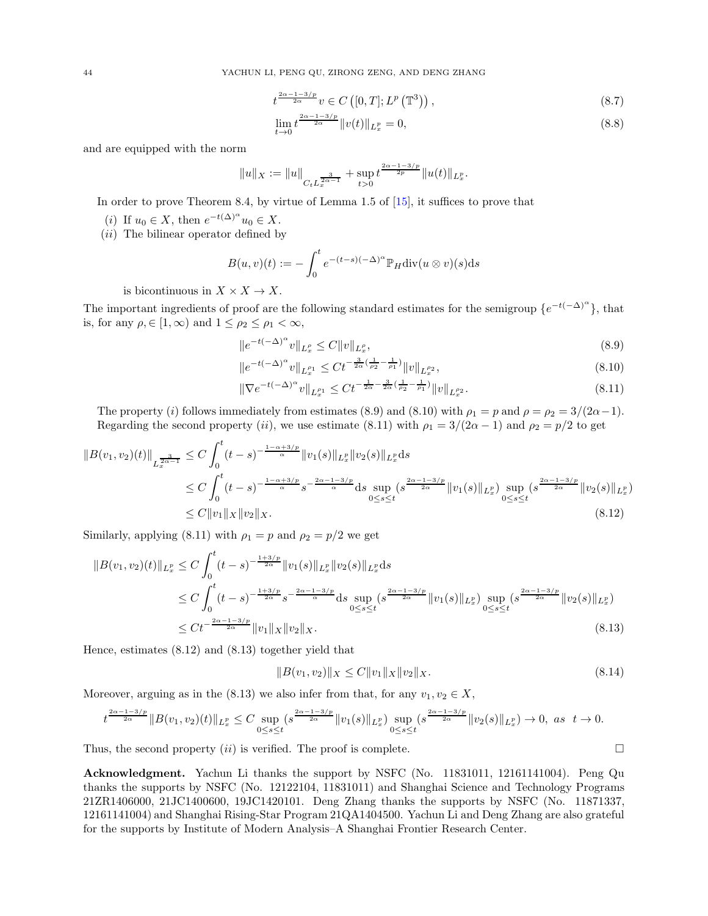$$
t^{\frac{2\alpha-1-3/p}{2\alpha}}v \in C\left([0,T];L^p\left(\mathbb{T}^3\right)\right),\tag{8.7}
$$

$$
\lim_{t \to 0} t^{\frac{2\alpha - 1 - 3/p}{2\alpha}} \|v(t)\|_{L_x^p} = 0,
$$
\n(8.8)

and are equipped with the norm

$$
||u||_X := ||u||_{C_t L_x^{\frac{3}{2\alpha-1}}} + \sup_{t>0} t^{\frac{2\alpha-1-3/p}{2p}} ||u(t)||_{L_x^p}.
$$

In order to prove Theorem [8.4,](#page-42-1) by virtue of Lemma 1.5 of [\[15\]](#page-44-26), it suffices to prove that

- (*i*) If  $u_0 \in X$ , then  $e^{-t(\Delta)^{\alpha}} u_0 \in X$ .
- $(ii)$  The bilinear operator defined by

$$
B(u, v)(t) := -\int_0^t e^{-(t-s)(-\Delta)^{\alpha}} \mathbb{P}_H \text{div}(u \otimes v)(s) \, ds
$$

is bicontinuous in  $X \times X \to X$ .

The important ingredients of proof are the following standard estimates for the semigroup  $\{e^{-t(-\Delta)^{\alpha}}\}$ , that is, for any  $\rho \in [1, \infty)$  and  $1 \leq \rho_2 \leq \rho_1 < \infty$ ,

<span id="page-43-0"></span>
$$
||e^{-t(-\Delta)^{\alpha}}v||_{L_x^{\rho}} \le C||v||_{L_x^{\rho}},\tag{8.9}
$$

<span id="page-43-2"></span><span id="page-43-1"></span>
$$
||e^{-t(-\Delta)^{\alpha}}v||_{L^{p_1}_{x}} \leq Ct^{-\frac{3}{2\alpha}(\frac{1}{p_2}-\frac{1}{p_1})}||v||_{L^{p_2}_{x}},
$$
\n(8.10)

$$
\|\nabla e^{-t(-\Delta)^{\alpha}}v\|_{L^{p_1}_x} \le Ct^{-\frac{1}{2\alpha}-\frac{3}{2\alpha}(\frac{1}{\rho_2}-\frac{1}{\rho_1})}\|v\|_{L^{p_2}_x}.\tag{8.11}
$$

The property (i) follows immediately from estimates [\(8.9\)](#page-43-0) and [\(8.10\)](#page-43-1) with  $\rho_1 = p$  and  $\rho = \rho_2 = 3/(2\alpha - 1)$ . Regarding the second property (ii), we use estimate [\(8.11\)](#page-43-2) with  $\rho_1 = 3/(2\alpha - 1)$  and  $\rho_2 = p/2$  to get

$$
||B(v_1, v_2)(t)||_{L_x^{\frac{3}{2\alpha-1}}} \leq C \int_0^t (t-s)^{-\frac{1-\alpha+3/p}{\alpha}} ||v_1(s)||_{L_x^p} ||v_2(s)||_{L_x^p} ds
$$
  
\n
$$
\leq C \int_0^t (t-s)^{-\frac{1-\alpha+3/p}{\alpha}} s^{-\frac{2\alpha-1-3/p}{\alpha}} ds \sup_{0 \leq s \leq t} (s^{\frac{2\alpha-1-3/p}{2\alpha}} ||v_1(s)||_{L_x^p}) \sup_{0 \leq s \leq t} (s^{\frac{2\alpha-1-3/p}{2\alpha}} ||v_2(s)||_{L_x^p})
$$
  
\n
$$
\leq C ||v_1||_X ||v_2||_X.
$$
\n(8.12)

Similarly, applying [\(8.11\)](#page-43-2) with  $\rho_1 = p$  and  $\rho_2 = p/2$  we get

$$
||B(v_1, v_2)(t)||_{L_x^p} \le C \int_0^t (t-s)^{-\frac{1+3/p}{2\alpha}} ||v_1(s)||_{L_x^p} ||v_2(s)||_{L_x^p} ds
$$
  
\n
$$
\le C \int_0^t (t-s)^{-\frac{1+3/p}{2\alpha}} s^{-\frac{2\alpha-1-3/p}{\alpha}} ds \sup_{0 \le s \le t} (s^{\frac{2\alpha-1-3/p}{2\alpha}} ||v_1(s)||_{L_x^p}) \sup_{0 \le s \le t} (s^{\frac{2\alpha-1-3/p}{2\alpha}} ||v_2(s)||_{L_x^p})
$$
  
\n
$$
\le Ct^{-\frac{2\alpha-1-3/p}{2\alpha}} ||v_1||_X ||v_2||_X.
$$
\n(8.13)

Hence, estimates [\(8.12\)](#page-43-3) and [\(8.13\)](#page-43-4) together yield that

<span id="page-43-4"></span><span id="page-43-3"></span>
$$
||B(v_1, v_2)||_X \le C||v_1||_X||v_2||_X. \tag{8.14}
$$

Moreover, arguing as in the [\(8.13\)](#page-43-4) we also infer from that, for any  $v_1, v_2 \in X$ ,

$$
t^{\frac{2\alpha-1-3/p}{2\alpha}}\|B(v_1,v_2)(t)\|_{L_x^p} \leq C \sup_{0 \leq s \leq t} (s^{\frac{2\alpha-1-3/p}{2\alpha}} \|v_1(s)\|_{L_x^p}) \sup_{0 \leq s \leq t} (s^{\frac{2\alpha-1-3/p}{2\alpha}} \|v_2(s)\|_{L_x^p}) \to 0, \text{ as } t \to 0.
$$

Thus, the second property  $(ii)$  is verified. The proof is complete.

Acknowledgment. Yachun Li thanks the support by NSFC (No. 11831011, 12161141004). Peng Qu thanks the supports by NSFC (No. 12122104, 11831011) and Shanghai Science and Technology Programs 21ZR1406000, 21JC1400600, 19JC1420101. Deng Zhang thanks the supports by NSFC (No. 11871337, 12161141004) and Shanghai Rising-Star Program 21QA1404500. Yachun Li and Deng Zhang are also grateful for the supports by Institute of Modern Analysis–A Shanghai Frontier Research Center.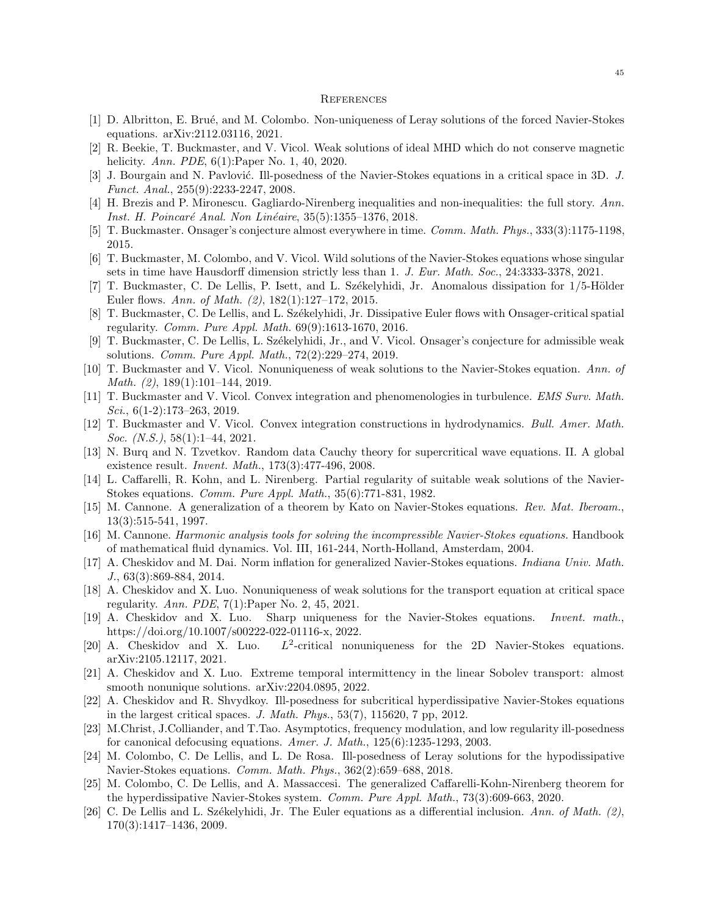#### <span id="page-44-0"></span>**REFERENCES**

- <span id="page-44-13"></span>[1] D. Albritton, E. Bru´e, and M. Colombo. Non-uniqueness of Leray solutions of the forced Navier-Stokes equations. arXiv:2112.03116, 2021.
- <span id="page-44-24"></span>[2] R. Beekie, T. Buckmaster, and V. Vicol. Weak solutions of ideal MHD which do not conserve magnetic helicity. *Ann. PDE*, 6(1): Paper No. 1, 40, 2020.
- <span id="page-44-19"></span>[3] J. Bourgain and N. Pavlović. Ill-posedness of the Navier-Stokes equations in a critical space in 3D. J. Funct. Anal., 255(9):2233-2247, 2008.
- <span id="page-44-25"></span>[4] H. Brezis and P. Mironescu. Gagliardo-Nirenberg inequalities and non-inequalities: the full story. Ann. Inst. H. Poincaré Anal. Non Linéaire, 35(5):1355–1376, 2018.
- <span id="page-44-5"></span>[5] T. Buckmaster. Onsager's conjecture almost everywhere in time. Comm. Math. Phys., 333(3):1175-1198, 2015.
- <span id="page-44-9"></span>[6] T. Buckmaster, M. Colombo, and V. Vicol. Wild solutions of the Navier-Stokes equations whose singular sets in time have Hausdorff dimension strictly less than 1. J. Eur. Math. Soc., 24:3333-3378, 2021.
- <span id="page-44-6"></span>[7] T. Buckmaster, C. De Lellis, P. Isett, and L. Székelyhidi, Jr. Anomalous dissipation for  $1/5$ -Hölder Euler flows. Ann. of Math. (2), 182(1):127–172, 2015.
- <span id="page-44-7"></span>[8] T. Buckmaster, C. De Lellis, and L. Székelyhidi, Jr. Dissipative Euler flows with Onsager-critical spatial regularity. Comm. Pure Appl. Math. 69(9):1613-1670, 2016.
- <span id="page-44-8"></span>[9] T. Buckmaster, C. De Lellis, L. Székelyhidi, Jr., and V. Vicol. Onsager's conjecture for admissible weak solutions. Comm. Pure Appl. Math., 72(2):229–274, 2019.
- <span id="page-44-3"></span>[10] T. Buckmaster and V. Vicol. Nonuniqueness of weak solutions to the Navier-Stokes equation. Ann. of Math. (2), 189(1):101–144, 2019.
- <span id="page-44-11"></span>[11] T. Buckmaster and V. Vicol. Convex integration and phenomenologies in turbulence. EMS Surv. Math. Sci.,  $6(1-2)$ :173-263, 2019.
- <span id="page-44-12"></span>[12] T. Buckmaster and V. Vicol. Convex integration constructions in hydrodynamics. Bull. Amer. Math. Soc. (N.S.), 58(1):1-44, 2021.
- <span id="page-44-1"></span>[13] N. Burq and N. Tzvetkov. Random data Cauchy theory for supercritical wave equations. II. A global existence result. Invent. Math., 173(3):477-496, 2008.
- <span id="page-44-22"></span>[14] L. Caffarelli, R. Kohn, and L. Nirenberg. Partial regularity of suitable weak solutions of the Navier-Stokes equations. Comm. Pure Appl. Math., 35(6):771-831, 1982.
- <span id="page-44-26"></span>[15] M. Cannone. A generalization of a theorem by Kato on Navier-Stokes equations. Rev. Mat. Iberoam., 13(3):515-541, 1997.
- <span id="page-44-18"></span>[16] M. Cannone. Harmonic analysis tools for solving the incompressible Navier-Stokes equations. Handbook of mathematical fluid dynamics. Vol. III, 161-244, North-Holland, Amsterdam, 2004.
- <span id="page-44-21"></span>[17] A. Cheskidov and M. Dai. Norm inflation for generalized Navier-Stokes equations. Indiana Univ. Math. J., 63(3):869-884, 2014.
- <span id="page-44-15"></span>[18] A. Cheskidov and X. Luo. Nonuniqueness of weak solutions for the transport equation at critical space regularity. Ann. PDE, 7(1):Paper No. 2, 45, 2021.
- <span id="page-44-14"></span>[19] A. Cheskidov and X. Luo. Sharp uniqueness for the Navier-Stokes equations. Invent. math., https://doi.org/10.1007/s00222-022-01116-x, 2022.
- <span id="page-44-17"></span>[20] A. Cheskidov and X. Luo. <sup>2</sup>-critical nonuniqueness for the 2D Navier-Stokes equations. arXiv:2105.12117, 2021.
- <span id="page-44-16"></span>[21] A. Cheskidov and X. Luo. Extreme temporal intermittency in the linear Sobolev transport: almost smooth nonunique solutions. arXiv:2204.0895, 2022.
- <span id="page-44-20"></span>[22] A. Cheskidov and R. Shvydkoy. Ill-posedness for subcritical hyperdissipative Navier-Stokes equations in the largest critical spaces. J. Math. Phys., 53(7), 115620, 7 pp, 2012.
- <span id="page-44-2"></span>[23] M.Christ, J.Colliander, and T.Tao. Asymptotics, frequency modulation, and low regularity ill-posedness for canonical defocusing equations. Amer. J. Math., 125(6):1235-1293, 2003.
- <span id="page-44-10"></span>[24] M. Colombo, C. De Lellis, and L. De Rosa. Ill-posedness of Leray solutions for the hypodissipative Navier-Stokes equations. Comm. Math. Phys., 362(2):659–688, 2018.
- <span id="page-44-23"></span>[25] M. Colombo, C. De Lellis, and A. Massaccesi. The generalized Caffarelli-Kohn-Nirenberg theorem for the hyperdissipative Navier-Stokes system. Comm. Pure Appl. Math., 73(3):609-663, 2020.
- <span id="page-44-4"></span>[26] C. De Lellis and L. Székelyhidi, Jr. The Euler equations as a differential inclusion. Ann. of Math. (2), 170(3):1417–1436, 2009.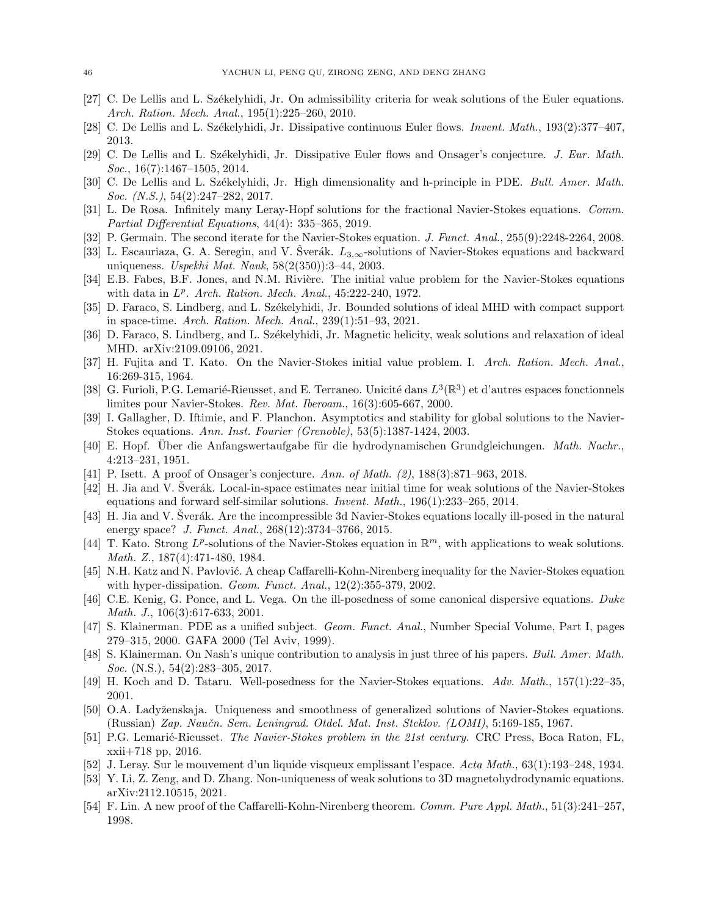- <span id="page-45-6"></span>[27] C. De Lellis and L. Székelyhidi, Jr. On admissibility criteria for weak solutions of the Euler equations. Arch. Ration. Mech. Anal., 195(1):225–260, 2010.
- <span id="page-45-7"></span>[28] C. De Lellis and L. Székelyhidi, Jr. Dissipative continuous Euler flows. *Invent. Math.*, 193(2):377–407, 2013.
- <span id="page-45-8"></span>[29] C. De Lellis and L. Székelyhidi, Jr. Dissipative Euler flows and Onsager's conjecture. J. Eur. Math.  $Soc., 16(7):1467-1505, 2014.$
- <span id="page-45-11"></span>[30] C. De Lellis and L. Székelyhidi, Jr. High dimensionality and h-principle in PDE. Bull. Amer. Math. Soc. (N.S.), 54(2):247-282, 2017.
- <span id="page-45-10"></span>[31] L. De Rosa. Infinitely many Leray-Hopf solutions for the fractional Navier-Stokes equations. Comm. Partial Differential Equations, 44(4): 335–365, 2019.
- <span id="page-45-24"></span>[32] P. Germain. The second iterate for the Navier-Stokes equation. J. Funct. Anal., 255(9):2248-2264, 2008.
- <span id="page-45-15"></span>[33] L. Escauriaza, G. A. Seregin, and V. Šverák.  $L_{3,\infty}$ -solutions of Navier-Stokes equations and backward uniqueness. Uspekhi Mat. Nauk, 58(2(350)):3–44, 2003.
- <span id="page-45-18"></span>[34] E.B. Fabes, B.F. Jones, and N.M. Rivière. The initial value problem for the Navier-Stokes equations with data in  $L^p$ . Arch. Ration. Mech. Anal., 45:222-240, 1972.
- <span id="page-45-26"></span>[35] D. Faraco, S. Lindberg, and L. Székelyhidi, Jr. Bounded solutions of ideal MHD with compact support in space-time. Arch. Ration. Mech. Anal., 239(1):51–93, 2021.
- <span id="page-45-27"></span>[36] D. Faraco, S. Lindberg, and L. Székelyhidi, Jr. Magnetic helicity, weak solutions and relaxation of ideal MHD. arXiv:2109.09106, 2021.
- <span id="page-45-21"></span>[37] H. Fujita and T. Kato. On the Navier-Stokes initial value problem. I. Arch. Ration. Mech. Anal., 16:269-315, 1964.
- <span id="page-45-19"></span>[38] G. Furioli, P.G. Lemarié-Rieusset, and E. Terraneo. Unicité dans  $L^3(\mathbb{R}^3)$  et d'autres espaces fonctionnels limites pour Navier-Stokes. Rev. Mat. Iberoam., 16(3):605-667, 2000.
- <span id="page-45-16"></span>[39] I. Gallagher, D. Iftimie, and F. Planchon. Asymptotics and stability for global solutions to the Navier-Stokes equations. Ann. Inst. Fourier (Grenoble), 53(5):1387-1424, 2003.
- <span id="page-45-1"></span>[40] E. Hopf. Uber die Anfangswertaufgabe für die hydrodynamischen Grundgleichungen. Math. Nachr. 4:213–231, 1951.
- <span id="page-45-9"></span>[41] P. Isett. A proof of Onsager's conjecture. Ann. of Math. (2), 188(3):871-963, 2018.
- <span id="page-45-12"></span>[42] H. Jia and V. Sverák. Local-in-space estimates near initial time for weak solutions of the Navier-Stokes equations and forward self-similar solutions. Invent. Math., 196(1):233–265, 2014.
- <span id="page-45-13"></span>[43] H. Jia and V. Šverák. Are the incompressible 3d Navier-Stokes equations locally ill-posed in the natural energy space? J. Funct. Anal., 268(12):3734-3766, 2015.
- <span id="page-45-22"></span>[44] T. Kato. Strong  $L^p$ -solutions of the Navier-Stokes equation in  $\mathbb{R}^m$ , with applications to weak solutions. Math. Z., 187(4):471-480, 1984.
- <span id="page-45-5"></span>[45] N.H. Katz and N. Pavlović. A cheap Caffarelli-Kohn-Nirenberg inequality for the Navier-Stokes equation with hyper-dissipation. *Geom. Funct. Anal.*, 12(2):355-379, 2002.
- <span id="page-45-4"></span>[46] C.E. Kenig, G. Ponce, and L. Vega. On the ill-posedness of some canonical dispersive equations. Duke Math. J., 106(3):617-633, 2001.
- <span id="page-45-2"></span>[47] S. Klainerman. PDE as a unified subject. Geom. Funct. Anal., Number Special Volume, Part I, pages 279–315, 2000. GAFA 2000 (Tel Aviv, 1999).
- <span id="page-45-3"></span>[48] S. Klainerman. On Nash's unique contribution to analysis in just three of his papers. Bull. Amer. Math. Soc. (N.S.), 54(2):283–305, 2017.
- <span id="page-45-23"></span>[49] H. Koch and D. Tataru. Well-posedness for the Navier-Stokes equations. Adv. Math., 157(1):22–35, 2001.
- <span id="page-45-14"></span>[50] O.A. Ladyženskaja. Uniqueness and smoothness of generalized solutions of Navier-Stokes equations. (Russian) Zap. Naučn. Sem. Leningrad. Otdel. Mat. Inst. Steklov. (LOMI), 5:169-185, 1967.
- <span id="page-45-17"></span>[51] P.G. Lemarié-Rieusset. The Navier-Stokes problem in the 21st century. CRC Press, Boca Raton, FL, xxii+718 pp, 2016.
- <span id="page-45-0"></span>[52] J. Leray. Sur le mouvement d'un liquide visqueux emplissant l'espace. Acta Math., 63(1):193–248, 1934.
- <span id="page-45-20"></span>[53] Y. Li, Z. Zeng, and D. Zhang. Non-uniqueness of weak solutions to 3D magnetohydrodynamic equations. arXiv:2112.10515, 2021.
- <span id="page-45-25"></span>[54] F. Lin. A new proof of the Caffarelli-Kohn-Nirenberg theorem. Comm. Pure Appl. Math., 51(3):241–257, 1998.